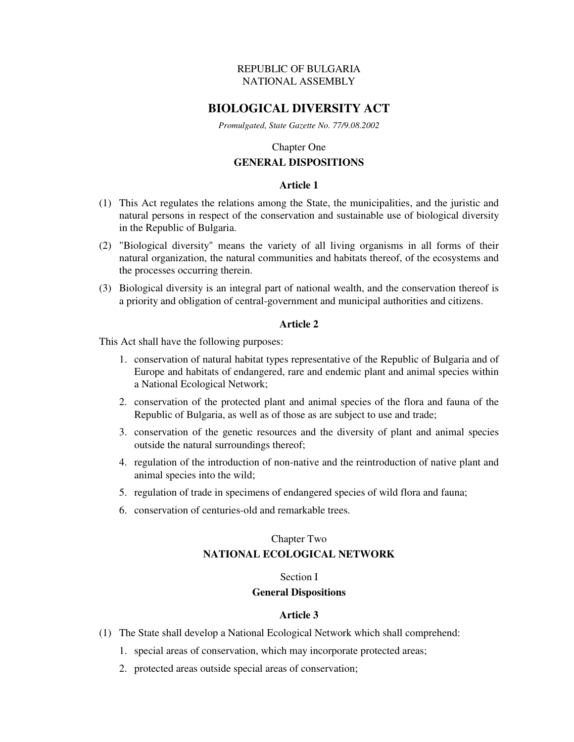# REPUBLIC OF BULGARIA NATIONAL ASSEMBLY

# **BIOLOGICAL DIVERSITY ACT**

*Promulgated, State Gazette No. 77/9.08.2002* 

### Chapter One

# **GENERAL DISPOSITIONS**

### **Article 1**

- (1) This Act regulates the relations among the State, the municipalities, and the juristic and natural persons in respect of the conservation and sustainable use of biological diversity in the Republic of Bulgaria.
- (2) "Biological diversity" means the variety of all living organisms in all forms of their natural organization, the natural communities and habitats thereof, of the ecosystems and the processes occurring therein.
- (3) Biological diversity is an integral part of national wealth, and the conservation thereof is a priority and obligation of central-government and municipal authorities and citizens.

# **Article 2**

This Act shall have the following purposes:

- 1. conservation of natural habitat types representative of the Republic of Bulgaria and of Europe and habitats of endangered, rare and endemic plant and animal species within a National Ecological Network;
- 2. conservation of the protected plant and animal species of the flora and fauna of the Republic of Bulgaria, as well as of those as are subject to use and trade;
- 3. conservation of the genetic resources and the diversity of plant and animal species outside the natural surroundings thereof;
- 4. regulation of the introduction of non-native and the reintroduction of native plant and animal species into the wild;
- 5. regulation of trade in specimens of endangered species of wild flora and fauna;
- 6. conservation of centuries-old and remarkable trees.

# Chapter Two **NATIONAL ECOLOGICAL NETWORK**

### Section I

# **General Dispositions**

- (1) The State shall develop a National Ecological Network which shall comprehend:
	- 1. special areas of conservation, which may incorporate protected areas;
	- 2. protected areas outside special areas of conservation;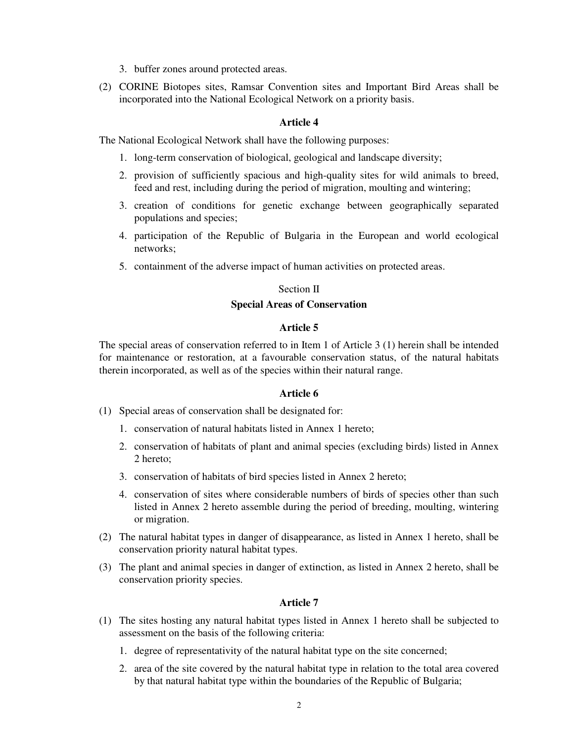- 3. buffer zones around protected areas.
- (2) CORINE Biotopes sites, Ramsar Convention sites and Important Bird Areas shall be incorporated into the National Ecological Network on a priority basis.

The National Ecological Network shall have the following purposes:

- 1. long-term conservation of biological, geological and landscape diversity;
- 2. provision of sufficiently spacious and high-quality sites for wild animals to breed, feed and rest, including during the period of migration, moulting and wintering;
- 3. creation of conditions for genetic exchange between geographically separated populations and species;
- 4. participation of the Republic of Bulgaria in the European and world ecological networks;
- 5. containment of the adverse impact of human activities on protected areas.

# Section II

# **Special Areas of Conservation**

# **Article 5**

The special areas of conservation referred to in Item 1 of Article 3 (1) herein shall be intended for maintenance or restoration, at a favourable conservation status, of the natural habitats therein incorporated, as well as of the species within their natural range.

# **Article 6**

- (1) Special areas of conservation shall be designated for:
	- 1. conservation of natural habitats listed in Annex 1 hereto;
	- 2. conservation of habitats of plant and animal species (excluding birds) listed in Annex 2 hereto;
	- 3. conservation of habitats of bird species listed in Annex 2 hereto;
	- 4. conservation of sites where considerable numbers of birds of species other than such listed in Annex 2 hereto assemble during the period of breeding, moulting, wintering or migration.
- (2) The natural habitat types in danger of disappearance, as listed in Annex 1 hereto, shall be conservation priority natural habitat types.
- (3) The plant and animal species in danger of extinction, as listed in Annex 2 hereto, shall be conservation priority species.

- (1) The sites hosting any natural habitat types listed in Annex 1 hereto shall be subjected to assessment on the basis of the following criteria:
	- 1. degree of representativity of the natural habitat type on the site concerned;
	- 2. area of the site covered by the natural habitat type in relation to the total area covered by that natural habitat type within the boundaries of the Republic of Bulgaria;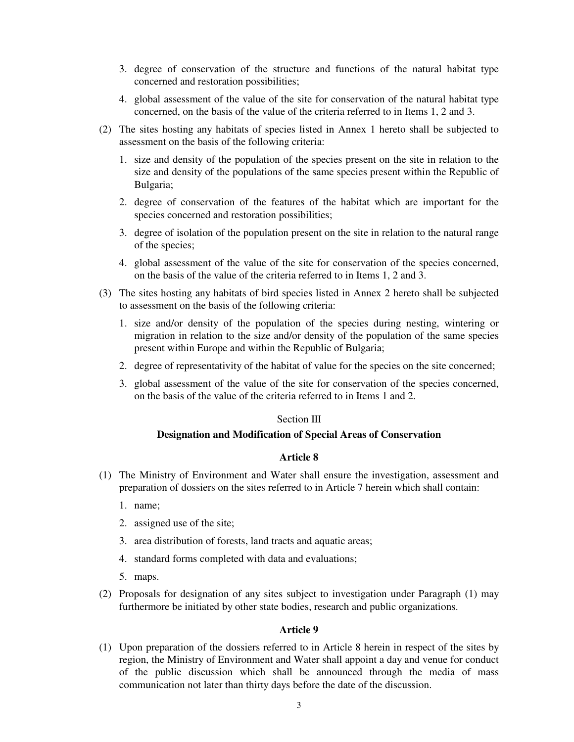- 3. degree of conservation of the structure and functions of the natural habitat type concerned and restoration possibilities;
- 4. global assessment of the value of the site for conservation of the natural habitat type concerned, on the basis of the value of the criteria referred to in Items 1, 2 and 3.
- (2) The sites hosting any habitats of species listed in Annex 1 hereto shall be subjected to assessment on the basis of the following criteria:
	- 1. size and density of the population of the species present on the site in relation to the size and density of the populations of the same species present within the Republic of Bulgaria;
	- 2. degree of conservation of the features of the habitat which are important for the species concerned and restoration possibilities;
	- 3. degree of isolation of the population present on the site in relation to the natural range of the species;
	- 4. global assessment of the value of the site for conservation of the species concerned, on the basis of the value of the criteria referred to in Items 1, 2 and 3.
- (3) The sites hosting any habitats of bird species listed in Annex 2 hereto shall be subjected to assessment on the basis of the following criteria:
	- 1. size and/or density of the population of the species during nesting, wintering or migration in relation to the size and/or density of the population of the same species present within Europe and within the Republic of Bulgaria;
	- 2. degree of representativity of the habitat of value for the species on the site concerned;
	- 3. global assessment of the value of the site for conservation of the species concerned, on the basis of the value of the criteria referred to in Items 1 and 2.

### Section III

# **Designation and Modification of Special Areas of Conservation**

### **Article 8**

- (1) The Ministry of Environment and Water shall ensure the investigation, assessment and preparation of dossiers on the sites referred to in Article 7 herein which shall contain:
	- 1. name;
	- 2. assigned use of the site;
	- 3. area distribution of forests, land tracts and aquatic areas;
	- 4. standard forms completed with data and evaluations;
	- 5. maps.
- (2) Proposals for designation of any sites subject to investigation under Paragraph (1) may furthermore be initiated by other state bodies, research and public organizations.

# **Article 9**

(1) Upon preparation of the dossiers referred to in Article 8 herein in respect of the sites by region, the Ministry of Environment and Water shall appoint a day and venue for conduct of the public discussion which shall be announced through the media of mass communication not later than thirty days before the date of the discussion.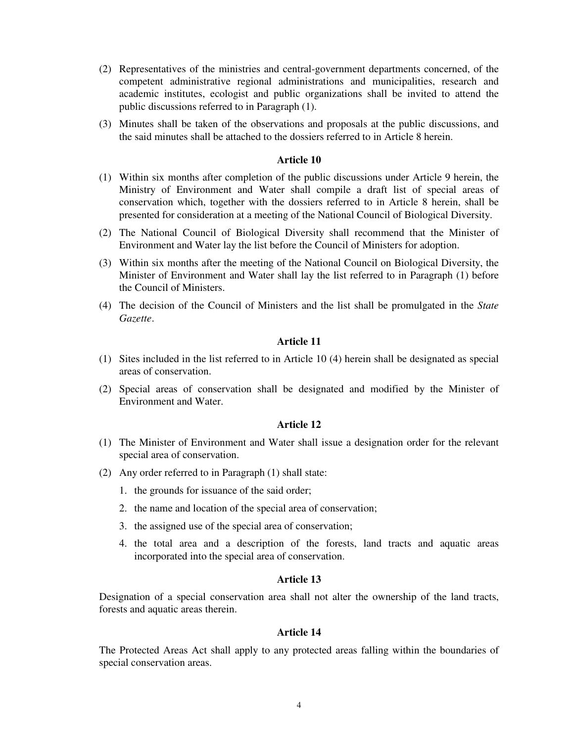- (2) Representatives of the ministries and central-government departments concerned, of the competent administrative regional administrations and municipalities, research and academic institutes, ecologist and public organizations shall be invited to attend the public discussions referred to in Paragraph (1).
- (3) Minutes shall be taken of the observations and proposals at the public discussions, and the said minutes shall be attached to the dossiers referred to in Article 8 herein.

- (1) Within six months after completion of the public discussions under Article 9 herein, the Ministry of Environment and Water shall compile a draft list of special areas of conservation which, together with the dossiers referred to in Article 8 herein, shall be presented for consideration at a meeting of the National Council of Biological Diversity.
- (2) The National Council of Biological Diversity shall recommend that the Minister of Environment and Water lay the list before the Council of Ministers for adoption.
- (3) Within six months after the meeting of the National Council on Biological Diversity, the Minister of Environment and Water shall lay the list referred to in Paragraph (1) before the Council of Ministers.
- (4) The decision of the Council of Ministers and the list shall be promulgated in the *State Gazette*.

#### **Article 11**

- (1) Sites included in the list referred to in Article 10 (4) herein shall be designated as special areas of conservation.
- (2) Special areas of conservation shall be designated and modified by the Minister of Environment and Water.

#### **Article 12**

- (1) The Minister of Environment and Water shall issue a designation order for the relevant special area of conservation.
- (2) Any order referred to in Paragraph (1) shall state:
	- 1. the grounds for issuance of the said order;
	- 2. the name and location of the special area of conservation;
	- 3. the assigned use of the special area of conservation;
	- 4. the total area and a description of the forests, land tracts and aquatic areas incorporated into the special area of conservation.

#### **Article 13**

Designation of a special conservation area shall not alter the ownership of the land tracts, forests and aquatic areas therein.

#### **Article 14**

The Protected Areas Act shall apply to any protected areas falling within the boundaries of special conservation areas.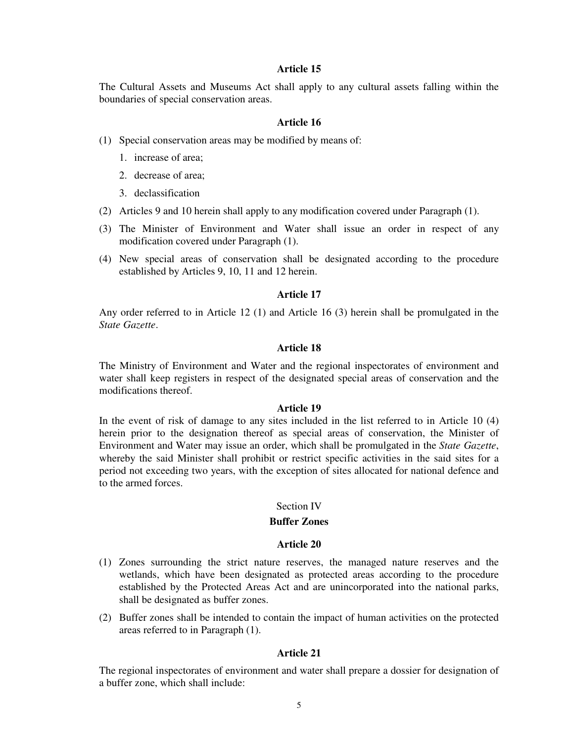The Cultural Assets and Museums Act shall apply to any cultural assets falling within the boundaries of special conservation areas.

### **Article 16**

- (1) Special conservation areas may be modified by means of:
	- 1. increase of area;
	- 2. decrease of area;
	- 3. declassification
- (2) Articles 9 and 10 herein shall apply to any modification covered under Paragraph (1).
- (3) The Minister of Environment and Water shall issue an order in respect of any modification covered under Paragraph (1).
- (4) New special areas of conservation shall be designated according to the procedure established by Articles 9, 10, 11 and 12 herein.

#### **Article 17**

Any order referred to in Article 12 (1) and Article 16 (3) herein shall be promulgated in the *State Gazette*.

# **Article 18**

The Ministry of Environment and Water and the regional inspectorates of environment and water shall keep registers in respect of the designated special areas of conservation and the modifications thereof.

#### **Article 19**

In the event of risk of damage to any sites included in the list referred to in Article 10 (4) herein prior to the designation thereof as special areas of conservation, the Minister of Environment and Water may issue an order, which shall be promulgated in the *State Gazette*, whereby the said Minister shall prohibit or restrict specific activities in the said sites for a period not exceeding two years, with the exception of sites allocated for national defence and to the armed forces.

#### Section IV

### **Buffer Zones**

#### **Article 20**

- (1) Zones surrounding the strict nature reserves, the managed nature reserves and the wetlands, which have been designated as protected areas according to the procedure established by the Protected Areas Act and are unincorporated into the national parks, shall be designated as buffer zones.
- (2) Buffer zones shall be intended to contain the impact of human activities on the protected areas referred to in Paragraph (1).

#### **Article 21**

The regional inspectorates of environment and water shall prepare a dossier for designation of a buffer zone, which shall include: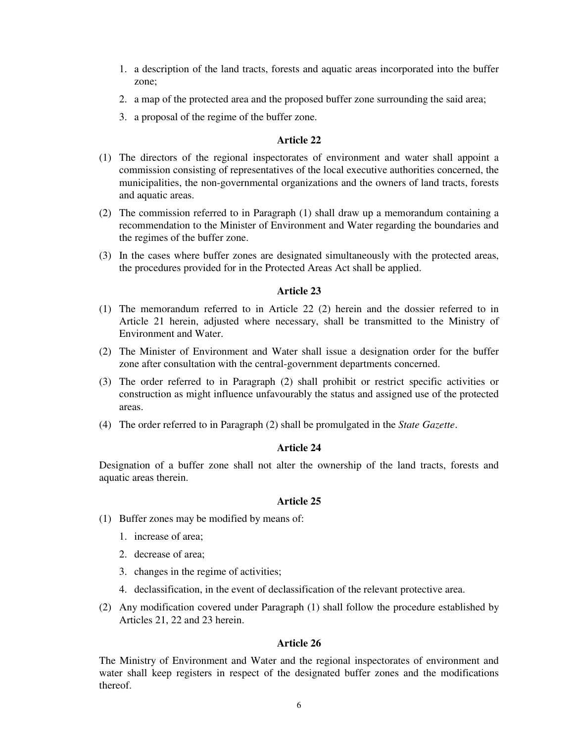- 1. a description of the land tracts, forests and aquatic areas incorporated into the buffer zone;
- 2. a map of the protected area and the proposed buffer zone surrounding the said area;
- 3. a proposal of the regime of the buffer zone.

- (1) The directors of the regional inspectorates of environment and water shall appoint a commission consisting of representatives of the local executive authorities concerned, the municipalities, the non-governmental organizations and the owners of land tracts, forests and aquatic areas.
- (2) The commission referred to in Paragraph (1) shall draw up a memorandum containing a recommendation to the Minister of Environment and Water regarding the boundaries and the regimes of the buffer zone.
- (3) In the cases where buffer zones are designated simultaneously with the protected areas, the procedures provided for in the Protected Areas Act shall be applied.

### **Article 23**

- (1) The memorandum referred to in Article 22 (2) herein and the dossier referred to in Article 21 herein, adjusted where necessary, shall be transmitted to the Ministry of Environment and Water.
- (2) The Minister of Environment and Water shall issue a designation order for the buffer zone after consultation with the central-government departments concerned.
- (3) The order referred to in Paragraph (2) shall prohibit or restrict specific activities or construction as might influence unfavourably the status and assigned use of the protected areas.
- (4) The order referred to in Paragraph (2) shall be promulgated in the *State Gazette*.

### **Article 24**

Designation of a buffer zone shall not alter the ownership of the land tracts, forests and aquatic areas therein.

#### **Article 25**

- (1) Buffer zones may be modified by means of:
	- 1. increase of area;
	- 2. decrease of area;
	- 3. changes in the regime of activities;
	- 4. declassification, in the event of declassification of the relevant protective area.
- (2) Any modification covered under Paragraph (1) shall follow the procedure established by Articles 21, 22 and 23 herein.

#### **Article 26**

The Ministry of Environment and Water and the regional inspectorates of environment and water shall keep registers in respect of the designated buffer zones and the modifications thereof.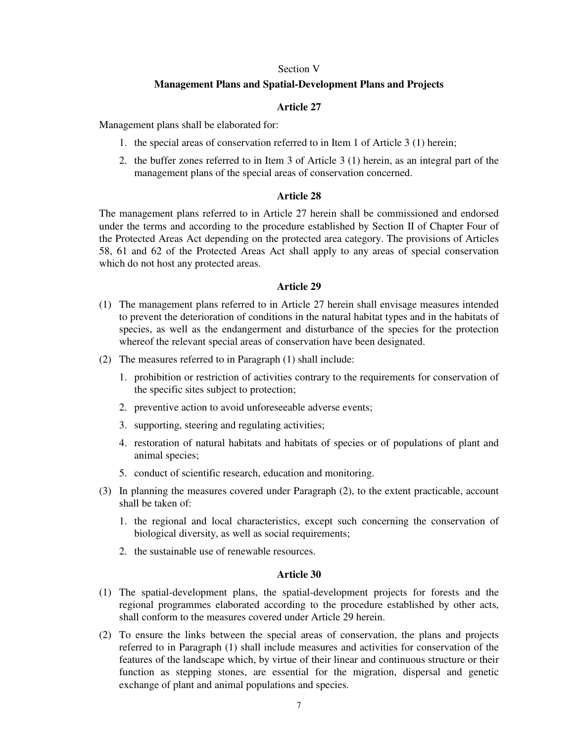#### Section V

### **Management Plans and Spatial-Development Plans and Projects**

# **Article 27**

Management plans shall be elaborated for:

- 1. the special areas of conservation referred to in Item 1 of Article 3 (1) herein;
- 2. the buffer zones referred to in Item 3 of Article 3 (1) herein, as an integral part of the management plans of the special areas of conservation concerned.

# **Article 28**

The management plans referred to in Article 27 herein shall be commissioned and endorsed under the terms and according to the procedure established by Section II of Chapter Four of the Protected Areas Act depending on the protected area category. The provisions of Articles 58, 61 and 62 of the Protected Areas Act shall apply to any areas of special conservation which do not host any protected areas.

### **Article 29**

- (1) The management plans referred to in Article 27 herein shall envisage measures intended to prevent the deterioration of conditions in the natural habitat types and in the habitats of species, as well as the endangerment and disturbance of the species for the protection whereof the relevant special areas of conservation have been designated.
- (2) The measures referred to in Paragraph (1) shall include:
	- 1. prohibition or restriction of activities contrary to the requirements for conservation of the specific sites subject to protection;
	- 2. preventive action to avoid unforeseeable adverse events;
	- 3. supporting, steering and regulating activities;
	- 4. restoration of natural habitats and habitats of species or of populations of plant and animal species;
	- 5. conduct of scientific research, education and monitoring.
- (3) In planning the measures covered under Paragraph (2), to the extent practicable, account shall be taken of:
	- 1. the regional and local characteristics, except such concerning the conservation of biological diversity, as well as social requirements;
	- 2. the sustainable use of renewable resources.

- (1) The spatial-development plans, the spatial-development projects for forests and the regional programmes elaborated according to the procedure established by other acts, shall conform to the measures covered under Article 29 herein.
- (2) To ensure the links between the special areas of conservation, the plans and projects referred to in Paragraph (1) shall include measures and activities for conservation of the features of the landscape which, by virtue of their linear and continuous structure or their function as stepping stones, are essential for the migration, dispersal and genetic exchange of plant and animal populations and species.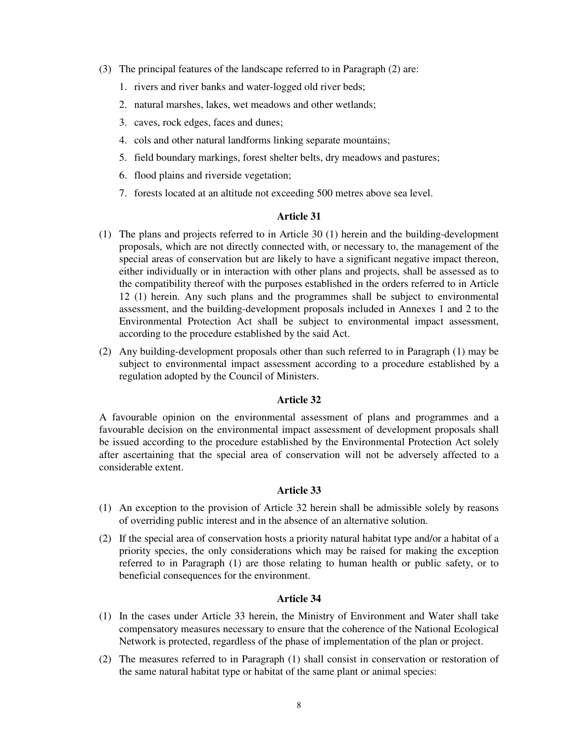- (3) The principal features of the landscape referred to in Paragraph (2) are:
	- 1. rivers and river banks and water-logged old river beds;
	- 2. natural marshes, lakes, wet meadows and other wetlands;
	- 3. caves, rock edges, faces and dunes;
	- 4. cols and other natural landforms linking separate mountains;
	- 5. field boundary markings, forest shelter belts, dry meadows and pastures;
	- 6. flood plains and riverside vegetation;
	- 7. forests located at an altitude not exceeding 500 metres above sea level.

- (1) The plans and projects referred to in Article 30 (1) herein and the building-development proposals, which are not directly connected with, or necessary to, the management of the special areas of conservation but are likely to have a significant negative impact thereon, either individually or in interaction with other plans and projects, shall be assessed as to the compatibility thereof with the purposes established in the orders referred to in Article 12 (1) herein. Any such plans and the programmes shall be subject to environmental assessment, and the building-development proposals included in Annexes 1 and 2 to the Environmental Protection Act shall be subject to environmental impact assessment, according to the procedure established by the said Act.
- (2) Any building-development proposals other than such referred to in Paragraph (1) may be subject to environmental impact assessment according to a procedure established by a regulation adopted by the Council of Ministers.

### **Article 32**

A favourable opinion on the environmental assessment of plans and programmes and a favourable decision on the environmental impact assessment of development proposals shall be issued according to the procedure established by the Environmental Protection Act solely after ascertaining that the special area of conservation will not be adversely affected to a considerable extent.

# **Article 33**

- (1) An exception to the provision of Article 32 herein shall be admissible solely by reasons of overriding public interest and in the absence of an alternative solution.
- (2) If the special area of conservation hosts a priority natural habitat type and/or a habitat of a priority species, the only considerations which may be raised for making the exception referred to in Paragraph (1) are those relating to human health or public safety, or to beneficial consequences for the environment.

- (1) In the cases under Article 33 herein, the Ministry of Environment and Water shall take compensatory measures necessary to ensure that the coherence of the National Ecological Network is protected, regardless of the phase of implementation of the plan or project.
- (2) The measures referred to in Paragraph (1) shall consist in conservation or restoration of the same natural habitat type or habitat of the same plant or animal species: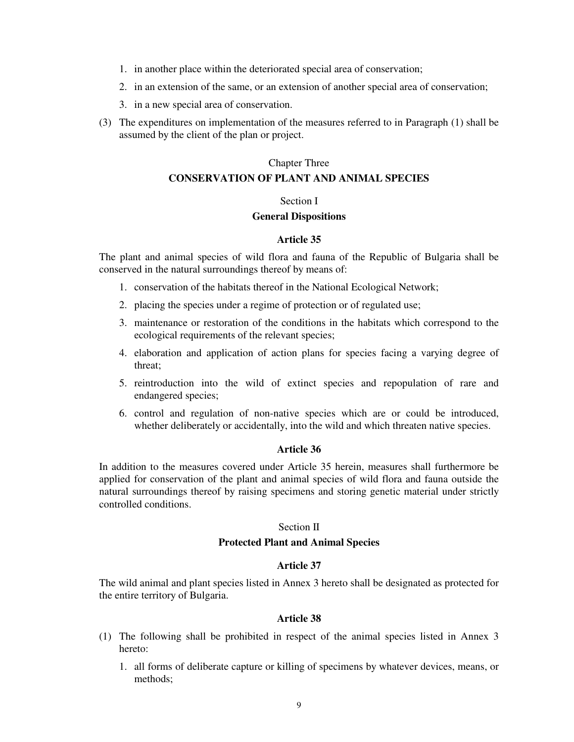- 1. in another place within the deteriorated special area of conservation;
- 2. in an extension of the same, or an extension of another special area of conservation;
- 3. in a new special area of conservation.
- (3) The expenditures on implementation of the measures referred to in Paragraph (1) shall be assumed by the client of the plan or project.

#### Chapter Three

### **CONSERVATION OF PLANT AND ANIMAL SPECIES**

# Section I

# **General Dispositions**

#### **Article 35**

The plant and animal species of wild flora and fauna of the Republic of Bulgaria shall be conserved in the natural surroundings thereof by means of:

- 1. conservation of the habitats thereof in the National Ecological Network;
- 2. placing the species under a regime of protection or of regulated use;
- 3. maintenance or restoration of the conditions in the habitats which correspond to the ecological requirements of the relevant species;
- 4. elaboration and application of action plans for species facing a varying degree of threat;
- 5. reintroduction into the wild of extinct species and repopulation of rare and endangered species;
- 6. control and regulation of non-native species which are or could be introduced, whether deliberately or accidentally, into the wild and which threaten native species.

# **Article 36**

In addition to the measures covered under Article 35 herein, measures shall furthermore be applied for conservation of the plant and animal species of wild flora and fauna outside the natural surroundings thereof by raising specimens and storing genetic material under strictly controlled conditions.

#### Section II

# **Protected Plant and Animal Species**

#### **Article 37**

The wild animal and plant species listed in Annex 3 hereto shall be designated as protected for the entire territory of Bulgaria.

- (1) The following shall be prohibited in respect of the animal species listed in Annex 3 hereto:
	- 1. all forms of deliberate capture or killing of specimens by whatever devices, means, or methods<sup>.</sup>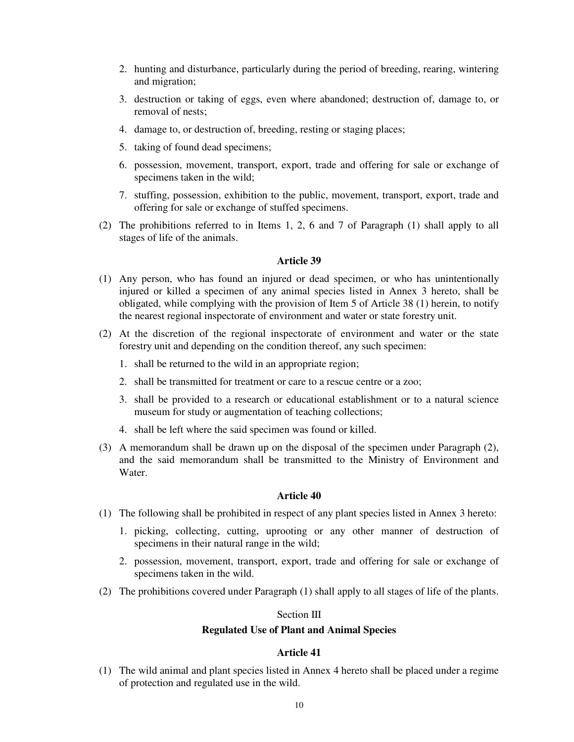- 2. hunting and disturbance, particularly during the period of breeding, rearing, wintering and migration;
- 3. destruction or taking of eggs, even where abandoned; destruction of, damage to, or removal of nests;
- 4. damage to, or destruction of, breeding, resting or staging places;
- 5. taking of found dead specimens;
- 6. possession, movement, transport, export, trade and offering for sale or exchange of specimens taken in the wild;
- 7. stuffing, possession, exhibition to the public, movement, transport, export, trade and offering for sale or exchange of stuffed specimens.
- (2) The prohibitions referred to in Items 1, 2, 6 and 7 of Paragraph (1) shall apply to all stages of life of the animals.

- (1) Any person, who has found an injured or dead specimen, or who has unintentionally injured or killed a specimen of any animal species listed in Annex 3 hereto, shall be obligated, while complying with the provision of Item 5 of Article 38 (1) herein, to notify the nearest regional inspectorate of environment and water or state forestry unit.
- (2) At the discretion of the regional inspectorate of environment and water or the state forestry unit and depending on the condition thereof, any such specimen:
	- 1. shall be returned to the wild in an appropriate region;
	- 2. shall be transmitted for treatment or care to a rescue centre or a zoo;
	- 3. shall be provided to a research or educational establishment or to a natural science museum for study or augmentation of teaching collections;
	- 4. shall be left where the said specimen was found or killed.
- (3) A memorandum shall be drawn up on the disposal of the specimen under Paragraph (2), and the said memorandum shall be transmitted to the Ministry of Environment and Water.

# **Article 40**

- (1) The following shall be prohibited in respect of any plant species listed in Annex 3 hereto:
	- 1. picking, collecting, cutting, uprooting or any other manner of destruction of specimens in their natural range in the wild;
	- 2. possession, movement, transport, export, trade and offering for sale or exchange of specimens taken in the wild.
- (2) The prohibitions covered under Paragraph (1) shall apply to all stages of life of the plants.

# Section III

# **Regulated Use of Plant and Animal Species**

### **Article 41**

(1) The wild animal and plant species listed in Annex 4 hereto shall be placed under a regime of protection and regulated use in the wild.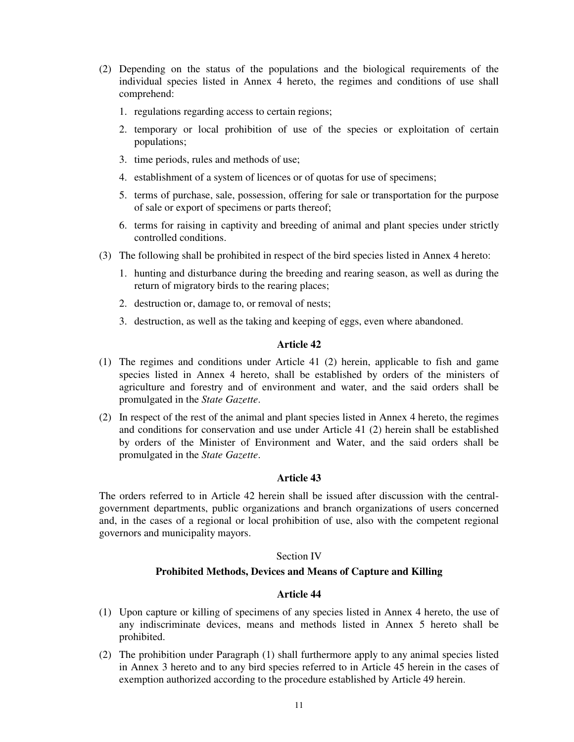- (2) Depending on the status of the populations and the biological requirements of the individual species listed in Annex 4 hereto, the regimes and conditions of use shall comprehend:
	- 1. regulations regarding access to certain regions;
	- 2. temporary or local prohibition of use of the species or exploitation of certain populations;
	- 3. time periods, rules and methods of use;
	- 4. establishment of a system of licences or of quotas for use of specimens;
	- 5. terms of purchase, sale, possession, offering for sale or transportation for the purpose of sale or export of specimens or parts thereof;
	- 6. terms for raising in captivity and breeding of animal and plant species under strictly controlled conditions.
- (3) The following shall be prohibited in respect of the bird species listed in Annex 4 hereto:
	- 1. hunting and disturbance during the breeding and rearing season, as well as during the return of migratory birds to the rearing places;
	- 2. destruction or, damage to, or removal of nests;
	- 3. destruction, as well as the taking and keeping of eggs, even where abandoned.

- (1) The regimes and conditions under Article 41 (2) herein, applicable to fish and game species listed in Annex 4 hereto, shall be established by orders of the ministers of agriculture and forestry and of environment and water, and the said orders shall be promulgated in the *State Gazette*.
- (2) In respect of the rest of the animal and plant species listed in Annex 4 hereto, the regimes and conditions for conservation and use under Article 41 (2) herein shall be established by orders of the Minister of Environment and Water, and the said orders shall be promulgated in the *State Gazette*.

### **Article 43**

The orders referred to in Article 42 herein shall be issued after discussion with the centralgovernment departments, public organizations and branch organizations of users concerned and, in the cases of a regional or local prohibition of use, also with the competent regional governors and municipality mayors.

### Section IV

# **Prohibited Methods, Devices and Means of Capture and Killing**

- (1) Upon capture or killing of specimens of any species listed in Annex 4 hereto, the use of any indiscriminate devices, means and methods listed in Annex 5 hereto shall be prohibited.
- (2) The prohibition under Paragraph (1) shall furthermore apply to any animal species listed in Annex 3 hereto and to any bird species referred to in Article 45 herein in the cases of exemption authorized according to the procedure established by Article 49 herein.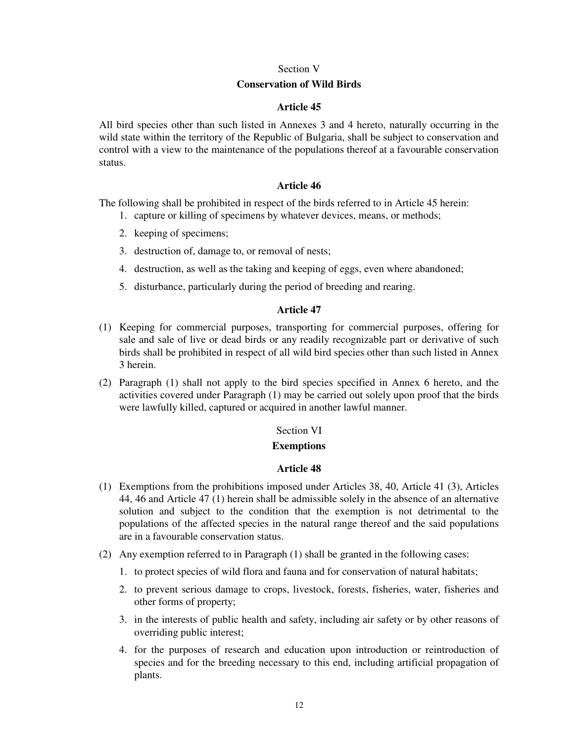### Section V

#### **Conservation of Wild Birds**

# **Article 45**

All bird species other than such listed in Annexes 3 and 4 hereto, naturally occurring in the wild state within the territory of the Republic of Bulgaria, shall be subject to conservation and control with a view to the maintenance of the populations thereof at a favourable conservation status.

### **Article 46**

The following shall be prohibited in respect of the birds referred to in Article 45 herein:

- 1. capture or killing of specimens by whatever devices, means, or methods;
- 2. keeping of specimens;
- 3. destruction of, damage to, or removal of nests;
- 4. destruction, as well as the taking and keeping of eggs, even where abandoned;
- 5. disturbance, particularly during the period of breeding and rearing.

# **Article 47**

- (1) Keeping for commercial purposes, transporting for commercial purposes, offering for sale and sale of live or dead birds or any readily recognizable part or derivative of such birds shall be prohibited in respect of all wild bird species other than such listed in Annex 3 herein.
- (2) Paragraph (1) shall not apply to the bird species specified in Annex 6 hereto, and the activities covered under Paragraph (1) may be carried out solely upon proof that the birds were lawfully killed, captured or acquired in another lawful manner.

#### Section VI

### **Exemptions**

- (1) Exemptions from the prohibitions imposed under Articles 38, 40, Article 41 (3), Articles 44, 46 and Article 47 (1) herein shall be admissible solely in the absence of an alternative solution and subject to the condition that the exemption is not detrimental to the populations of the affected species in the natural range thereof and the said populations are in a favourable conservation status.
- (2) Any exemption referred to in Paragraph (1) shall be granted in the following cases:
	- 1. to protect species of wild flora and fauna and for conservation of natural habitats;
	- 2. to prevent serious damage to crops, livestock, forests, fisheries, water, fisheries and other forms of property;
	- 3. in the interests of public health and safety, including air safety or by other reasons of overriding public interest;
	- 4. for the purposes of research and education upon introduction or reintroduction of species and for the breeding necessary to this end, including artificial propagation of plants.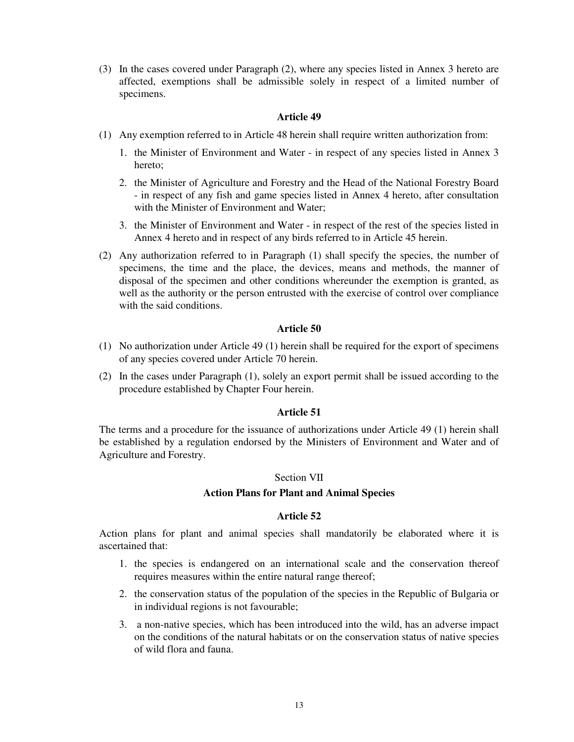(3) In the cases covered under Paragraph (2), where any species listed in Annex 3 hereto are affected, exemptions shall be admissible solely in respect of a limited number of specimens.

# **Article 49**

- (1) Any exemption referred to in Article 48 herein shall require written authorization from:
	- 1. the Minister of Environment and Water in respect of any species listed in Annex 3 hereto;
	- 2. the Minister of Agriculture and Forestry and the Head of the National Forestry Board - in respect of any fish and game species listed in Annex 4 hereto, after consultation with the Minister of Environment and Water:
	- 3. the Minister of Environment and Water in respect of the rest of the species listed in Annex 4 hereto and in respect of any birds referred to in Article 45 herein.
- (2) Any authorization referred to in Paragraph (1) shall specify the species, the number of specimens, the time and the place, the devices, means and methods, the manner of disposal of the specimen and other conditions whereunder the exemption is granted, as well as the authority or the person entrusted with the exercise of control over compliance with the said conditions.

# **Article 50**

- (1) No authorization under Article 49 (1) herein shall be required for the export of specimens of any species covered under Article 70 herein.
- (2) In the cases under Paragraph (1), solely an export permit shall be issued according to the procedure established by Chapter Four herein.

### **Article 51**

The terms and a procedure for the issuance of authorizations under Article 49 (1) herein shall be established by a regulation endorsed by the Ministers of Environment and Water and of Agriculture and Forestry.

### Section VII

### **Action Plans for Plant and Animal Species**

# **Article 52**

Action plans for plant and animal species shall mandatorily be elaborated where it is ascertained that:

- 1. the species is endangered on an international scale and the conservation thereof requires measures within the entire natural range thereof;
- 2. the conservation status of the population of the species in the Republic of Bulgaria or in individual regions is not favourable;
- 3. a non-native species, which has been introduced into the wild, has an adverse impact on the conditions of the natural habitats or on the conservation status of native species of wild flora and fauna.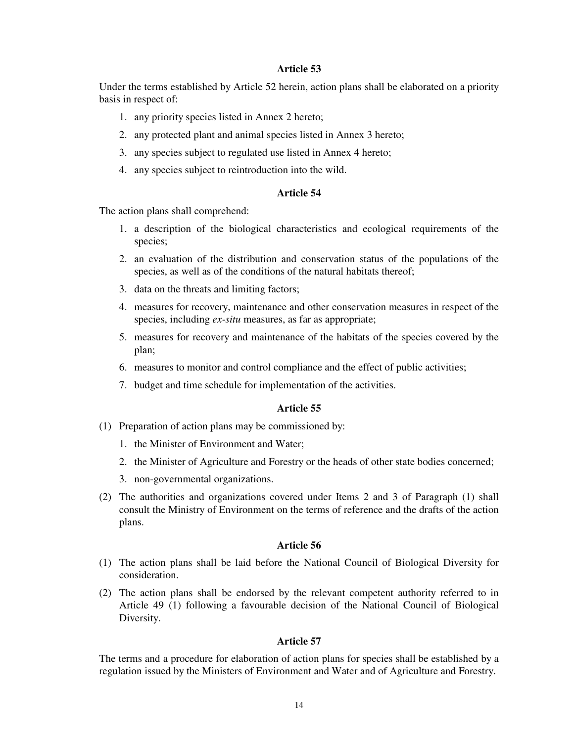Under the terms established by Article 52 herein, action plans shall be elaborated on a priority basis in respect of:

- 1. any priority species listed in Annex 2 hereto;
- 2. any protected plant and animal species listed in Annex 3 hereto;
- 3. any species subject to regulated use listed in Annex 4 hereto;
- 4. any species subject to reintroduction into the wild.

#### **Article 54**

The action plans shall comprehend:

- 1. a description of the biological characteristics and ecological requirements of the species;
- 2. an evaluation of the distribution and conservation status of the populations of the species, as well as of the conditions of the natural habitats thereof;
- 3. data on the threats and limiting factors;
- 4. measures for recovery, maintenance and other conservation measures in respect of the species, including *ex-situ* measures, as far as appropriate;
- 5. measures for recovery and maintenance of the habitats of the species covered by the plan;
- 6. measures to monitor and control compliance and the effect of public activities;
- 7. budget and time schedule for implementation of the activities.

### **Article 55**

- (1) Preparation of action plans may be commissioned by:
	- 1. the Minister of Environment and Water;
	- 2. the Minister of Agriculture and Forestry or the heads of other state bodies concerned;
	- 3. non-governmental organizations.
- (2) The authorities and organizations covered under Items 2 and 3 of Paragraph (1) shall consult the Ministry of Environment on the terms of reference and the drafts of the action plans.

#### **Article 56**

- (1) The action plans shall be laid before the National Council of Biological Diversity for consideration.
- (2) The action plans shall be endorsed by the relevant competent authority referred to in Article 49 (1) following a favourable decision of the National Council of Biological Diversity.

### **Article 57**

The terms and a procedure for elaboration of action plans for species shall be established by a regulation issued by the Ministers of Environment and Water and of Agriculture and Forestry.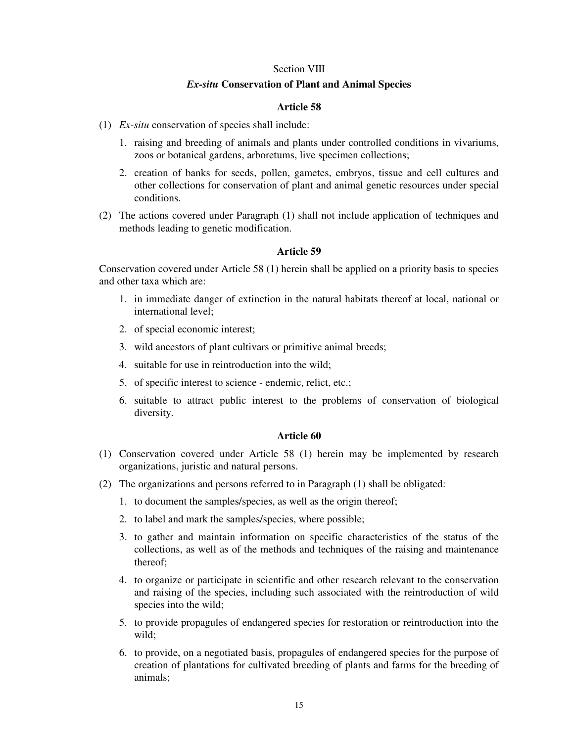#### Section VIII

### *Ex-situ* **Conservation of Plant and Animal Species**

# **Article 58**

- (1) *Ex-situ* conservation of species shall include:
	- 1. raising and breeding of animals and plants under controlled conditions in vivariums, zoos or botanical gardens, arboretums, live specimen collections;
	- 2. creation of banks for seeds, pollen, gametes, embryos, tissue and cell cultures and other collections for conservation of plant and animal genetic resources under special conditions.
- (2) The actions covered under Paragraph (1) shall not include application of techniques and methods leading to genetic modification.

### **Article 59**

Conservation covered under Article 58 (1) herein shall be applied on a priority basis to species and other taxa which are:

- 1. in immediate danger of extinction in the natural habitats thereof at local, national or international level;
- 2. of special economic interest;
- 3. wild ancestors of plant cultivars or primitive animal breeds;
- 4. suitable for use in reintroduction into the wild;
- 5. of specific interest to science endemic, relict, etc.;
- 6. suitable to attract public interest to the problems of conservation of biological diversity.

- (1) Conservation covered under Article 58 (1) herein may be implemented by research organizations, juristic and natural persons.
- (2) The organizations and persons referred to in Paragraph (1) shall be obligated:
	- 1. to document the samples/species, as well as the origin thereof;
	- 2. to label and mark the samples/species, where possible;
	- 3. to gather and maintain information on specific characteristics of the status of the collections, as well as of the methods and techniques of the raising and maintenance thereof;
	- 4. to organize or participate in scientific and other research relevant to the conservation and raising of the species, including such associated with the reintroduction of wild species into the wild;
	- 5. to provide propagules of endangered species for restoration or reintroduction into the wild;
	- 6. to provide, on a negotiated basis, propagules of endangered species for the purpose of creation of plantations for cultivated breeding of plants and farms for the breeding of animals;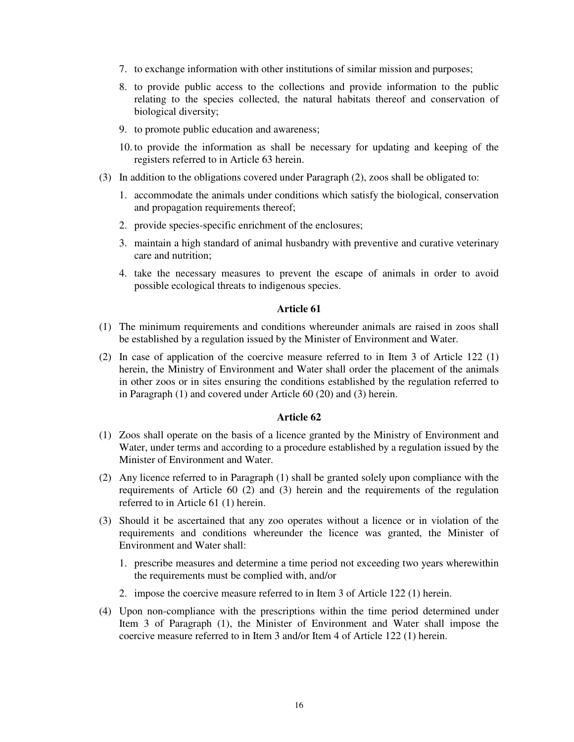- 7. to exchange information with other institutions of similar mission and purposes;
- 8. to provide public access to the collections and provide information to the public relating to the species collected, the natural habitats thereof and conservation of biological diversity;
- 9. to promote public education and awareness;
- 10. to provide the information as shall be necessary for updating and keeping of the registers referred to in Article 63 herein.
- (3) In addition to the obligations covered under Paragraph (2), zoos shall be obligated to:
	- 1. accommodate the animals under conditions which satisfy the biological, conservation and propagation requirements thereof;
	- 2. provide species-specific enrichment of the enclosures;
	- 3. maintain a high standard of animal husbandry with preventive and curative veterinary care and nutrition;
	- 4. take the necessary measures to prevent the escape of animals in order to avoid possible ecological threats to indigenous species.

- (1) The minimum requirements and conditions whereunder animals are raised in zoos shall be established by a regulation issued by the Minister of Environment and Water.
- (2) In case of application of the coercive measure referred to in Item 3 of Article 122 (1) herein, the Ministry of Environment and Water shall order the placement of the animals in other zoos or in sites ensuring the conditions established by the regulation referred to in Paragraph (1) and covered under Article 60 (20) and (3) herein.

- (1) Zoos shall operate on the basis of a licence granted by the Ministry of Environment and Water, under terms and according to a procedure established by a regulation issued by the Minister of Environment and Water.
- (2) Any licence referred to in Paragraph (1) shall be granted solely upon compliance with the requirements of Article 60 (2) and (3) herein and the requirements of the regulation referred to in Article 61 (1) herein.
- (3) Should it be ascertained that any zoo operates without a licence or in violation of the requirements and conditions whereunder the licence was granted, the Minister of Environment and Water shall:
	- 1. prescribe measures and determine a time period not exceeding two years wherewithin the requirements must be complied with, and/or
	- 2. impose the coercive measure referred to in Item 3 of Article 122 (1) herein.
- (4) Upon non-compliance with the prescriptions within the time period determined under Item 3 of Paragraph (1), the Minister of Environment and Water shall impose the coercive measure referred to in Item 3 and/or Item 4 of Article 122 (1) herein.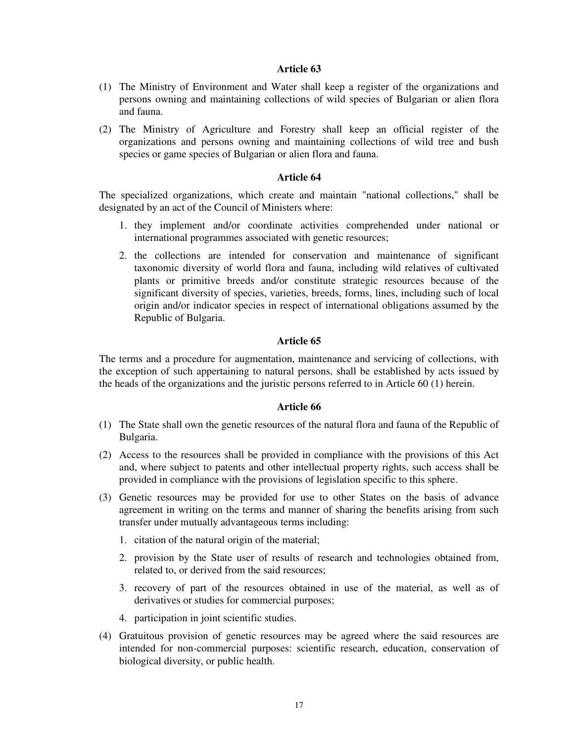- (1) The Ministry of Environment and Water shall keep a register of the organizations and persons owning and maintaining collections of wild species of Bulgarian or alien flora and fauna.
- (2) The Ministry of Agriculture and Forestry shall keep an official register of the organizations and persons owning and maintaining collections of wild tree and bush species or game species of Bulgarian or alien flora and fauna.

# **Article 64**

The specialized organizations, which create and maintain "national collections," shall be designated by an act of the Council of Ministers where:

- 1. they implement and/or coordinate activities comprehended under national or international programmes associated with genetic resources;
- 2. the collections are intended for conservation and maintenance of significant taxonomic diversity of world flora and fauna, including wild relatives of cultivated plants or primitive breeds and/or constitute strategic resources because of the significant diversity of species, varieties, breeds, forms, lines, including such of local origin and/or indicator species in respect of international obligations assumed by the Republic of Bulgaria.

# **Article 65**

The terms and a procedure for augmentation, maintenance and servicing of collections, with the exception of such appertaining to natural persons, shall be established by acts issued by the heads of the organizations and the juristic persons referred to in Article 60 (1) herein.

- (1) The State shall own the genetic resources of the natural flora and fauna of the Republic of Bulgaria.
- (2) Access to the resources shall be provided in compliance with the provisions of this Act and, where subject to patents and other intellectual property rights, such access shall be provided in compliance with the provisions of legislation specific to this sphere.
- (3) Genetic resources may be provided for use to other States on the basis of advance agreement in writing on the terms and manner of sharing the benefits arising from such transfer under mutually advantageous terms including:
	- 1. citation of the natural origin of the material;
	- 2. provision by the State user of results of research and technologies obtained from, related to, or derived from the said resources;
	- 3. recovery of part of the resources obtained in use of the material, as well as of derivatives or studies for commercial purposes;
	- 4. participation in joint scientific studies.
- (4) Gratuitous provision of genetic resources may be agreed where the said resources are intended for non-commercial purposes: scientific research, education, conservation of biological diversity, or public health.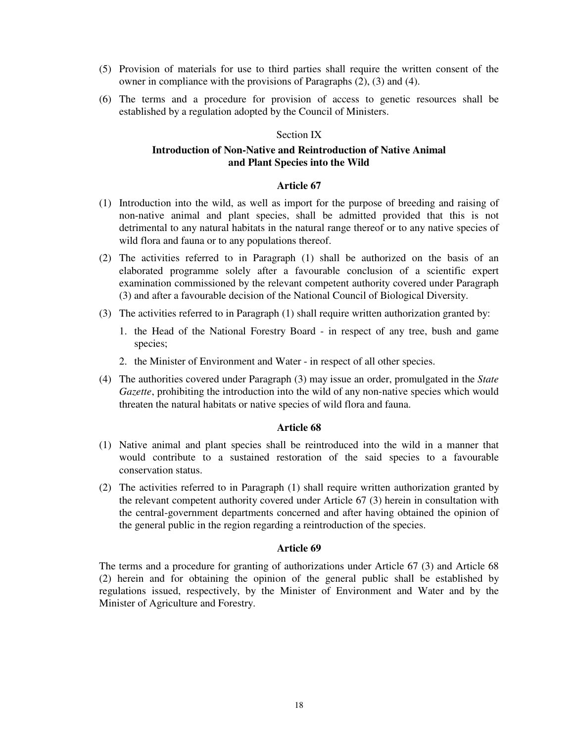- (5) Provision of materials for use to third parties shall require the written consent of the owner in compliance with the provisions of Paragraphs (2), (3) and (4).
- (6) The terms and a procedure for provision of access to genetic resources shall be established by a regulation adopted by the Council of Ministers.

# Section IX

# **Introduction of Non-Native and Reintroduction of Native Animal and Plant Species into the Wild**

# **Article 67**

- (1) Introduction into the wild, as well as import for the purpose of breeding and raising of non-native animal and plant species, shall be admitted provided that this is not detrimental to any natural habitats in the natural range thereof or to any native species of wild flora and fauna or to any populations thereof.
- (2) The activities referred to in Paragraph (1) shall be authorized on the basis of an elaborated programme solely after a favourable conclusion of a scientific expert examination commissioned by the relevant competent authority covered under Paragraph (3) and after a favourable decision of the National Council of Biological Diversity.
- (3) The activities referred to in Paragraph (1) shall require written authorization granted by:
	- 1. the Head of the National Forestry Board in respect of any tree, bush and game species;
	- 2. the Minister of Environment and Water in respect of all other species.
- (4) The authorities covered under Paragraph (3) may issue an order, promulgated in the *State Gazette*, prohibiting the introduction into the wild of any non-native species which would threaten the natural habitats or native species of wild flora and fauna.

# **Article 68**

- (1) Native animal and plant species shall be reintroduced into the wild in a manner that would contribute to a sustained restoration of the said species to a favourable conservation status.
- (2) The activities referred to in Paragraph (1) shall require written authorization granted by the relevant competent authority covered under Article 67 (3) herein in consultation with the central-government departments concerned and after having obtained the opinion of the general public in the region regarding a reintroduction of the species.

#### **Article 69**

The terms and a procedure for granting of authorizations under Article 67 (3) and Article 68 (2) herein and for obtaining the opinion of the general public shall be established by regulations issued, respectively, by the Minister of Environment and Water and by the Minister of Agriculture and Forestry.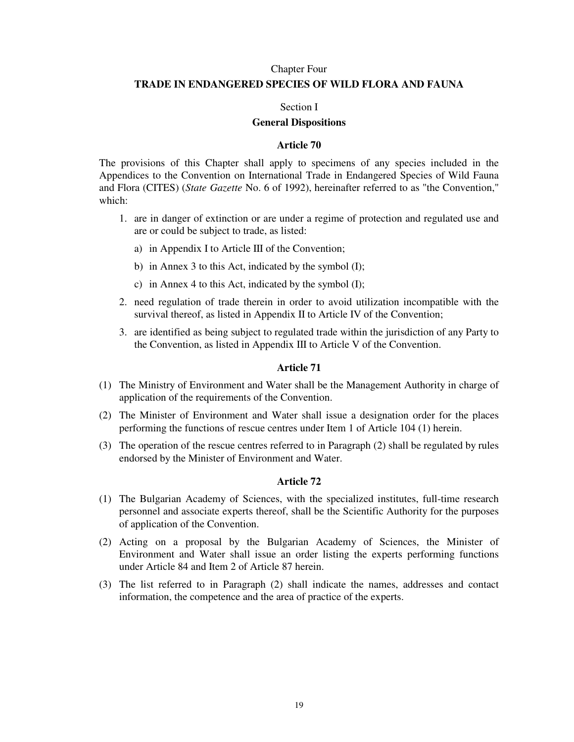### Chapter Four

# **TRADE IN ENDANGERED SPECIES OF WILD FLORA AND FAUNA**

#### Section I

### **General Dispositions**

# **Article 70**

The provisions of this Chapter shall apply to specimens of any species included in the Appendices to the Convention on International Trade in Endangered Species of Wild Fauna and Flora (CITES) (*State Gazette* No. 6 of 1992), hereinafter referred to as "the Convention," which:

- 1. are in danger of extinction or are under a regime of protection and regulated use and are or could be subject to trade, as listed:
	- a) in Appendix I to Article III of the Convention;
	- b) in Annex 3 to this Act, indicated by the symbol (I);
	- c) in Annex 4 to this Act, indicated by the symbol (I);
- 2. need regulation of trade therein in order to avoid utilization incompatible with the survival thereof, as listed in Appendix II to Article IV of the Convention;
- 3. are identified as being subject to regulated trade within the jurisdiction of any Party to the Convention, as listed in Appendix III to Article V of the Convention.

# **Article 71**

- (1) The Ministry of Environment and Water shall be the Management Authority in charge of application of the requirements of the Convention.
- (2) The Minister of Environment and Water shall issue a designation order for the places performing the functions of rescue centres under Item 1 of Article 104 (1) herein.
- (3) The operation of the rescue centres referred to in Paragraph (2) shall be regulated by rules endorsed by the Minister of Environment and Water.

- (1) The Bulgarian Academy of Sciences, with the specialized institutes, full-time research personnel and associate experts thereof, shall be the Scientific Authority for the purposes of application of the Convention.
- (2) Acting on a proposal by the Bulgarian Academy of Sciences, the Minister of Environment and Water shall issue an order listing the experts performing functions under Article 84 and Item 2 of Article 87 herein.
- (3) The list referred to in Paragraph (2) shall indicate the names, addresses and contact information, the competence and the area of practice of the experts.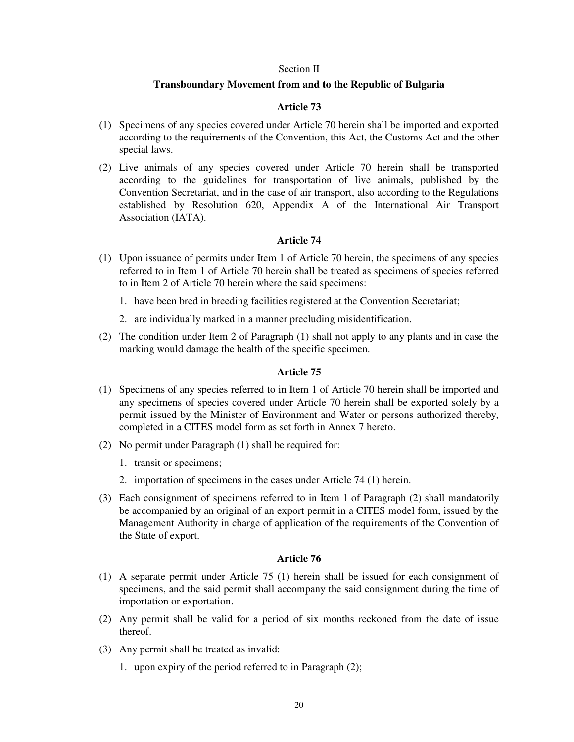#### Section II

### **Transboundary Movement from and to the Republic of Bulgaria**

# **Article 73**

- (1) Specimens of any species covered under Article 70 herein shall be imported and exported according to the requirements of the Convention, this Act, the Customs Act and the other special laws.
- (2) Live animals of any species covered under Article 70 herein shall be transported according to the guidelines for transportation of live animals, published by the Convention Secretariat, and in the case of air transport, also according to the Regulations established by Resolution 620, Appendix A of the International Air Transport Association (IATA).

# **Article 74**

- (1) Upon issuance of permits under Item 1 of Article 70 herein, the specimens of any species referred to in Item 1 of Article 70 herein shall be treated as specimens of species referred to in Item 2 of Article 70 herein where the said specimens:
	- 1. have been bred in breeding facilities registered at the Convention Secretariat;
	- 2. are individually marked in a manner precluding misidentification.
- (2) The condition under Item 2 of Paragraph (1) shall not apply to any plants and in case the marking would damage the health of the specific specimen.

### **Article 75**

- (1) Specimens of any species referred to in Item 1 of Article 70 herein shall be imported and any specimens of species covered under Article 70 herein shall be exported solely by a permit issued by the Minister of Environment and Water or persons authorized thereby, completed in a CITES model form as set forth in Annex 7 hereto.
- (2) No permit under Paragraph (1) shall be required for:
	- 1. transit or specimens;
	- 2. importation of specimens in the cases under Article 74 (1) herein.
- (3) Each consignment of specimens referred to in Item 1 of Paragraph (2) shall mandatorily be accompanied by an original of an export permit in a CITES model form, issued by the Management Authority in charge of application of the requirements of the Convention of the State of export.

- (1) A separate permit under Article 75 (1) herein shall be issued for each consignment of specimens, and the said permit shall accompany the said consignment during the time of importation or exportation.
- (2) Any permit shall be valid for a period of six months reckoned from the date of issue thereof.
- (3) Any permit shall be treated as invalid:
	- 1. upon expiry of the period referred to in Paragraph (2);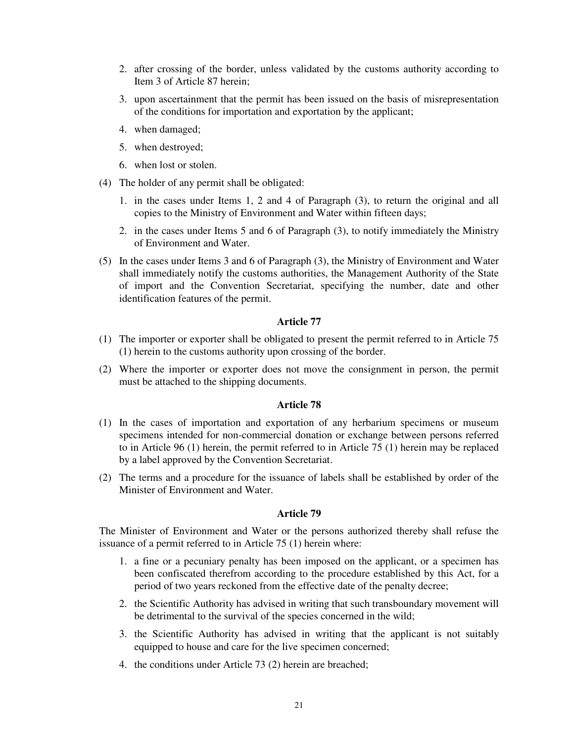- 2. after crossing of the border, unless validated by the customs authority according to Item 3 of Article 87 herein;
- 3. upon ascertainment that the permit has been issued on the basis of misrepresentation of the conditions for importation and exportation by the applicant;
- 4. when damaged;
- 5. when destroyed;
- 6. when lost or stolen.
- (4) The holder of any permit shall be obligated:
	- 1. in the cases under Items 1, 2 and 4 of Paragraph (3), to return the original and all copies to the Ministry of Environment and Water within fifteen days;
	- 2. in the cases under Items 5 and 6 of Paragraph (3), to notify immediately the Ministry of Environment and Water.
- (5) In the cases under Items 3 and 6 of Paragraph (3), the Ministry of Environment and Water shall immediately notify the customs authorities, the Management Authority of the State of import and the Convention Secretariat, specifying the number, date and other identification features of the permit.

- (1) The importer or exporter shall be obligated to present the permit referred to in Article 75 (1) herein to the customs authority upon crossing of the border.
- (2) Where the importer or exporter does not move the consignment in person, the permit must be attached to the shipping documents.

# **Article 78**

- (1) In the cases of importation and exportation of any herbarium specimens or museum specimens intended for non-commercial donation or exchange between persons referred to in Article 96 (1) herein, the permit referred to in Article 75 (1) herein may be replaced by a label approved by the Convention Secretariat.
- (2) The terms and a procedure for the issuance of labels shall be established by order of the Minister of Environment and Water.

# **Article 79**

The Minister of Environment and Water or the persons authorized thereby shall refuse the issuance of a permit referred to in Article 75 (1) herein where:

- 1. a fine or a pecuniary penalty has been imposed on the applicant, or a specimen has been confiscated therefrom according to the procedure established by this Act, for a period of two years reckoned from the effective date of the penalty decree;
- 2. the Scientific Authority has advised in writing that such transboundary movement will be detrimental to the survival of the species concerned in the wild;
- 3. the Scientific Authority has advised in writing that the applicant is not suitably equipped to house and care for the live specimen concerned;
- 4. the conditions under Article 73 (2) herein are breached;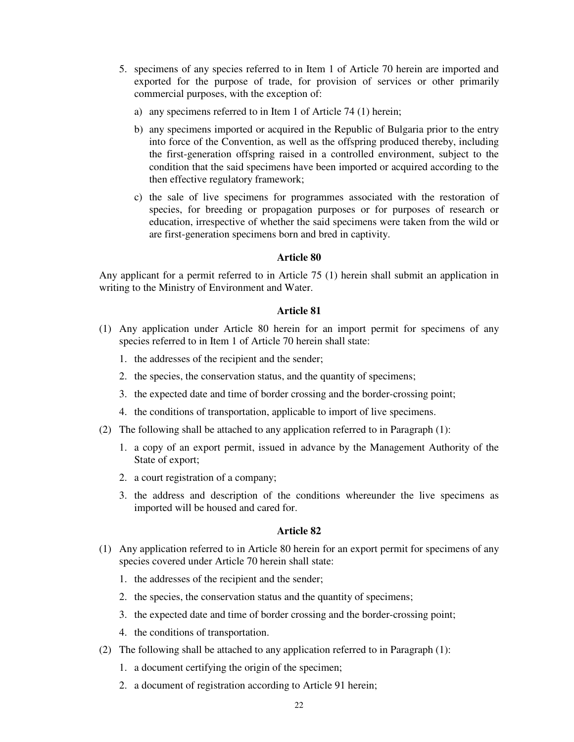- 5. specimens of any species referred to in Item 1 of Article 70 herein are imported and exported for the purpose of trade, for provision of services or other primarily commercial purposes, with the exception of:
	- a) any specimens referred to in Item 1 of Article 74 (1) herein;
	- b) any specimens imported or acquired in the Republic of Bulgaria prior to the entry into force of the Convention, as well as the offspring produced thereby, including the first-generation offspring raised in a controlled environment, subject to the condition that the said specimens have been imported or acquired according to the then effective regulatory framework;
	- c) the sale of live specimens for programmes associated with the restoration of species, for breeding or propagation purposes or for purposes of research or education, irrespective of whether the said specimens were taken from the wild or are first-generation specimens born and bred in captivity.

Any applicant for a permit referred to in Article 75 (1) herein shall submit an application in writing to the Ministry of Environment and Water.

### **Article 81**

- (1) Any application under Article 80 herein for an import permit for specimens of any species referred to in Item 1 of Article 70 herein shall state:
	- 1. the addresses of the recipient and the sender;
	- 2. the species, the conservation status, and the quantity of specimens;
	- 3. the expected date and time of border crossing and the border-crossing point;
	- 4. the conditions of transportation, applicable to import of live specimens.
- (2) The following shall be attached to any application referred to in Paragraph (1):
	- 1. a copy of an export permit, issued in advance by the Management Authority of the State of export;
	- 2. a court registration of a company;
	- 3. the address and description of the conditions whereunder the live specimens as imported will be housed and cared for.

- (1) Any application referred to in Article 80 herein for an export permit for specimens of any species covered under Article 70 herein shall state:
	- 1. the addresses of the recipient and the sender;
	- 2. the species, the conservation status and the quantity of specimens;
	- 3. the expected date and time of border crossing and the border-crossing point;
	- 4. the conditions of transportation.
- (2) The following shall be attached to any application referred to in Paragraph (1):
	- 1. a document certifying the origin of the specimen;
	- 2. a document of registration according to Article 91 herein;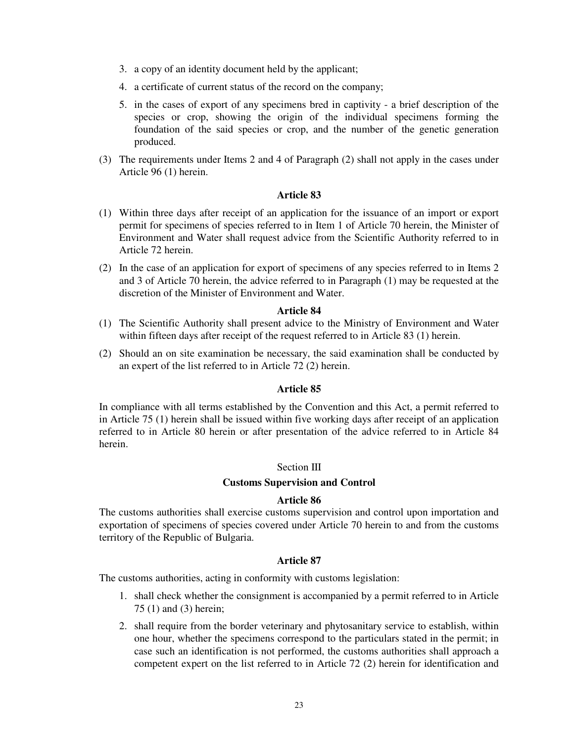- 3. a copy of an identity document held by the applicant;
- 4. a certificate of current status of the record on the company;
- 5. in the cases of export of any specimens bred in captivity a brief description of the species or crop, showing the origin of the individual specimens forming the foundation of the said species or crop, and the number of the genetic generation produced.
- (3) The requirements under Items 2 and 4 of Paragraph (2) shall not apply in the cases under Article 96 (1) herein.

- (1) Within three days after receipt of an application for the issuance of an import or export permit for specimens of species referred to in Item 1 of Article 70 herein, the Minister of Environment and Water shall request advice from the Scientific Authority referred to in Article 72 herein.
- (2) In the case of an application for export of specimens of any species referred to in Items 2 and 3 of Article 70 herein, the advice referred to in Paragraph (1) may be requested at the discretion of the Minister of Environment and Water.

### **Article 84**

- (1) The Scientific Authority shall present advice to the Ministry of Environment and Water within fifteen days after receipt of the request referred to in Article 83 (1) herein.
- (2) Should an on site examination be necessary, the said examination shall be conducted by an expert of the list referred to in Article 72 (2) herein.

### **Article 85**

In compliance with all terms established by the Convention and this Act, a permit referred to in Article 75 (1) herein shall be issued within five working days after receipt of an application referred to in Article 80 herein or after presentation of the advice referred to in Article 84 herein.

### Section III

### **Customs Supervision and Control**

### **Article 86**

The customs authorities shall exercise customs supervision and control upon importation and exportation of specimens of species covered under Article 70 herein to and from the customs territory of the Republic of Bulgaria.

# **Article 87**

The customs authorities, acting in conformity with customs legislation:

- 1. shall check whether the consignment is accompanied by a permit referred to in Article 75 (1) and (3) herein;
- 2. shall require from the border veterinary and phytosanitary service to establish, within one hour, whether the specimens correspond to the particulars stated in the permit; in case such an identification is not performed, the customs authorities shall approach a competent expert on the list referred to in Article 72 (2) herein for identification and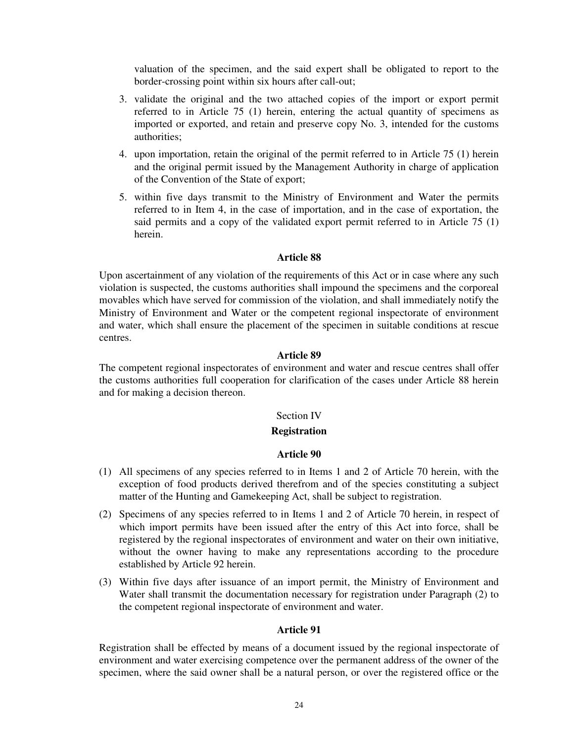valuation of the specimen, and the said expert shall be obligated to report to the border-crossing point within six hours after call-out;

- 3. validate the original and the two attached copies of the import or export permit referred to in Article 75 (1) herein, entering the actual quantity of specimens as imported or exported, and retain and preserve copy No. 3, intended for the customs authorities;
- 4. upon importation, retain the original of the permit referred to in Article 75 (1) herein and the original permit issued by the Management Authority in charge of application of the Convention of the State of export;
- 5. within five days transmit to the Ministry of Environment and Water the permits referred to in Item 4, in the case of importation, and in the case of exportation, the said permits and a copy of the validated export permit referred to in Article 75 (1) herein.

# **Article 88**

Upon ascertainment of any violation of the requirements of this Act or in case where any such violation is suspected, the customs authorities shall impound the specimens and the corporeal movables which have served for commission of the violation, and shall immediately notify the Ministry of Environment and Water or the competent regional inspectorate of environment and water, which shall ensure the placement of the specimen in suitable conditions at rescue centres.

### **Article 89**

The competent regional inspectorates of environment and water and rescue centres shall offer the customs authorities full cooperation for clarification of the cases under Article 88 herein and for making a decision thereon.

### Section IV

#### **Registration**

#### **Article 90**

- (1) All specimens of any species referred to in Items 1 and 2 of Article 70 herein, with the exception of food products derived therefrom and of the species constituting a subject matter of the Hunting and Gamekeeping Act, shall be subject to registration.
- (2) Specimens of any species referred to in Items 1 and 2 of Article 70 herein, in respect of which import permits have been issued after the entry of this Act into force, shall be registered by the regional inspectorates of environment and water on their own initiative, without the owner having to make any representations according to the procedure established by Article 92 herein.
- (3) Within five days after issuance of an import permit, the Ministry of Environment and Water shall transmit the documentation necessary for registration under Paragraph (2) to the competent regional inspectorate of environment and water.

#### **Article 91**

Registration shall be effected by means of a document issued by the regional inspectorate of environment and water exercising competence over the permanent address of the owner of the specimen, where the said owner shall be a natural person, or over the registered office or the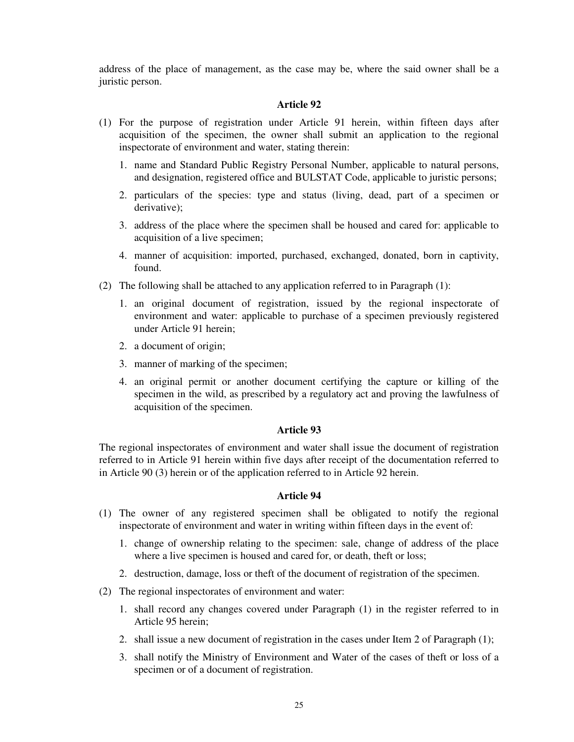address of the place of management, as the case may be, where the said owner shall be a juristic person.

### **Article 92**

- (1) For the purpose of registration under Article 91 herein, within fifteen days after acquisition of the specimen, the owner shall submit an application to the regional inspectorate of environment and water, stating therein:
	- 1. name and Standard Public Registry Personal Number, applicable to natural persons, and designation, registered office and BULSTAT Code, applicable to juristic persons;
	- 2. particulars of the species: type and status (living, dead, part of a specimen or derivative);
	- 3. address of the place where the specimen shall be housed and cared for: applicable to acquisition of a live specimen;
	- 4. manner of acquisition: imported, purchased, exchanged, donated, born in captivity, found.
- (2) The following shall be attached to any application referred to in Paragraph (1):
	- 1. an original document of registration, issued by the regional inspectorate of environment and water: applicable to purchase of a specimen previously registered under Article 91 herein;
	- 2. a document of origin;
	- 3. manner of marking of the specimen;
	- 4. an original permit or another document certifying the capture or killing of the specimen in the wild, as prescribed by a regulatory act and proving the lawfulness of acquisition of the specimen.

### **Article 93**

The regional inspectorates of environment and water shall issue the document of registration referred to in Article 91 herein within five days after receipt of the documentation referred to in Article 90 (3) herein or of the application referred to in Article 92 herein.

- (1) The owner of any registered specimen shall be obligated to notify the regional inspectorate of environment and water in writing within fifteen days in the event of:
	- 1. change of ownership relating to the specimen: sale, change of address of the place where a live specimen is housed and cared for, or death, theft or loss;
	- 2. destruction, damage, loss or theft of the document of registration of the specimen.
- (2) The regional inspectorates of environment and water:
	- 1. shall record any changes covered under Paragraph (1) in the register referred to in Article 95 herein;
	- 2. shall issue a new document of registration in the cases under Item 2 of Paragraph (1);
	- 3. shall notify the Ministry of Environment and Water of the cases of theft or loss of a specimen or of a document of registration.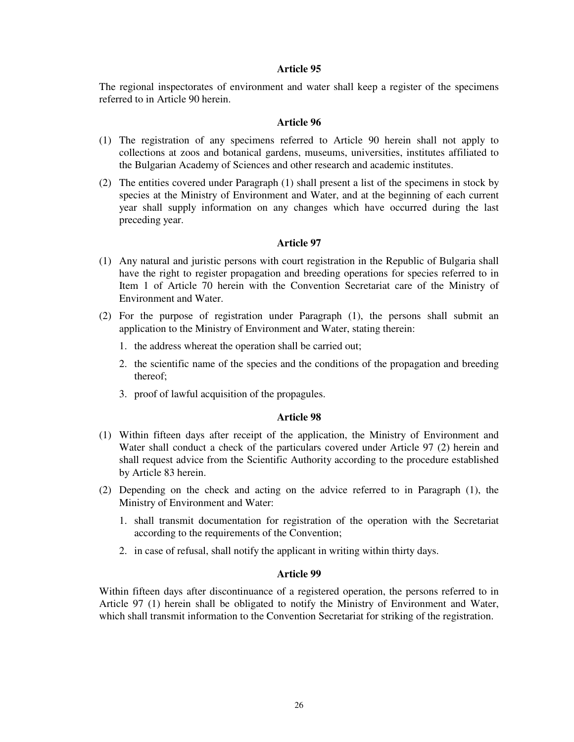The regional inspectorates of environment and water shall keep a register of the specimens referred to in Article 90 herein.

# **Article 96**

- (1) The registration of any specimens referred to Article 90 herein shall not apply to collections at zoos and botanical gardens, museums, universities, institutes affiliated to the Bulgarian Academy of Sciences and other research and academic institutes.
- (2) The entities covered under Paragraph (1) shall present a list of the specimens in stock by species at the Ministry of Environment and Water, and at the beginning of each current year shall supply information on any changes which have occurred during the last preceding year.

# **Article 97**

- (1) Any natural and juristic persons with court registration in the Republic of Bulgaria shall have the right to register propagation and breeding operations for species referred to in Item 1 of Article 70 herein with the Convention Secretariat care of the Ministry of Environment and Water.
- (2) For the purpose of registration under Paragraph (1), the persons shall submit an application to the Ministry of Environment and Water, stating therein:
	- 1. the address whereat the operation shall be carried out;
	- 2. the scientific name of the species and the conditions of the propagation and breeding thereof;
	- 3. proof of lawful acquisition of the propagules.

### **Article 98**

- (1) Within fifteen days after receipt of the application, the Ministry of Environment and Water shall conduct a check of the particulars covered under Article 97 (2) herein and shall request advice from the Scientific Authority according to the procedure established by Article 83 herein.
- (2) Depending on the check and acting on the advice referred to in Paragraph (1), the Ministry of Environment and Water:
	- 1. shall transmit documentation for registration of the operation with the Secretariat according to the requirements of the Convention;
	- 2. in case of refusal, shall notify the applicant in writing within thirty days.

### **Article 99**

Within fifteen days after discontinuance of a registered operation, the persons referred to in Article 97 (1) herein shall be obligated to notify the Ministry of Environment and Water, which shall transmit information to the Convention Secretariat for striking of the registration.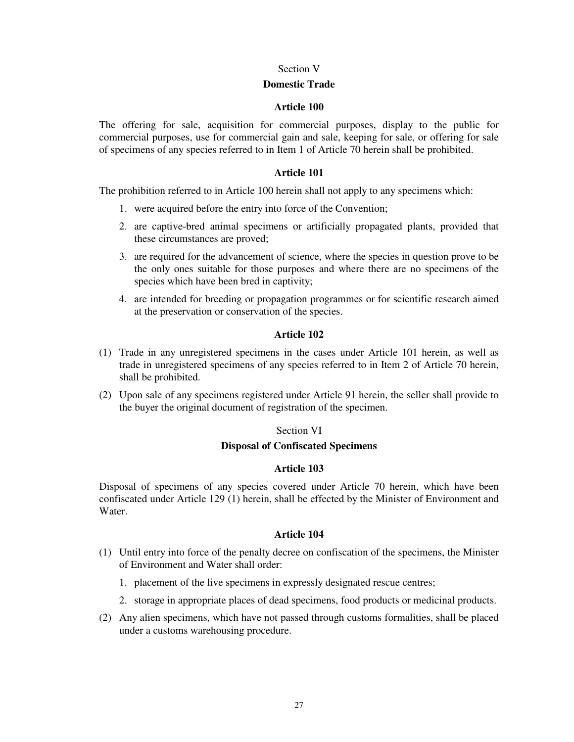### Section V

### **Domestic Trade**

# **Article 100**

The offering for sale, acquisition for commercial purposes, display to the public for commercial purposes, use for commercial gain and sale, keeping for sale, or offering for sale of specimens of any species referred to in Item 1 of Article 70 herein shall be prohibited.

# **Article 101**

The prohibition referred to in Article 100 herein shall not apply to any specimens which:

- 1. were acquired before the entry into force of the Convention;
- 2. are captive-bred animal specimens or artificially propagated plants, provided that these circumstances are proved;
- 3. are required for the advancement of science, where the species in question prove to be the only ones suitable for those purposes and where there are no specimens of the species which have been bred in captivity;
- 4. are intended for breeding or propagation programmes or for scientific research aimed at the preservation or conservation of the species.

# **Article 102**

- (1) Trade in any unregistered specimens in the cases under Article 101 herein, as well as trade in unregistered specimens of any species referred to in Item 2 of Article 70 herein, shall be prohibited.
- (2) Upon sale of any specimens registered under Article 91 herein, the seller shall provide to the buyer the original document of registration of the specimen.

# Section VI

# **Disposal of Confiscated Specimens**

# **Article 103**

Disposal of specimens of any species covered under Article 70 herein, which have been confiscated under Article 129 (1) herein, shall be effected by the Minister of Environment and Water.

- (1) Until entry into force of the penalty decree on confiscation of the specimens, the Minister of Environment and Water shall order:
	- 1. placement of the live specimens in expressly designated rescue centres;
	- 2. storage in appropriate places of dead specimens, food products or medicinal products.
- (2) Any alien specimens, which have not passed through customs formalities, shall be placed under a customs warehousing procedure.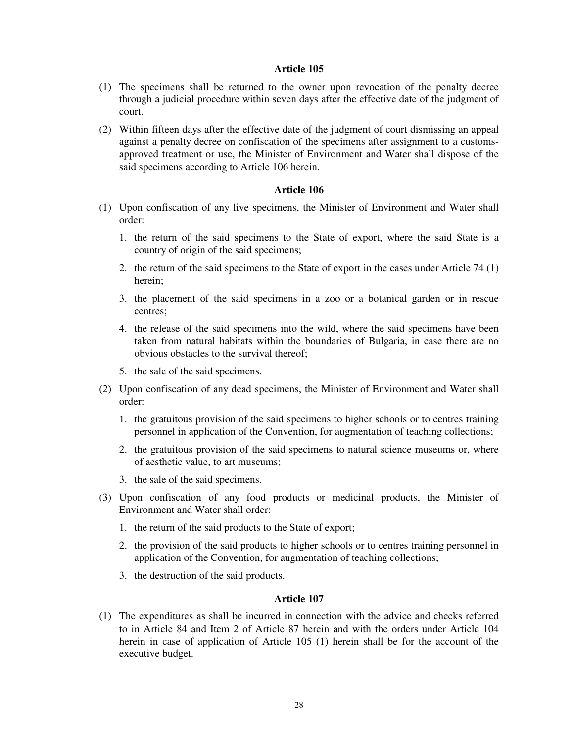- (1) The specimens shall be returned to the owner upon revocation of the penalty decree through a judicial procedure within seven days after the effective date of the judgment of court.
- (2) Within fifteen days after the effective date of the judgment of court dismissing an appeal against a penalty decree on confiscation of the specimens after assignment to a customsapproved treatment or use, the Minister of Environment and Water shall dispose of the said specimens according to Article 106 herein.

# **Article 106**

- (1) Upon confiscation of any live specimens, the Minister of Environment and Water shall order:
	- 1. the return of the said specimens to the State of export, where the said State is a country of origin of the said specimens;
	- 2. the return of the said specimens to the State of export in the cases under Article 74 (1) herein;
	- 3. the placement of the said specimens in a zoo or a botanical garden or in rescue centres;
	- 4. the release of the said specimens into the wild, where the said specimens have been taken from natural habitats within the boundaries of Bulgaria, in case there are no obvious obstacles to the survival thereof;
	- 5. the sale of the said specimens.
- (2) Upon confiscation of any dead specimens, the Minister of Environment and Water shall order:
	- 1. the gratuitous provision of the said specimens to higher schools or to centres training personnel in application of the Convention, for augmentation of teaching collections;
	- 2. the gratuitous provision of the said specimens to natural science museums or, where of aesthetic value, to art museums;
	- 3. the sale of the said specimens.
- (3) Upon confiscation of any food products or medicinal products, the Minister of Environment and Water shall order:
	- 1. the return of the said products to the State of export;
	- 2. the provision of the said products to higher schools or to centres training personnel in application of the Convention, for augmentation of teaching collections;
	- 3. the destruction of the said products.

# **Article 107**

(1) The expenditures as shall be incurred in connection with the advice and checks referred to in Article 84 and Item 2 of Article 87 herein and with the orders under Article 104 herein in case of application of Article 105 (1) herein shall be for the account of the executive budget.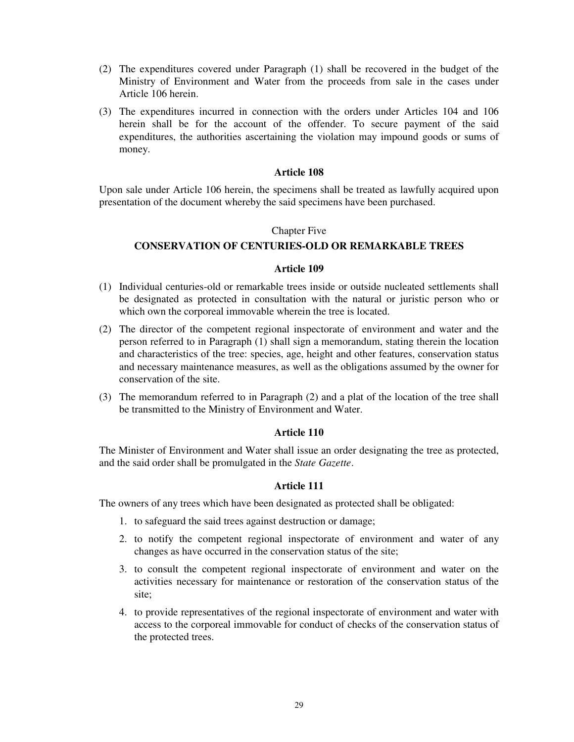- (2) The expenditures covered under Paragraph (1) shall be recovered in the budget of the Ministry of Environment and Water from the proceeds from sale in the cases under Article 106 herein.
- (3) The expenditures incurred in connection with the orders under Articles 104 and 106 herein shall be for the account of the offender. To secure payment of the said expenditures, the authorities ascertaining the violation may impound goods or sums of money.

Upon sale under Article 106 herein, the specimens shall be treated as lawfully acquired upon presentation of the document whereby the said specimens have been purchased.

#### Chapter Five

# **CONSERVATION OF CENTURIES-OLD OR REMARKABLE TREES**

### **Article 109**

- (1) Individual centuries-old or remarkable trees inside or outside nucleated settlements shall be designated as protected in consultation with the natural or juristic person who or which own the corporeal immovable wherein the tree is located.
- (2) The director of the competent regional inspectorate of environment and water and the person referred to in Paragraph (1) shall sign a memorandum, stating therein the location and characteristics of the tree: species, age, height and other features, conservation status and necessary maintenance measures, as well as the obligations assumed by the owner for conservation of the site.
- (3) The memorandum referred to in Paragraph (2) and a plat of the location of the tree shall be transmitted to the Ministry of Environment and Water.

# **Article 110**

The Minister of Environment and Water shall issue an order designating the tree as protected, and the said order shall be promulgated in the *State Gazette*.

# **Article 111**

The owners of any trees which have been designated as protected shall be obligated:

- 1. to safeguard the said trees against destruction or damage;
- 2. to notify the competent regional inspectorate of environment and water of any changes as have occurred in the conservation status of the site;
- 3. to consult the competent regional inspectorate of environment and water on the activities necessary for maintenance or restoration of the conservation status of the site;
- 4. to provide representatives of the regional inspectorate of environment and water with access to the corporeal immovable for conduct of checks of the conservation status of the protected trees.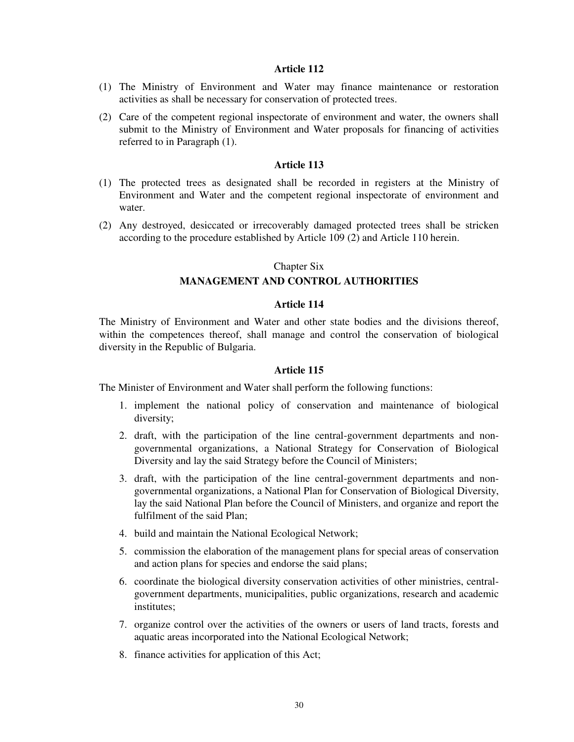- (1) The Ministry of Environment and Water may finance maintenance or restoration activities as shall be necessary for conservation of protected trees.
- (2) Care of the competent regional inspectorate of environment and water, the owners shall submit to the Ministry of Environment and Water proposals for financing of activities referred to in Paragraph (1).

# **Article 113**

- (1) The protected trees as designated shall be recorded in registers at the Ministry of Environment and Water and the competent regional inspectorate of environment and water.
- (2) Any destroyed, desiccated or irrecoverably damaged protected trees shall be stricken according to the procedure established by Article 109 (2) and Article 110 herein.

#### Chapter Six

# **MANAGEMENT AND CONTROL AUTHORITIES**

#### **Article 114**

The Ministry of Environment and Water and other state bodies and the divisions thereof, within the competences thereof, shall manage and control the conservation of biological diversity in the Republic of Bulgaria.

#### **Article 115**

The Minister of Environment and Water shall perform the following functions:

- 1. implement the national policy of conservation and maintenance of biological diversity;
- 2. draft, with the participation of the line central-government departments and nongovernmental organizations, a National Strategy for Conservation of Biological Diversity and lay the said Strategy before the Council of Ministers;
- 3. draft, with the participation of the line central-government departments and nongovernmental organizations, a National Plan for Conservation of Biological Diversity, lay the said National Plan before the Council of Ministers, and organize and report the fulfilment of the said Plan;
- 4. build and maintain the National Ecological Network;
- 5. commission the elaboration of the management plans for special areas of conservation and action plans for species and endorse the said plans;
- 6. coordinate the biological diversity conservation activities of other ministries, centralgovernment departments, municipalities, public organizations, research and academic institutes;
- 7. organize control over the activities of the owners or users of land tracts, forests and aquatic areas incorporated into the National Ecological Network;
- 8. finance activities for application of this Act;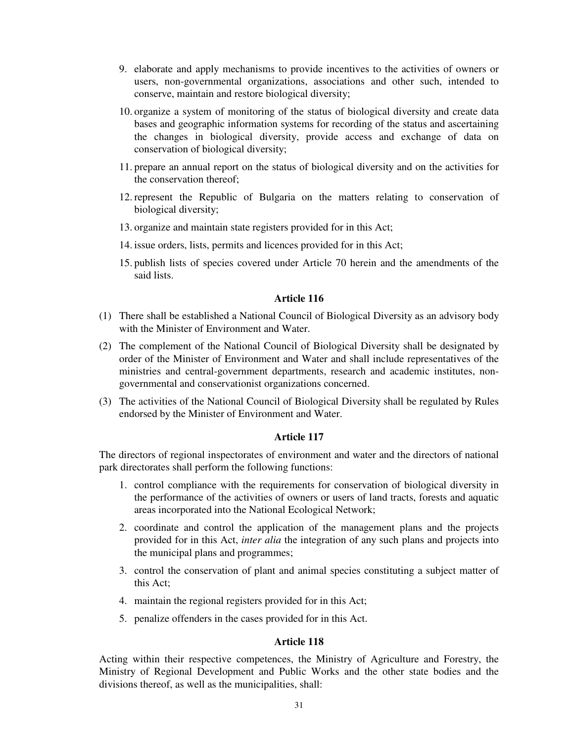- 9. elaborate and apply mechanisms to provide incentives to the activities of owners or users, non-governmental organizations, associations and other such, intended to conserve, maintain and restore biological diversity;
- 10. organize a system of monitoring of the status of biological diversity and create data bases and geographic information systems for recording of the status and ascertaining the changes in biological diversity, provide access and exchange of data on conservation of biological diversity;
- 11. prepare an annual report on the status of biological diversity and on the activities for the conservation thereof;
- 12. represent the Republic of Bulgaria on the matters relating to conservation of biological diversity;
- 13. organize and maintain state registers provided for in this Act;
- 14. issue orders, lists, permits and licences provided for in this Act;
- 15. publish lists of species covered under Article 70 herein and the amendments of the said lists.

- (1) There shall be established a National Council of Biological Diversity as an advisory body with the Minister of Environment and Water.
- (2) The complement of the National Council of Biological Diversity shall be designated by order of the Minister of Environment and Water and shall include representatives of the ministries and central-government departments, research and academic institutes, nongovernmental and conservationist organizations concerned.
- (3) The activities of the National Council of Biological Diversity shall be regulated by Rules endorsed by the Minister of Environment and Water.

# **Article 117**

The directors of regional inspectorates of environment and water and the directors of national park directorates shall perform the following functions:

- 1. control compliance with the requirements for conservation of biological diversity in the performance of the activities of owners or users of land tracts, forests and aquatic areas incorporated into the National Ecological Network;
- 2. coordinate and control the application of the management plans and the projects provided for in this Act, *inter alia* the integration of any such plans and projects into the municipal plans and programmes;
- 3. control the conservation of plant and animal species constituting a subject matter of this Act;
- 4. maintain the regional registers provided for in this Act;
- 5. penalize offenders in the cases provided for in this Act.

# **Article 118**

Acting within their respective competences, the Ministry of Agriculture and Forestry, the Ministry of Regional Development and Public Works and the other state bodies and the divisions thereof, as well as the municipalities, shall: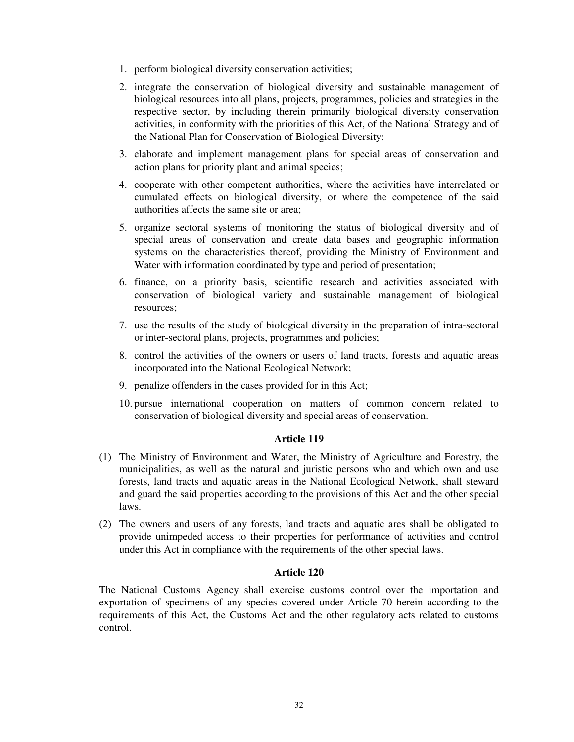- 1. perform biological diversity conservation activities;
- 2. integrate the conservation of biological diversity and sustainable management of biological resources into all plans, projects, programmes, policies and strategies in the respective sector, by including therein primarily biological diversity conservation activities, in conformity with the priorities of this Act, of the National Strategy and of the National Plan for Conservation of Biological Diversity;
- 3. elaborate and implement management plans for special areas of conservation and action plans for priority plant and animal species;
- 4. cooperate with other competent authorities, where the activities have interrelated or cumulated effects on biological diversity, or where the competence of the said authorities affects the same site or area;
- 5. organize sectoral systems of monitoring the status of biological diversity and of special areas of conservation and create data bases and geographic information systems on the characteristics thereof, providing the Ministry of Environment and Water with information coordinated by type and period of presentation;
- 6. finance, on a priority basis, scientific research and activities associated with conservation of biological variety and sustainable management of biological resources;
- 7. use the results of the study of biological diversity in the preparation of intra-sectoral or inter-sectoral plans, projects, programmes and policies;
- 8. control the activities of the owners or users of land tracts, forests and aquatic areas incorporated into the National Ecological Network;
- 9. penalize offenders in the cases provided for in this Act;
- 10. pursue international cooperation on matters of common concern related to conservation of biological diversity and special areas of conservation.

- (1) The Ministry of Environment and Water, the Ministry of Agriculture and Forestry, the municipalities, as well as the natural and juristic persons who and which own and use forests, land tracts and aquatic areas in the National Ecological Network, shall steward and guard the said properties according to the provisions of this Act and the other special laws.
- (2) The owners and users of any forests, land tracts and aquatic ares shall be obligated to provide unimpeded access to their properties for performance of activities and control under this Act in compliance with the requirements of the other special laws.

# **Article 120**

The National Customs Agency shall exercise customs control over the importation and exportation of specimens of any species covered under Article 70 herein according to the requirements of this Act, the Customs Act and the other regulatory acts related to customs control.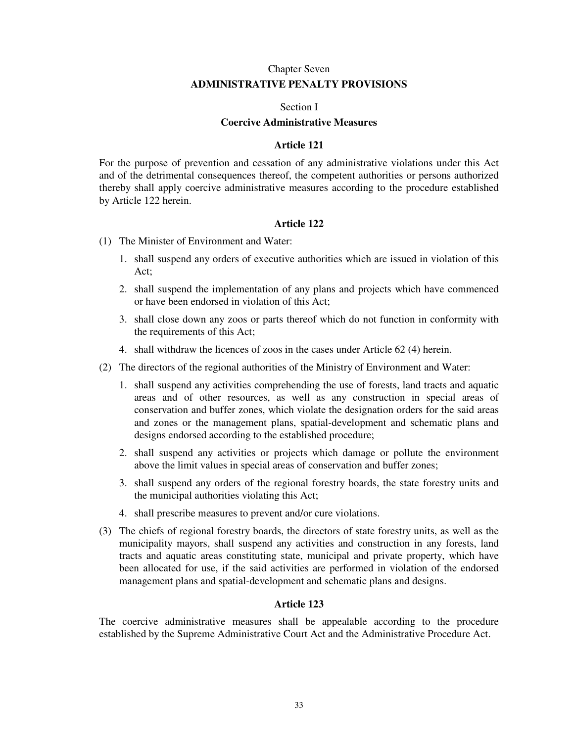# Chapter Seven **ADMINISTRATIVE PENALTY PROVISIONS**

### Section I

# **Coercive Administrative Measures**

# **Article 121**

For the purpose of prevention and cessation of any administrative violations under this Act and of the detrimental consequences thereof, the competent authorities or persons authorized thereby shall apply coercive administrative measures according to the procedure established by Article 122 herein.

# **Article 122**

- (1) The Minister of Environment and Water:
	- 1. shall suspend any orders of executive authorities which are issued in violation of this Act;
	- 2. shall suspend the implementation of any plans and projects which have commenced or have been endorsed in violation of this Act;
	- 3. shall close down any zoos or parts thereof which do not function in conformity with the requirements of this Act;
	- 4. shall withdraw the licences of zoos in the cases under Article 62 (4) herein.
- (2) The directors of the regional authorities of the Ministry of Environment and Water:
	- 1. shall suspend any activities comprehending the use of forests, land tracts and aquatic areas and of other resources, as well as any construction in special areas of conservation and buffer zones, which violate the designation orders for the said areas and zones or the management plans, spatial-development and schematic plans and designs endorsed according to the established procedure;
	- 2. shall suspend any activities or projects which damage or pollute the environment above the limit values in special areas of conservation and buffer zones;
	- 3. shall suspend any orders of the regional forestry boards, the state forestry units and the municipal authorities violating this Act;
	- 4. shall prescribe measures to prevent and/or cure violations.
- (3) The chiefs of regional forestry boards, the directors of state forestry units, as well as the municipality mayors, shall suspend any activities and construction in any forests, land tracts and aquatic areas constituting state, municipal and private property, which have been allocated for use, if the said activities are performed in violation of the endorsed management plans and spatial-development and schematic plans and designs.

### **Article 123**

The coercive administrative measures shall be appealable according to the procedure established by the Supreme Administrative Court Act and the Administrative Procedure Act.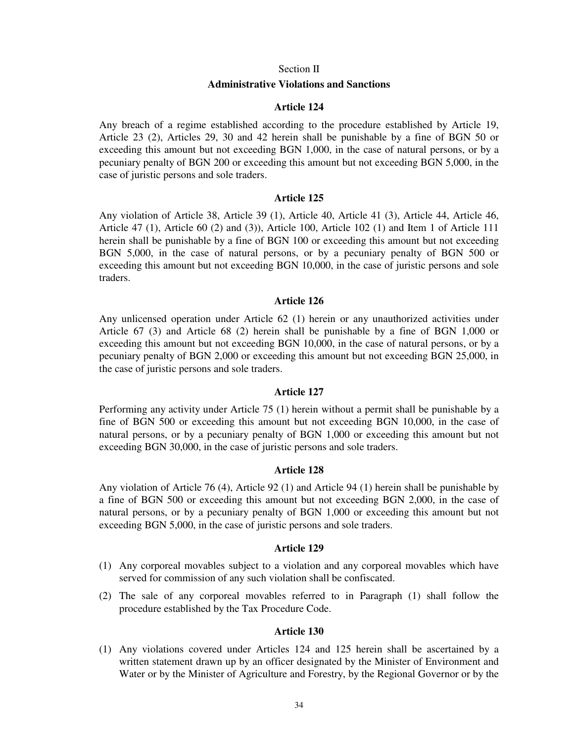#### Section II

#### **Administrative Violations and Sanctions**

# **Article 124**

Any breach of a regime established according to the procedure established by Article 19, Article 23 (2), Articles 29, 30 and 42 herein shall be punishable by a fine of BGN 50 or exceeding this amount but not exceeding BGN 1,000, in the case of natural persons, or by a pecuniary penalty of BGN 200 or exceeding this amount but not exceeding BGN 5,000, in the case of juristic persons and sole traders.

### **Article 125**

Any violation of Article 38, Article 39 (1), Article 40, Article 41 (3), Article 44, Article 46, Article 47 (1), Article 60 (2) and (3)), Article 100, Article 102 (1) and Item 1 of Article 111 herein shall be punishable by a fine of BGN 100 or exceeding this amount but not exceeding BGN 5,000, in the case of natural persons, or by a pecuniary penalty of BGN 500 or exceeding this amount but not exceeding BGN 10,000, in the case of juristic persons and sole traders.

#### **Article 126**

Any unlicensed operation under Article 62 (1) herein or any unauthorized activities under Article 67 (3) and Article 68 (2) herein shall be punishable by a fine of BGN 1,000 or exceeding this amount but not exceeding BGN 10,000, in the case of natural persons, or by a pecuniary penalty of BGN 2,000 or exceeding this amount but not exceeding BGN 25,000, in the case of juristic persons and sole traders.

#### **Article 127**

Performing any activity under Article 75 (1) herein without a permit shall be punishable by a fine of BGN 500 or exceeding this amount but not exceeding BGN 10,000, in the case of natural persons, or by a pecuniary penalty of BGN 1,000 or exceeding this amount but not exceeding BGN 30,000, in the case of juristic persons and sole traders.

#### **Article 128**

Any violation of Article 76 (4), Article 92 (1) and Article 94 (1) herein shall be punishable by a fine of BGN 500 or exceeding this amount but not exceeding BGN 2,000, in the case of natural persons, or by a pecuniary penalty of BGN 1,000 or exceeding this amount but not exceeding BGN 5,000, in the case of juristic persons and sole traders.

#### **Article 129**

- (1) Any corporeal movables subject to a violation and any corporeal movables which have served for commission of any such violation shall be confiscated.
- (2) The sale of any corporeal movables referred to in Paragraph (1) shall follow the procedure established by the Tax Procedure Code.

#### **Article 130**

(1) Any violations covered under Articles 124 and 125 herein shall be ascertained by a written statement drawn up by an officer designated by the Minister of Environment and Water or by the Minister of Agriculture and Forestry, by the Regional Governor or by the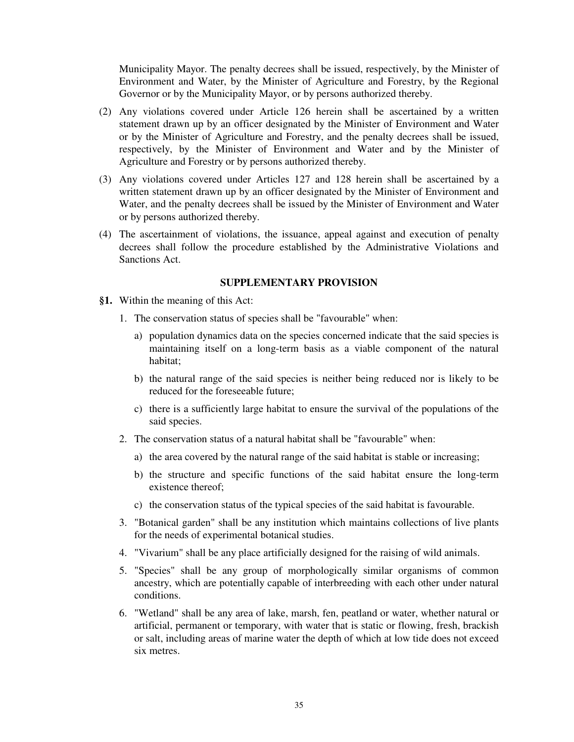Municipality Mayor. The penalty decrees shall be issued, respectively, by the Minister of Environment and Water, by the Minister of Agriculture and Forestry, by the Regional Governor or by the Municipality Mayor, or by persons authorized thereby.

- (2) Any violations covered under Article 126 herein shall be ascertained by a written statement drawn up by an officer designated by the Minister of Environment and Water or by the Minister of Agriculture and Forestry, and the penalty decrees shall be issued, respectively, by the Minister of Environment and Water and by the Minister of Agriculture and Forestry or by persons authorized thereby.
- (3) Any violations covered under Articles 127 and 128 herein shall be ascertained by a written statement drawn up by an officer designated by the Minister of Environment and Water, and the penalty decrees shall be issued by the Minister of Environment and Water or by persons authorized thereby.
- (4) The ascertainment of violations, the issuance, appeal against and execution of penalty decrees shall follow the procedure established by the Administrative Violations and Sanctions Act.

### **SUPPLEMENTARY PROVISION**

- **§1.** Within the meaning of this Act:
	- 1. The conservation status of species shall be "favourable" when:
		- a) population dynamics data on the species concerned indicate that the said species is maintaining itself on a long-term basis as a viable component of the natural habitat;
		- b) the natural range of the said species is neither being reduced nor is likely to be reduced for the foreseeable future;
		- c) there is a sufficiently large habitat to ensure the survival of the populations of the said species.
	- 2. The conservation status of a natural habitat shall be "favourable" when:
		- a) the area covered by the natural range of the said habitat is stable or increasing;
		- b) the structure and specific functions of the said habitat ensure the long-term existence thereof;
		- c) the conservation status of the typical species of the said habitat is favourable.
	- 3. "Botanical garden" shall be any institution which maintains collections of live plants for the needs of experimental botanical studies.
	- 4. "Vivarium" shall be any place artificially designed for the raising of wild animals.
	- 5. "Species" shall be any group of morphologically similar organisms of common ancestry, which are potentially capable of interbreeding with each other under natural conditions.
	- 6. "Wetland" shall be any area of lake, marsh, fen, peatland or water, whether natural or artificial, permanent or temporary, with water that is static or flowing, fresh, brackish or salt, including areas of marine water the depth of which at low tide does not exceed six metres.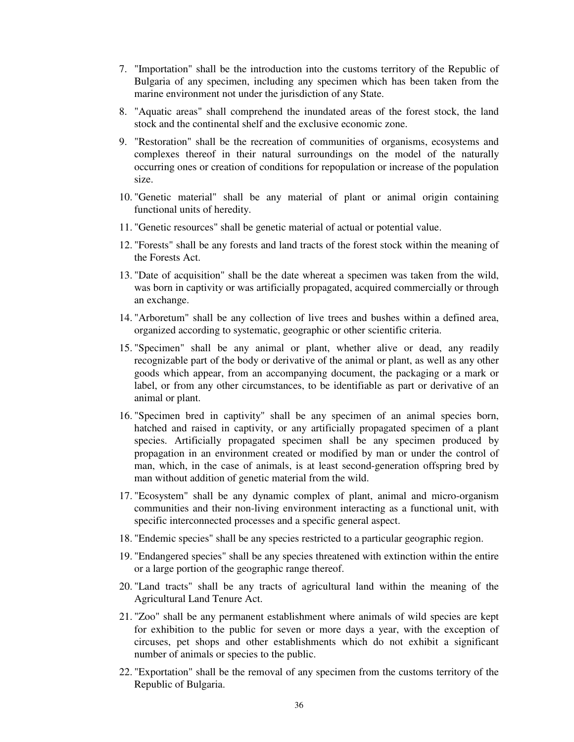- 7. "Importation" shall be the introduction into the customs territory of the Republic of Bulgaria of any specimen, including any specimen which has been taken from the marine environment not under the jurisdiction of any State.
- 8. "Aquatic areas" shall comprehend the inundated areas of the forest stock, the land stock and the continental shelf and the exclusive economic zone.
- 9. "Restoration" shall be the recreation of communities of organisms, ecosystems and complexes thereof in their natural surroundings on the model of the naturally occurring ones or creation of conditions for repopulation or increase of the population size.
- 10. "Genetic material" shall be any material of plant or animal origin containing functional units of heredity.
- 11. "Genetic resources" shall be genetic material of actual or potential value.
- 12. "Forests" shall be any forests and land tracts of the forest stock within the meaning of the Forests Act.
- 13. "Date of acquisition" shall be the date whereat a specimen was taken from the wild, was born in captivity or was artificially propagated, acquired commercially or through an exchange.
- 14. "Arboretum" shall be any collection of live trees and bushes within a defined area, organized according to systematic, geographic or other scientific criteria.
- 15. "Specimen" shall be any animal or plant, whether alive or dead, any readily recognizable part of the body or derivative of the animal or plant, as well as any other goods which appear, from an accompanying document, the packaging or a mark or label, or from any other circumstances, to be identifiable as part or derivative of an animal or plant.
- 16. "Specimen bred in captivity" shall be any specimen of an animal species born, hatched and raised in captivity, or any artificially propagated specimen of a plant species. Artificially propagated specimen shall be any specimen produced by propagation in an environment created or modified by man or under the control of man, which, in the case of animals, is at least second-generation offspring bred by man without addition of genetic material from the wild.
- 17. "Ecosystem" shall be any dynamic complex of plant, animal and micro-organism communities and their non-living environment interacting as a functional unit, with specific interconnected processes and a specific general aspect.
- 18. "Endemic species" shall be any species restricted to a particular geographic region.
- 19. "Endangered species" shall be any species threatened with extinction within the entire or a large portion of the geographic range thereof.
- 20. "Land tracts" shall be any tracts of agricultural land within the meaning of the Agricultural Land Tenure Act.
- 21. "Zoo" shall be any permanent establishment where animals of wild species are kept for exhibition to the public for seven or more days a year, with the exception of circuses, pet shops and other establishments which do not exhibit a significant number of animals or species to the public.
- 22. "Exportation" shall be the removal of any specimen from the customs territory of the Republic of Bulgaria.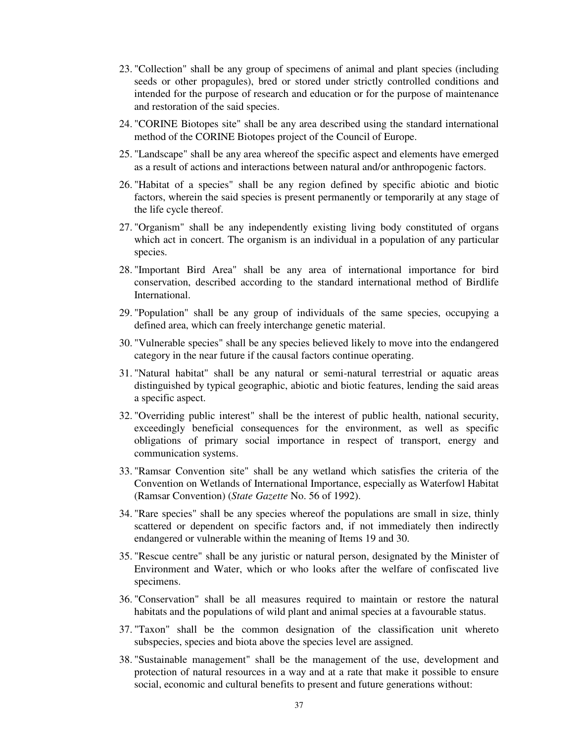- 23. "Collection" shall be any group of specimens of animal and plant species (including seeds or other propagules), bred or stored under strictly controlled conditions and intended for the purpose of research and education or for the purpose of maintenance and restoration of the said species.
- 24. "CORINE Biotopes site" shall be any area described using the standard international method of the CORINE Biotopes project of the Council of Europe.
- 25. "Landscape" shall be any area whereof the specific aspect and elements have emerged as a result of actions and interactions between natural and/or anthropogenic factors.
- 26. "Habitat of a species" shall be any region defined by specific abiotic and biotic factors, wherein the said species is present permanently or temporarily at any stage of the life cycle thereof.
- 27. "Organism" shall be any independently existing living body constituted of organs which act in concert. The organism is an individual in a population of any particular species.
- 28. "Important Bird Area" shall be any area of international importance for bird conservation, described according to the standard international method of Birdlife International.
- 29. "Population" shall be any group of individuals of the same species, occupying a defined area, which can freely interchange genetic material.
- 30. "Vulnerable species" shall be any species believed likely to move into the endangered category in the near future if the causal factors continue operating.
- 31. "Natural habitat" shall be any natural or semi-natural terrestrial or aquatic areas distinguished by typical geographic, abiotic and biotic features, lending the said areas a specific aspect.
- 32. "Overriding public interest" shall be the interest of public health, national security, exceedingly beneficial consequences for the environment, as well as specific obligations of primary social importance in respect of transport, energy and communication systems.
- 33. "Ramsar Convention site" shall be any wetland which satisfies the criteria of the Convention on Wetlands of International Importance, especially as Waterfowl Habitat (Ramsar Convention) (*State Gazette* No. 56 of 1992).
- 34. "Rare species" shall be any species whereof the populations are small in size, thinly scattered or dependent on specific factors and, if not immediately then indirectly endangered or vulnerable within the meaning of Items 19 and 30.
- 35. "Rescue centre" shall be any juristic or natural person, designated by the Minister of Environment and Water, which or who looks after the welfare of confiscated live specimens.
- 36. "Conservation" shall be all measures required to maintain or restore the natural habitats and the populations of wild plant and animal species at a favourable status.
- 37. "Taxon" shall be the common designation of the classification unit whereto subspecies, species and biota above the species level are assigned.
- 38. "Sustainable management" shall be the management of the use, development and protection of natural resources in a way and at a rate that make it possible to ensure social, economic and cultural benefits to present and future generations without: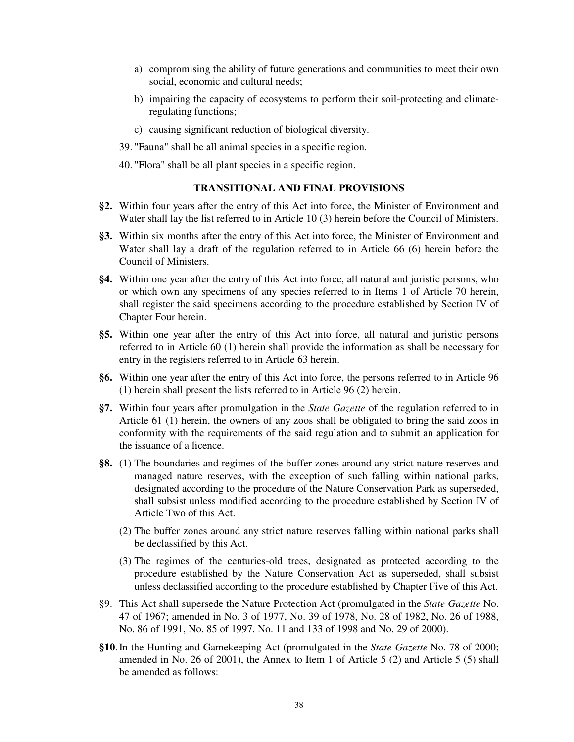- a) compromising the ability of future generations and communities to meet their own social, economic and cultural needs;
- b) impairing the capacity of ecosystems to perform their soil-protecting and climateregulating functions;
- c) causing significant reduction of biological diversity.
- 39. "Fauna" shall be all animal species in a specific region.
- 40. "Flora" shall be all plant species in a specific region.

# **TRANSITIONAL AND FINAL PROVISIONS**

- **§2.** Within four years after the entry of this Act into force, the Minister of Environment and Water shall lay the list referred to in Article 10 (3) herein before the Council of Ministers.
- **§3.** Within six months after the entry of this Act into force, the Minister of Environment and Water shall lay a draft of the regulation referred to in Article 66 (6) herein before the Council of Ministers.
- **§4.** Within one year after the entry of this Act into force, all natural and juristic persons, who or which own any specimens of any species referred to in Items 1 of Article 70 herein, shall register the said specimens according to the procedure established by Section IV of Chapter Four herein.
- **§5.** Within one year after the entry of this Act into force, all natural and juristic persons referred to in Article 60 (1) herein shall provide the information as shall be necessary for entry in the registers referred to in Article 63 herein.
- **§6.** Within one year after the entry of this Act into force, the persons referred to in Article 96 (1) herein shall present the lists referred to in Article 96 (2) herein.
- **§7.** Within four years after promulgation in the *State Gazette* of the regulation referred to in Article 61 (1) herein, the owners of any zoos shall be obligated to bring the said zoos in conformity with the requirements of the said regulation and to submit an application for the issuance of a licence.
- **§8.** (1) The boundaries and regimes of the buffer zones around any strict nature reserves and managed nature reserves, with the exception of such falling within national parks, designated according to the procedure of the Nature Conservation Park as superseded, shall subsist unless modified according to the procedure established by Section IV of Article Two of this Act.
	- (2) The buffer zones around any strict nature reserves falling within national parks shall be declassified by this Act.
	- (3) The regimes of the centuries-old trees, designated as protected according to the procedure established by the Nature Conservation Act as superseded, shall subsist unless declassified according to the procedure established by Chapter Five of this Act.
- §9. This Act shall supersede the Nature Protection Act (promulgated in the *State Gazette* No. 47 of 1967; amended in No. 3 of 1977, No. 39 of 1978, No. 28 of 1982, No. 26 of 1988, No. 86 of 1991, No. 85 of 1997. No. 11 and 133 of 1998 and No. 29 of 2000).
- **§10**. In the Hunting and Gamekeeping Act (promulgated in the *State Gazette* No. 78 of 2000; amended in No. 26 of 2001), the Annex to Item 1 of Article 5 (2) and Article 5 (5) shall be amended as follows: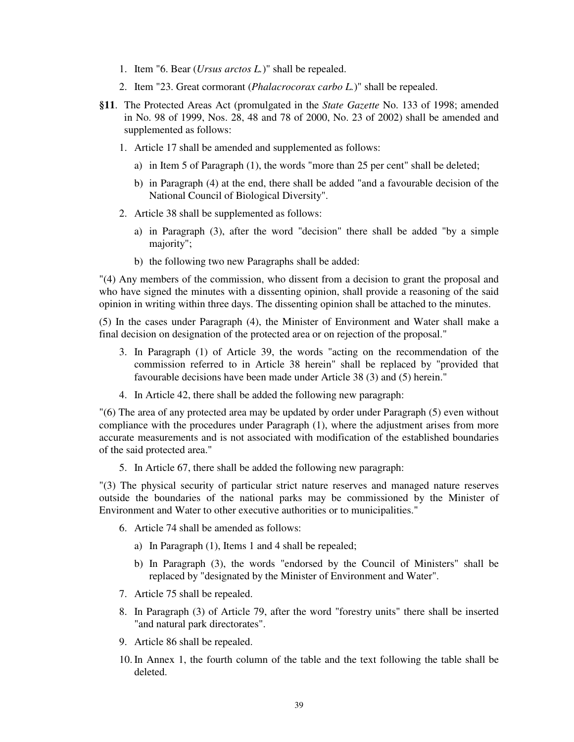- 1. Item "6. Bear (*Ursus arctos L.*)" shall be repealed.
- 2. Item "23. Great cormorant (*Phalacrocorax carbo L.*)" shall be repealed.
- **§11**. The Protected Areas Act (promulgated in the *State Gazette* No. 133 of 1998; amended in No. 98 of 1999, Nos. 28, 48 and 78 of 2000, No. 23 of 2002) shall be amended and supplemented as follows:
	- 1. Article 17 shall be amended and supplemented as follows:
		- a) in Item 5 of Paragraph (1), the words "more than 25 per cent" shall be deleted;
		- b) in Paragraph (4) at the end, there shall be added "and a favourable decision of the National Council of Biological Diversity".
	- 2. Article 38 shall be supplemented as follows:
		- a) in Paragraph (3), after the word "decision" there shall be added "by a simple majority";
		- b) the following two new Paragraphs shall be added:

"(4) Any members of the commission, who dissent from a decision to grant the proposal and who have signed the minutes with a dissenting opinion, shall provide a reasoning of the said opinion in writing within three days. The dissenting opinion shall be attached to the minutes.

(5) In the cases under Paragraph (4), the Minister of Environment and Water shall make a final decision on designation of the protected area or on rejection of the proposal."

- 3. In Paragraph (1) of Article 39, the words "acting on the recommendation of the commission referred to in Article 38 herein" shall be replaced by "provided that favourable decisions have been made under Article 38 (3) and (5) herein."
- 4. In Article 42, there shall be added the following new paragraph:

"(6) The area of any protected area may be updated by order under Paragraph (5) even without compliance with the procedures under Paragraph (1), where the adjustment arises from more accurate measurements and is not associated with modification of the established boundaries of the said protected area."

5. In Article 67, there shall be added the following new paragraph:

"(3) The physical security of particular strict nature reserves and managed nature reserves outside the boundaries of the national parks may be commissioned by the Minister of Environment and Water to other executive authorities or to municipalities."

- 6. Article 74 shall be amended as follows:
	- a) In Paragraph (1), Items 1 and 4 shall be repealed;
	- b) In Paragraph (3), the words "endorsed by the Council of Ministers" shall be replaced by "designated by the Minister of Environment and Water".
- 7. Article 75 shall be repealed.
- 8. In Paragraph (3) of Article 79, after the word "forestry units" there shall be inserted "and natural park directorates".
- 9. Article 86 shall be repealed.
- 10. In Annex 1, the fourth column of the table and the text following the table shall be deleted.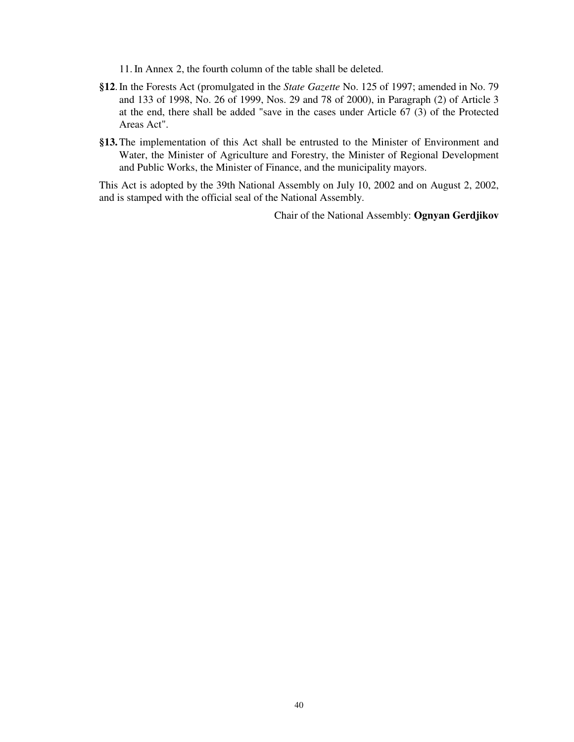11. In Annex 2, the fourth column of the table shall be deleted.

- **§12**. In the Forests Act (promulgated in the *State Gazette* No. 125 of 1997; amended in No. 79 and 133 of 1998, No. 26 of 1999, Nos. 29 and 78 of 2000), in Paragraph (2) of Article 3 at the end, there shall be added "save in the cases under Article 67 (3) of the Protected Areas Act".
- **§13.** The implementation of this Act shall be entrusted to the Minister of Environment and Water, the Minister of Agriculture and Forestry, the Minister of Regional Development and Public Works, the Minister of Finance, and the municipality mayors.

This Act is adopted by the 39th National Assembly on July 10, 2002 and on August 2, 2002, and is stamped with the official seal of the National Assembly.

Chair of the National Assembly: **Ognyan Gerdjikov**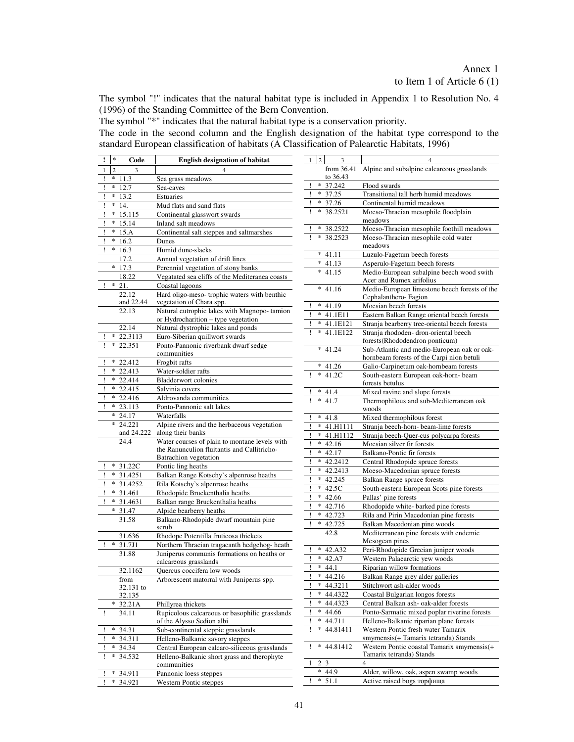# Annex 1 to Item 1 of Article 6 (1)

The symbol "!" indicates that the natural habitat type is included in Appendix 1 to Resolution No. 4 (1996) of the Standing Committee of the Bern Convention.

The symbol "\*" indicates that the natural habitat type is a conservation priority.

The code in the second column and the English designation of the habitat type correspond to the standard European classification of habitats (A Classification of Palearctic Habitats, 1996)

| Ţ            | $\ast$         | Code               | <b>English designation of habitat</b>                              | 1  | $\overline{c}$ | 3              | 4                                                                                        |
|--------------|----------------|--------------------|--------------------------------------------------------------------|----|----------------|----------------|------------------------------------------------------------------------------------------|
| $\mathbf{1}$ | $\overline{c}$ | 3                  |                                                                    |    |                |                | from 36.41 Alpine and subalpine calcareous grasslands                                    |
|              |                | $*11.3$            | Sea grass meadows                                                  |    |                | to 36.43       |                                                                                          |
|              | *              | 12.7               | Sea-caves                                                          |    | $\ast$         | 37.242         | Flood swards                                                                             |
|              | *              | 13.2               | Estuaries                                                          |    | $\ast$         | 37.25          | Transitional tall herb humid meadows                                                     |
|              | *              | 14.                | Mud flats and sand flats                                           |    |                | $* 37.26$      | Continental humid meadows                                                                |
|              | $\ast$         | 15.115             | Continental glasswort swards                                       |    | $\ast$         | 38.2521        | Moeso-Thracian mesophile floodplain                                                      |
|              |                | $* 15.14$          | Inland salt meadows                                                |    |                |                | meadows                                                                                  |
|              | *              | 15.A               | Continental salt steppes and saltmarshes                           |    |                | $*38.2522$     | Moeso-Thracian mesophile foothill meadows                                                |
|              | *              | 16.2               | Dunes                                                              |    | *              | 38.2523        | Moeso-Thracian mesophile cold water                                                      |
|              | *              | 16.3               | Humid dune-slacks                                                  |    |                |                | meadows                                                                                  |
|              |                | 17.2               | Annual vegetation of drift lines                                   |    |                | $* 41.11$      | Luzulo-Fagetum beech forests                                                             |
|              | $\ast$         | 17.3               | Perennial vegetation of stony banks                                |    |                | $* 41.13$      | Asperulo-Fagetum beech forests                                                           |
|              |                | 18.22              | Vegatated sea cliffs of the Mediteranea coasts                     |    |                | $* 41.15$      | Medio-European subalpine beech wood swith                                                |
|              |                | $! * 21.$          | Coastal lagoons                                                    |    |                |                | Acer and Rumex arifolius                                                                 |
|              |                | 22.12              | Hard oligo-meso- trophic waters with benthic                       |    |                | $* 41.16$      | Medio-European limestone beech forests of the                                            |
|              |                | and 22.44          | vegetation of Chara spp.                                           |    |                |                | Cephalanthero-Fagion                                                                     |
|              |                | 22.13              | Natural eutrophic lakes with Magnopo-tamion                        |    |                | $* 41.19$      | Moesian beech forests                                                                    |
|              |                |                    | or Hydrocharition - type vegetation                                |    |                | $* 41.1E11$    | Eastern Balkan Range oriental beech forests                                              |
|              |                | 22.14              | Natural dystrophic lakes and ponds                                 |    |                | * 41.1E121     | Stranja bearberry tree-oriental beech forests                                            |
|              |                | $* 22.3113$        | Euro-Siberian quillwort swards                                     |    |                | * 41.1E122     | Stranja rhododen- dron-oriental beech                                                    |
|              | *              | 22.351             | Ponto-Pannonic riverbank dwarf sedge                               |    |                |                | forests(Rhododendron ponticum)                                                           |
|              |                |                    | communities                                                        |    |                | $* 41.24$      | Sub-Atlantic and medio-European oak or oak-<br>hornbeam forests of the Carpi nion betuli |
|              |                | $* 22.412$         | Frogbit rafts                                                      |    |                | $* 41.26$      | Galio-Carpinetum oak-hornbeam forests                                                    |
|              |                | $* 22.413$         | Water-soldier rafts                                                |    |                | $* 41.2C$      | South-eastern European oak-horn- beam                                                    |
|              |                | $* 22.414$         | <b>Bladderwort colonies</b>                                        |    |                |                | forests betulus                                                                          |
|              |                | $*22.415$          | Salvinia covers                                                    |    |                | $* 41.4$       | Mixed ravine and slope forests                                                           |
|              |                | $* 22.416$         | Aldrovanda communities                                             |    |                | $* 41.7$       | Thermophilous and sub-Mediterranean oak                                                  |
|              |                | $* 23.113$         | Ponto-Pannonic salt lakes                                          |    |                |                | woods                                                                                    |
|              |                | $* 24.17$          | Waterfalls                                                         |    |                | $* 41.8$       | Mixed thermophilous forest                                                               |
|              |                | $*$ 24.221         | Alpine rivers and the herbaceous vegetation                        |    |                | $* 41.H1111$   | Stranja beech-horn- beam-lime forests                                                    |
|              |                | and 24.222<br>24.4 | along their banks<br>Water courses of plain to montane levels with |    |                | * 41.H1112     | Stranja beech-Quer-cus polycarpa forests                                                 |
|              |                |                    | the Ranunculion fluitantis and Callitricho-                        |    |                | $* 42.16$      | Moesian silver fir forests                                                               |
|              |                |                    | Batrachion vegetation                                              |    |                | $* 42.17$      | Balkano-Pontic fir forests                                                               |
|              |                | 31.22C             | Pontic ling heaths                                                 |    |                | $* 42.2412$    | Central Rhodopide spruce forests                                                         |
|              |                | $* 31.4251$        | Balkan Range Kotschy's alpenrose heaths                            |    | *              | 42.2413        | Moeso-Macedonian spruce forests                                                          |
|              |                | $* 31.4252$        | Rila Kotschy's alpenrose heaths                                    |    |                | $* 42.245$     | Balkan Range spruce forests                                                              |
|              |                | $* 31.461$         | Rhodopide Bruckenthalia heaths                                     |    |                | $* 42.5C$      | South-eastern European Scots pine forests                                                |
|              |                | $* 31.4631$        | Balkan range Bruckenthalia heaths                                  |    | *              | 42.66          | Pallas' pine forests                                                                     |
|              | *              | 31.47              | Alpide bearberry heaths                                            |    | *              | 42.716         | Rhodopide white- barked pine forests                                                     |
|              |                | 31.58              | Balkano-Rhodopide dwarf mountain pine                              |    | *<br>*         | 42.723         | Rila and Pirin Macedonian pine forests                                                   |
|              |                |                    | scrub                                                              |    |                | 42.725<br>42.8 | Balkan Macedonian pine woods<br>Mediterranean pine forests with endemic                  |
|              |                | 31.636             | Rhodope Potentilla fruticosa thickets                              |    |                |                | Mesogean pines                                                                           |
|              | $\ast$         | 31.7J1             | Northern Thracian tragacanth hedgehog-heath                        |    | $\ast$         | 42.A32         | Peri-Rhodopide Grecian juniper woods                                                     |
|              |                | 31.88              | Juniperus communis formations on heaths or                         |    |                | $* 42.A7$      | Western Palaearctic yew woods                                                            |
|              |                |                    | calcareous grasslands                                              |    |                | $* 44.1$       | Riparian willow formations                                                               |
|              |                | 32.1162            | Quercus coccifera low woods                                        |    | ×              | 44.216         | Balkan Range grey alder galleries                                                        |
|              |                | from<br>32.131 to  | Arborescent matorral with Juniperus spp.                           |    | $\ast$         | 44.3211        | Stitchwort ash-alder woods                                                               |
|              |                | 32.135             |                                                                    |    | *              | 44.4322        | Coastal Bulgarian longos forests                                                         |
|              |                | $* 32.21A$         | Phillyrea thickets                                                 |    |                | $* 44.4323$    | Central Balkan ash- oak-alder forests                                                    |
| Ţ            |                | 34.11              | Rupicolous calcareous or basophilic grasslands                     |    | *              | 44.66          | Ponto-Sarmatic mixed poplar riverine forests                                             |
|              |                |                    | of the Alysso Sedion albi                                          |    |                | $* 44.711$     | Helleno-Balkanic riparian plane forests                                                  |
|              | *              | 34.31              | Sub-continental steppic grasslands                                 | 1  | $\ast$         | 44.81411       | Western Pontic fresh water Tamarix                                                       |
|              | *              | 34.311             | Helleno-Balkanic savory steppes                                    |    |                |                | smyrnensis(+ Tamarix tetranda) Stands                                                    |
|              | *              | 34.34              | Central European calcaro-siliceous grasslands                      | Ţ. | *              | 44.81412       | Western Pontic coastal Tamarix smyrnensis(+                                              |
|              | ∗              | 34.532             | Helleno-Balkanic short grass and therophyte                        |    |                |                | Tamarix tetranda) Stands<br>$\overline{4}$                                               |
|              |                |                    | communities                                                        |    | 2 3            | $* 44.9$       |                                                                                          |
|              | *              | 34.911             | Pannonic loess steppes                                             |    |                | $* 51.1$       | Alder, willow, oak, aspen swamp woods<br>Active raised bogs торфища                      |
|              | $\ast$         | 34.921             | Western Pontic steppes                                             |    |                |                |                                                                                          |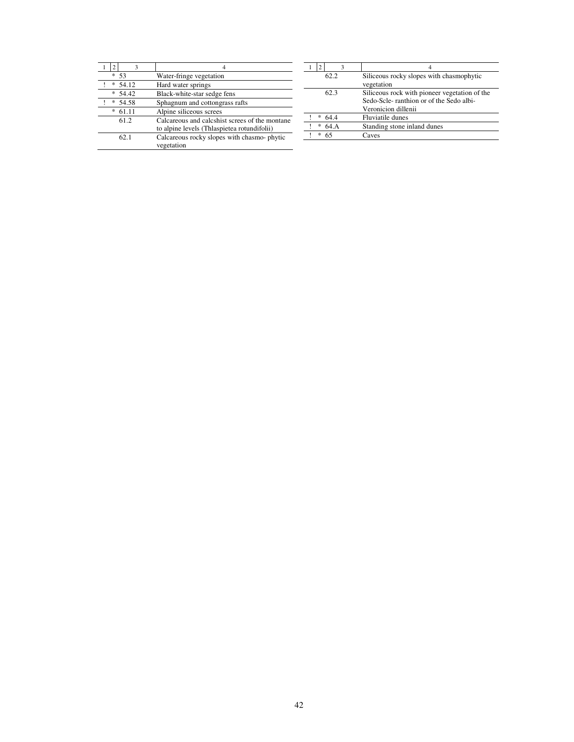| ٩          |                                                                                               |
|------------|-----------------------------------------------------------------------------------------------|
| -53<br>*   | Water-fringe vegetation                                                                       |
| 54.12<br>∗ | Hard water springs                                                                            |
| *<br>54.42 | Black-white-star sedge fens                                                                   |
| 54.58<br>* | Sphagnum and cottongrass rafts                                                                |
| 61.11<br>* | Alpine siliceous screes                                                                       |
| 61.2       | Calcareous and calcshist screes of the montane<br>to alpine levels (Thlaspietea rotundifolii) |
| 62.1       | Calcareous rocky slopes with chasmo-phytic<br>vegetation                                      |

| ٩         |                                                                                                                 |
|-----------|-----------------------------------------------------------------------------------------------------------------|
| 62.2      | Siliceous rocky slopes with chasmophytic<br>vegetation                                                          |
| 62.3      | Siliceous rock with pioneer vegetation of the<br>Sedo-Scle-ranthion or of the Sedo albi-<br>Veronicion dillenii |
| *<br>644  | Fluviatile dunes                                                                                                |
| *<br>64 A | Standing stone inland dunes                                                                                     |
| *<br>65   | Caves                                                                                                           |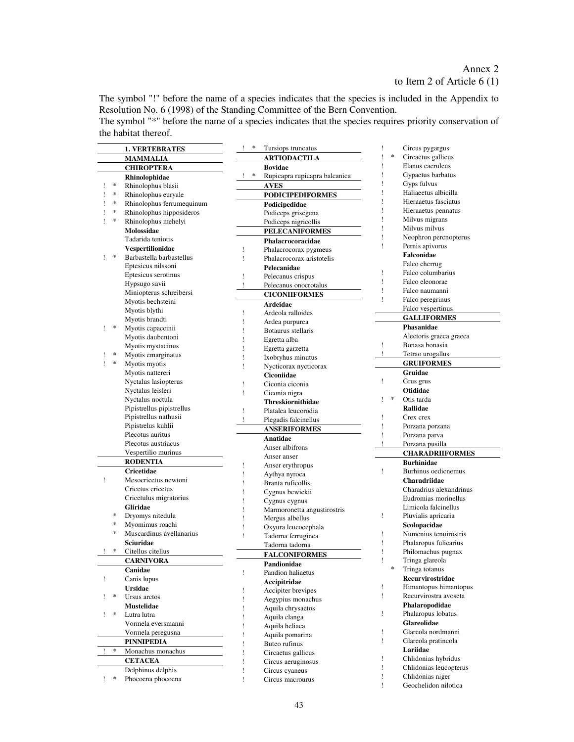The symbol "!" before the name of a species indicates that the species is included in the Appendix to Resolution No. 6 (1998) of the Standing Committee of the Bern Convention.

The symbol "\*" before the name of a species indicates that the species requires priority conservation of the habitat thereof.

|             | <b>1. VERTEBRATES</b>     | ∗<br>Tursiops truncatus                                 | Circus pygargus                                    |
|-------------|---------------------------|---------------------------------------------------------|----------------------------------------------------|
|             | <b>MAMMALIA</b>           | <b>ARTIODACTILA</b>                                     | $\ast$<br>Circaetus gallicus<br>ı                  |
|             | <b>CHIROPTERA</b>         | <b>Bovidae</b>                                          | Elanus caeruleus                                   |
|             | Rhinolophidae             | $\ast$<br>$\mathbf{I}$<br>Rupicapra rupicapra balcanica | Gypaetus barbatus<br>ı                             |
| $\ast$      | Rhinolophus blasii        | <b>AVES</b>                                             | Gyps fulvus<br>ı                                   |
| $\ast$      | Rhinolophus euryale       | <b>PODICIPEDIFORMES</b>                                 | ı<br>Haliaeetus albicilla                          |
| $\ast$<br>1 | Rhinolophus ferrumequinum |                                                         | ı<br>Hieraaetus fasciatus                          |
| $\ast$<br>Ţ |                           | Podicipedidae                                           | Hieraaetus pennatus<br>1                           |
| $\ast$      | Rhinolophus hipposideros  | Podiceps grisegena                                      | ţ<br>Milvus migrans                                |
| 1           | Rhinolophus mehelyi       | Podiceps nigricollis                                    | Milvus milvus<br>ı                                 |
|             | Molossidae                | <b>PELECANIFORMES</b>                                   | Neophron percnopterus<br>ı                         |
|             | Tadarida teniotis         | Phalacrocoracidae                                       | Ţ                                                  |
|             | <b>Vespertilionidae</b>   | Ţ<br>Phalacrocorax pygmeus                              | Pernis apivorus                                    |
| ∗<br>L      | Barbastella barbastellus  | Ţ<br>Phalacrocorax aristotelis                          | Falconidae                                         |
|             | Eptesicus nilssoni        | Pelecanidae                                             | Falco cherrug                                      |
|             | Eptesicus serotinus       | Ţ<br>Pelecanus crispus                                  | Falco columbarius<br>Ţ                             |
|             | Hypsugo savii             | Ţ.<br>Pelecanus onocrotalus                             | ı<br>Falco eleonorae                               |
|             | Miniopterus schreibersi   | <b>CICONIIFORMES</b>                                    | ı<br>Falco naumanni                                |
|             | Myotis bechsteini         | <b>Ardeidae</b>                                         | Ţ<br>Falco peregrinus                              |
|             | Myotis blythi             | Ardeola ralloides<br>Ţ                                  | Falco vespertinus                                  |
|             | Myotis brandti            | ı                                                       | <b>GALLIFORMES</b>                                 |
| $\ast$      | Myotis capaccinii         | Ardea purpurea<br>Botaurus stellaris<br>Ţ               | Phasanidae                                         |
|             | Myotis daubentoni         |                                                         | Alectoris graeca graeca                            |
|             | Myotis mystacinus         | ı<br>Egretta alba                                       | Ţ<br>Bonasa bonasia                                |
| $\ast$<br>Ţ | Myotis emarginatus        | Egretta garzetta                                        | Tetrao urogallus                                   |
| $\ast$<br>Ţ | Myotis myotis             | Ixobryhus minutus                                       | <b>GRUIFORMES</b>                                  |
|             |                           | Nycticorax nycticorax<br>1                              | Gruidae                                            |
|             | Myotis nattereri          | Ciconiidae                                              |                                                    |
|             | Nyctalus lasiopterus      | Ciconia ciconia<br>Ţ                                    | Ţ<br>Grus grus                                     |
|             | Nyctalus leisleri         | Ţ<br>Ciconia nigra                                      | Otididae                                           |
|             | Nyctalus noctula          | <b>Threskiornithidae</b>                                | $\ast$<br>Otis tarda<br>Ţ                          |
|             | Pipistrellus pipistrellus | Ţ<br>Platalea leucorodia                                | Rallidae                                           |
|             | Pipistrellus nathusii     | 1<br>Plegadis falcinellus                               | ı<br>Crex crex                                     |
|             | Pipistrelus kuhlii        | <b>ANSERIFORMES</b>                                     | Ţ<br>Porzana porzana                               |
|             | Plecotus auritus          | Anatidae                                                | ı<br>Porzana parva                                 |
|             | Plecotus austriacus       | Anser albifrons                                         | ı<br>Porzana pusilla                               |
|             | Vespertilio murinus       | Anser anser                                             | <b>CHARADRIIFORMES</b>                             |
|             | <b>RODENTIA</b>           | Ţ                                                       | <b>Burhinidae</b>                                  |
|             | <b>Cricetidae</b>         | Anser erythropus<br>Ţ<br>Aythya nyroca                  | Ţ<br>Burhinus oedicnemus                           |
| Ţ           | Mesocricetus newtoni      | Ţ                                                       | Charadriidae                                       |
|             | Cricetus cricetus         | Branta ruficollis                                       | Charadrius alexandrinus                            |
|             | Cricetulus migratorius    | Cygnus bewickii                                         | Eudromias morinellus                               |
|             | Gliridae                  | Cygnus cygnus                                           | Limicola falcinellus                               |
| *           | Dryomys nitedula          | Marmoronetta angustirostris<br>ı                        | Ţ<br>Pluvialis apricaria                           |
| $\ast$      | Myomimus roachi           | Mergus albellus<br>1                                    |                                                    |
| $\ast$      |                           | 1<br>Oxyura leucocephala                                | Scolopacidae                                       |
|             | Muscardinus avellanarius  | Ţ<br>Tadorna ferruginea                                 | Numenius tenuirostris<br>Ţ                         |
|             | Sciuridae                 | Tadorna tadorna                                         | Phalaropus fulicarius<br>Ţ                         |
| *           | Citellus citellus         | <b>FALCONIFORMES</b>                                    | Philomachus pugnax<br>ı                            |
|             | <b>CARNIVORA</b>          | Pandionidae                                             | ı<br>Tringa glareola                               |
|             | Canidae                   | Ţ<br>Pandion haliaetus                                  | Tringa totanus                                     |
| Ţ           | Canis lupus               | Accipitridae                                            | Recurvirostridae                                   |
|             | <b>Ursidae</b>            | Accipiter brevipes<br>Ţ                                 | Ţ<br>Himantopus himantopus                         |
| $\ast$<br>L | Ursus arctos              | Aegypius monachus<br>Ţ                                  | Recurvirostra avoseta<br>Ţ                         |
|             | Mustelidae                | Aquila chrysaetos<br>Ţ                                  | Phalaropodidae                                     |
| $\ast$<br>L | Lutra lutra               | Ţ<br>Aquila clanga                                      | Phalaropus lobatus<br>Ţ                            |
|             |                           |                                                         |                                                    |
|             | Vormela eversmanni        |                                                         | <b>Glareolidae</b>                                 |
|             |                           | Ţ<br>Aquila heliaca                                     | Glareola nordmanni<br>Ţ                            |
|             | Vormela peregusna         | ı<br>Aquila pomarina                                    | Ţ<br>Glareola pratincola                           |
|             | PINNIPEDIA                | Ţ<br>Buteo rufinus                                      |                                                    |
| $\ast$      | Monachus monachus         | Ţ<br>Circaetus gallicus                                 | Lariidae<br>Ţ                                      |
|             | <b>CETACEA</b>            | Ţ<br>Circus aeruginosus                                 | Chlidonias hybridus                                |
|             | Delphinus delphis         | Circus cyaneus<br>Ţ                                     | Ţ<br>Chlidonias leucopterus                        |
| $!$ *       | Phocoena phocoena         | Ţ<br>Circus macrourus                                   | Ţ<br>Chlidonias niger<br>Ţ<br>Geochelidon nilotica |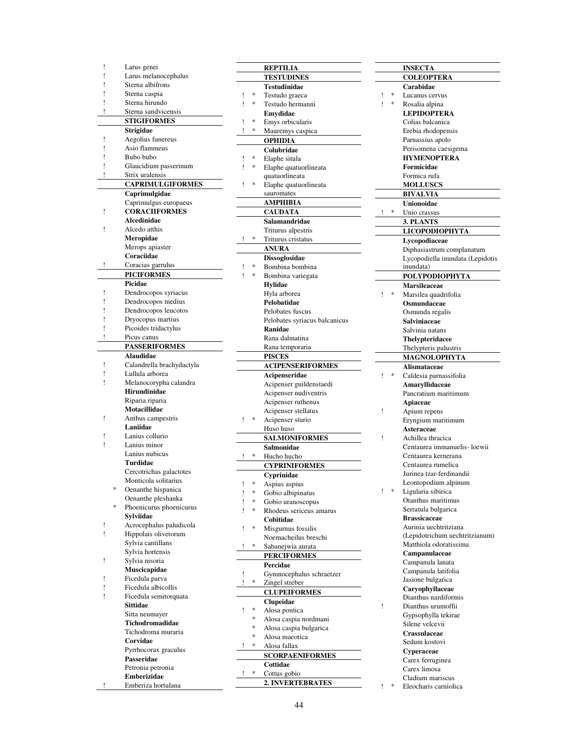| ļ | Larus genei                          |   |   | <b>REPT</b>          |
|---|--------------------------------------|---|---|----------------------|
| ļ | Larus melanocephalus                 |   |   | <b>TEST</b>          |
| Ţ | Sterna albifrons                     |   |   | <b>Testud</b>        |
| ļ | Sterna caspia                        | Ţ | * | Testuc               |
| Ţ | Sterna hirundo                       | Ţ | * | Testuc               |
| Ţ | Sterna sandvicensis                  |   |   | Emyd                 |
|   | <b>STIGIFORMES</b>                   | Ţ | * | Emys                 |
|   | Strigidae                            | Ţ | * | Maure                |
| Ţ | Aegolius funereus                    |   |   | OPHI                 |
| ļ | Asio flammeus                        |   |   | Colub                |
| Ţ | Bubo bubo                            | Ţ | * | Elaphe               |
| ļ | Glaucidium passerinum                | Ţ | * | Elaphe               |
| Ţ | Strix uralensis                      |   |   | quatuo               |
|   | <b>CAPRIMULGIFORMES</b>              | İ | * | Elaphe               |
|   | Caprimulgidae                        |   |   | sauron               |
|   | Caprimulgus europaeus                |   |   | AMPI                 |
| Ţ | <b>CORACIIFORMES</b>                 |   |   | <b>CAUI</b>          |
|   | Alcedinidae                          |   |   | Salam                |
| Ţ | Alcedo atthis                        |   |   | Trituri              |
|   | Meropidae                            | Ţ | * | Triturı              |
|   | Merops apiaster                      |   |   | <b>ANUF</b>          |
|   | Coraciidae                           |   |   | <b>Dissos</b>        |
| Ţ | Coracias garrulus                    | Ţ | * | Bombi                |
|   | <b>PICIFORMES</b>                    | Ţ | * | Bombi                |
|   | Picidae                              |   |   | <b>Hylid:</b>        |
| Ţ | Dendrocopos syriacus                 |   |   | Hyla a               |
| ļ | Dendrocopos medius                   |   |   | <b>Peloba</b>        |
| Ţ | Dendrocopos leucotos                 |   |   | Peloba               |
| Ţ | Dryocopus martius                    |   |   | Peloba               |
| ļ | Picoides tridactylus                 |   |   | Ranid                |
| Ţ | Picus canus                          |   |   | Rana o               |
|   | <b>PASSERIFORMES</b>                 |   |   | Rana t               |
|   | Alaudidae                            |   |   | <b>PISCI</b>         |
| ļ | Calandrella brachydactyla            |   |   | <b>ACIP</b>          |
| ï | Lullula arborea                      |   |   | Acipe                |
| Ţ | Melanocorypha calandra               |   |   | Aciper               |
|   | <b>Hirundinidae</b>                  |   |   | Aciper               |
|   | Riparia riparia                      |   |   | Aciper               |
|   | Motacillidae                         |   |   | Aciper               |
| ï | Anthus campestris                    | Ļ | * | Aciper               |
|   | Laniidae                             |   |   | Huso l               |
| ļ | Lanius collurio                      |   |   | <b>SALM</b>          |
| Ţ | Lanius minor                         |   |   | Salmo                |
|   | Lanius nubicus                       | Ţ | * | Hucho                |
|   | <b>Turdidae</b>                      |   |   | <b>CYPR</b>          |
|   | Cercotrichas galactotes              |   |   | Cypri                |
| * | Monticola solitarius                 | ŗ | * | Aspiu:               |
|   | Oenanthe hispanica                   | ļ | * | Gobio                |
| * | Oenanthe pleshanka                   | Ţ | * | Gobio                |
|   | Phoenicurus phoenicurus<br>Sylviidae | ۱ | * | Rhode                |
| ļ | Acrocephalus paludicola              |   |   | Cobiti               |
| Ţ | Hippolais olivetorum                 | Ţ | * | Misgu                |
|   | Sylvia cantillans                    |   |   | Noema                |
|   | Sylvia hortensis                     | Ţ | * | Saban                |
| Ţ | Sylvia nisoria                       |   |   | PERC                 |
|   | Muscicapidae                         |   |   | Percio               |
| ï | Ficedula parva                       | Ţ |   | Gymn                 |
| İ | Ficedula albicollis                  | Ţ | * | Zingel               |
| Ţ | Ficedula semitorquata                |   |   | <b>CLUP</b>          |
|   | Sittidae                             |   |   | <b>Clupe</b>         |
|   | Sitta neumayer                       | Ţ | * | Alosa                |
|   | Tichodromadidae                      |   | * | Alosa                |
|   | Tichodroma muraria                   |   | * | Alosa                |
|   | Corvidae                             |   | * | Alosa                |
|   | Pyrrhocorax graculus                 | ï | * | Alosa                |
|   | Passeridae                           |   |   | <b>SCOR</b>          |
|   | Petronia petronia                    |   |   | Cottid               |
|   | Emberizidae                          | Ţ | * | Cottus               |
| Ţ | Emberiza hortulana                   |   |   | $\overline{2}$ . INV |
|   |                                      |   |   |                      |

|        |             | <b>REPTILIA</b>                            |
|--------|-------------|--------------------------------------------|
|        |             | <b>TESTUDINES</b>                          |
|        |             | <b>Testudinidae</b>                        |
| ļ      | *<br>$\ast$ | Testudo graeca                             |
| ļ      |             | Testudo hermanni                           |
|        | $\ast$      | Emydidae                                   |
| ļ<br>Ţ | *           | Emys orbicularis<br>Mauremys caspica       |
|        |             | <b>OPHIDIA</b>                             |
|        |             | Colubridae                                 |
| ļ      | *           | Elaphe situla                              |
| Ţ      | $\ast$      | Elaphe quatuorlineata                      |
|        |             | quatuorlineata                             |
| ļ      | *           | Elaphe quatuorlineata                      |
|        |             | sauromates                                 |
|        |             | AMPHIBIA                                   |
|        |             | <b>CAUDATA</b>                             |
|        |             | Salamandridae                              |
|        | *           | Triturus alpestris                         |
| Ţ      |             | Triturus cristatus                         |
|        |             | <b>ANURA</b><br>Dissoglosidae              |
| Ţ      | *           | Bombina bombina                            |
| ۱      | *           | Bombina variegata                          |
|        |             | Hylidae                                    |
|        |             | Hyla arborea                               |
|        |             | Pelobatidae                                |
|        |             | Pelobates fuscus                           |
|        |             | Pelobates syriacus balcanicus              |
|        |             | Ranidae                                    |
|        |             | Rana dalmatina                             |
|        |             | Rana temporaria<br><b>PISCES</b>           |
|        |             | <b>ACIPENSERIFORMES</b>                    |
|        |             | Acipenseridae                              |
|        |             | Acipenser guildenstaedi                    |
|        |             | Acipenser nudiventris                      |
|        |             | Acipenser ruthenus                         |
|        | *           | Acipenser stellatus                        |
| Ţ      |             | Acipenser sturio                           |
|        |             | Huso huso<br><b>SALMONIFORMES</b>          |
|        |             | Salmonidae                                 |
| ŗ      | *           | Hucho hucho                                |
|        |             | <b>CYPRINIFORMES</b>                       |
|        |             | Cyprinidae                                 |
| ļ      | *           | Aspius aspius                              |
| ļ      | *           | Gobio albipinatus                          |
|        | *           | Gobio uranoscopus                          |
| ı      | *           | Rhodeus sericeus amarus                    |
|        | *           | Cobitidae                                  |
| ļ      |             | Misgurnus fossilis<br>Noemacheilus breschi |
| ļ      | *           | Sabanejwia aurata                          |
|        |             | <b>PERCIFORMES</b>                         |
|        |             | Percidae                                   |
| ļ      |             | Gymnocephalus schraetzer                   |
| ı      | *           | Zingel streber                             |
|        |             | <b>CLUPEIFORMES</b>                        |
|        |             | Clupeidae                                  |
| ļ      | *           | Alosa pontica                              |
|        | *           | Alosa caspia nordmani                      |
|        | *<br>*      | Alosa caspia bulgarica                     |
| ļ      | *           | Alosa maeotica                             |
|        |             | Alosa fallax                               |
|        |             | <b>SCORPAENIFORMES</b><br>Cottidae         |
| ļ      | *           | Cottus gobio                               |
|        |             | <b>2. INVERTEBRATES</b>                    |
|        |             |                                            |

|   |        | <b>INSECTA</b>                   |
|---|--------|----------------------------------|
|   |        | <b>COLEOPTERA</b>                |
|   |        | Carabidae                        |
| ļ | *      | Lucanus cervus                   |
| ļ | $\ast$ | Rosalia alpina                   |
|   |        | <b>LEPIDOPTERA</b>               |
|   |        | Colias balcanica                 |
|   |        | Erebia rhodopensis               |
|   |        | Parnassius apolo                 |
|   |        | Perisomena caesigema             |
|   |        | <b>HYMENOPTERA</b>               |
|   |        | Formicidae                       |
|   |        | Formica rufa                     |
|   |        | <b>MOLLUSCS</b>                  |
|   |        | BIVALVIA                         |
|   |        | Unionoidae                       |
| Ţ | *      | Unio crassus                     |
|   |        | 3. PLANTS                        |
|   |        | LICOPODIOPHYTA                   |
|   |        | Lycopodiaceae                    |
|   |        | Diphasiastrum complanatum        |
|   |        | Lycopodiella inundata (Lepidotis |
|   |        | inundata)                        |
|   |        | <b>POLYPODIOPHYTA</b>            |
|   |        | Marsileaceae                     |
| ţ | *      | Marsilea quadrifolia             |
|   |        | Osmundaceae                      |
|   |        | Osmunda regalis                  |
|   |        | Salviniaceae                     |
|   |        | Salvinia natans                  |
|   |        | <b>Thelypteridacee</b>           |
|   |        | Thelypteris palustris            |
|   |        | MAGNOLOPHYTA                     |
|   |        | <b>Alismataceae</b>              |
| ţ | $\ast$ | Caldesia parnassifolia           |
|   |        | Amaryllidaceae                   |
|   |        | Pancratium maritimum             |
|   |        | Apiaceae                         |
| ļ |        | Apium repens                     |
|   |        | Eryngium maritimum               |
|   |        | <b>Asteraceae</b>                |
| i |        | Achillea thracica                |
|   |        | Centaurea immanuelis-loewii      |
|   |        | Centaurea kernerana              |
|   |        | Centaurea rumelica               |
|   |        | Jurinea tzar-ferdinandii         |
|   |        | Leontopodium alpinum             |
| ļ | *      | Ligularia sibirica               |
|   |        | Otanthus maritimus               |
|   |        | Serratula bulgarica              |
|   |        | <b>Brassicaceae</b>              |
|   |        | Aurinia uechtritziana            |
|   |        | (Lepidotrichum uechtritzianum)   |
|   |        | Matthiola odoratissima           |
|   |        | Campanulaceae                    |
|   |        | Campanula lanata                 |
|   |        | Campanula latifolia              |
|   |        | Jasione bulgarica                |
|   |        | Caryophyllaceae                  |
|   |        | Dianthus nardiformis             |
| ļ |        | Dianthus urumoffii               |
|   |        | Gypsophylla tekirae              |
|   |        | Silene velcevii                  |
|   |        | Crassulaceae                     |
|   |        | Sedum kostovi                    |
|   |        | Cyperaceae                       |
|   |        |                                  |
|   |        | Carex ferruginea                 |
|   |        | Carex limosa                     |
|   |        | Cladium mariscus                 |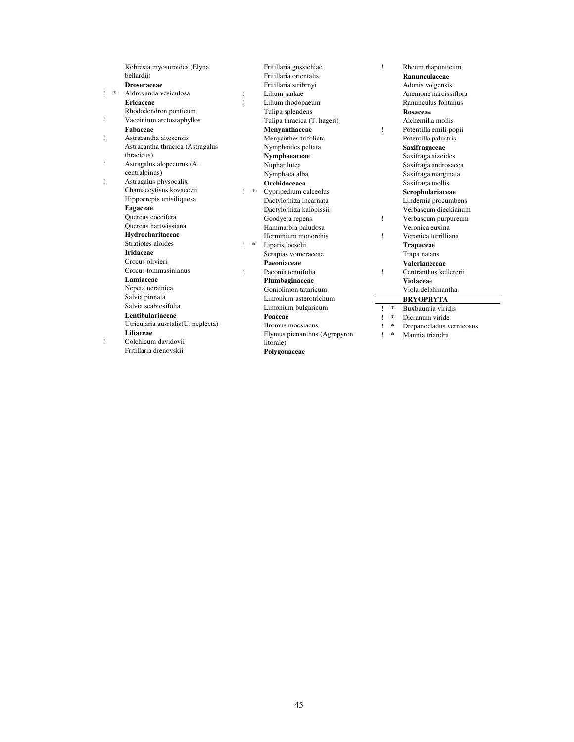|   |        | Kobresia myosuroides (Elyna<br>bellardii) |    |   | Fritillaria gussichiae<br>Fritillaria orientalis | Ţ            |        | Rheum rhaponticum<br>Ranunculaceae |
|---|--------|-------------------------------------------|----|---|--------------------------------------------------|--------------|--------|------------------------------------|
|   |        | <b>Droseraceae</b>                        |    |   | Fritillaria stribrnyi                            |              |        | Adonis volgensis                   |
| 1 | $\ast$ | Aldrovanda vesiculosa                     | Ţ. |   | Lilium jankae                                    |              |        | Anemone narcissiflora              |
|   |        | <b>Ericaceae</b>                          | 1  |   | Lilium rhodopaeum                                |              |        | Ranunculus fontanus                |
|   |        | Rhododendron ponticum                     |    |   | Tulipa splendens                                 |              |        | Rosaceae                           |
| ï |        | Vaccinium arctostaphyllos                 |    |   | Tulipa thracica (T. hageri)                      |              |        | Alchemilla mollis                  |
|   |        | Fabaceae                                  |    |   | Menvanthaceae                                    | Ţ            |        | Potentilla emili-popii             |
| Ţ |        | Astracantha aitosensis                    |    |   | Menyanthes trifoliata                            |              |        | Potentilla palustris               |
|   |        | Astracantha thracica (Astragalus          |    |   | Nymphoides peltata                               |              |        | Saxifragaceae                      |
|   |        | thracicus)                                |    |   | Nymphaeaceae                                     |              |        | Saxifraga aizoides                 |
| Ţ |        | Astragalus alopecurus (A.                 |    |   | Nuphar lutea                                     |              |        | Saxifraga androsacea               |
|   |        | centralpinus)                             |    |   | Nymphaea alba                                    |              |        | Saxifraga marginata                |
| Ţ |        | Astragalus physocalix                     |    |   | <b>Orchidaceaea</b>                              |              |        | Saxifraga mollis                   |
|   |        | Chamaecytisus kovacevii                   | 1  | * | Cypripedium calceolus                            |              |        | Scrophulariaceae                   |
|   |        | Hippocrepis unisiliquosa                  |    |   | Dactylorhiza incarnata                           |              |        | Lindernia procumbens               |
|   |        | Fagaceae                                  |    |   | Dactylorhiza kalopissii                          |              |        | Verbascum dieckianum               |
|   |        | Quercus coccifera                         |    |   | Goodyera repens                                  | Ţ            |        | Verbascum purpureum                |
|   |        | Quercus hartwissiana                      |    |   | Hammarbia paludosa                               |              |        | Veronica euxina                    |
|   |        | Hydrocharitaceae                          |    |   | Herminium monorchis                              | Ţ            |        | Veronica turrilliana               |
|   |        | Stratiotes aloides                        | 1  | * | Liparis loeselii                                 |              |        | <b>Trapaceae</b>                   |
|   |        | <b>Iridaceae</b>                          |    |   | Serapias vomeraceae                              |              |        | Trapa natans                       |
|   |        | Crocus olivieri                           |    |   | Paeoniaceae                                      |              |        | Valerianeceae                      |
|   |        | Crocus tommasinianus                      | 1  |   | Paeonia tenuifolia                               | 1            |        | Centranthus kellererii             |
|   |        | Lamiaceae                                 |    |   | Plumbaginaceae                                   |              |        | <b>Violaceae</b>                   |
|   |        | Nepeta ucrainica                          |    |   | Goniolimon tataricum                             |              |        | Viola delphinantha                 |
|   |        | Salvia pinnata                            |    |   | Limonium asterotrichum                           |              |        | <b>BRYOPHYTA</b>                   |
|   |        | Salvia scabiosifolia                      |    |   | Limonium bulgaricum                              | 1            | $\ast$ | Buxbaumia viridis                  |
|   |        | Lentibulariaceae                          |    |   | Poaceae                                          | ı            | $\ast$ | Dicranum viride                    |
|   |        | Utricularia ausrtalis(U. neglecta)        |    |   | Bromus moesiacus                                 |              | $\ast$ | Drepanocladus vernicosus           |
|   |        | Liliaceae                                 |    |   | Elymus picnanthus (Agropyron                     | $\mathbf{I}$ | $\ast$ | Mannia triandra                    |
| Ţ |        | Colchicum davidovii                       |    |   | litorale)                                        |              |        |                                    |
|   |        | Fritillaria drenovskii                    |    |   | Polygonaceae                                     |              |        |                                    |
|   |        |                                           |    |   |                                                  |              |        |                                    |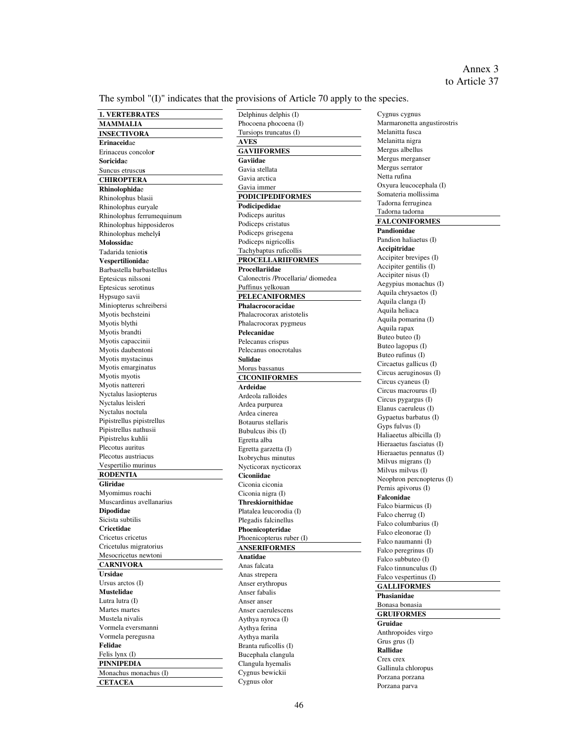The symbol "(I)" indicates that the provisions of Article 70 apply to the species.

**1. VERTEBRATES MAMMALIA INSECTIVORA Erinaceid**ae Erinaceus concolo**r Soricida**e Suncus etruscu**s CHIROPTERA Rhinolophida**e Rhinolophus blasii Rhinolophus euryale Rhinolophus ferrumequinum Rhinolophus hipposideros Rhinolophus mehely**i Molossida**e Tadarida tenioti**s Vespertilionida**e Barbastella barbastellus Eptesicus nilssoni Eptesicus serotinus Hypsugo savii Miniopterus schreibersi Myotis bechsteini Myotis blythi Myotis brandti Myotis capaccinii Myotis daubentoni Myotis mystacinus Myotis emarginatus Myotis myotis Myotis nattereri Nyctalus lasiopterus Nyctalus leisleri Nyctalus noctula Pipistrellus pipistrellus Pipistrellus nathusii Pipistrelus kuhlii Plecotus auritus Plecotus austriacus Vespertilio murinus **RODENTIA Gliridae** Myomimus roachi Muscardinus avellanarius **Dipodidae** Sicista subtilis **Cricetidae** Cricetus cricetus Cricetulus migratorius Mesocricetus newtoni **CARNIVORA Ursidae** Ursus arctos (I) **Mustelidae** Lutra lutra (I) Martes martes Mustela nivalis Vormela eversmanni Vormela peregusna **Felidae** Felis lynx (I) **PINNIPEDIA** Monachus monachus (I) **CETACEA**

Delphinus delphis (I) Phocoena phocoena (I) Tursiops truncatus (I) **AVES GAVIIFORMES Gaviidae** Gavia stellata Gavia arctica Gavia immer **PODICIPEDIFORMES Podicipedidae** Podiceps auritus Podiceps cristatus Podiceps grisegena Podiceps nigricollis Tachybaptus ruficollis **PROCELLARIIFORMES Procellariidae** Calonectris /Procellaria/ diomedea Puffinus yelkouan **PELECANIFORMES Phalacrocoracidae** Phalacrocorax aristotelis Phalacrocorax pygmeus **Pelecanidae** Pelecanus crispus Pelecanus onocrotalus **Sulidae** Мorus bassanus **CICONIIFORMES Ardeidae** Ardeola ralloides Ardea purpurea Ardea cinerea Botaurus stellaris Bubulcus ibis (I) Egretta alba Egretta garzetta (I) Ixobrychus minutus Nycticorax nycticorax **Ciconiidae** Ciconia ciconia Ciconia nigra (I) **Threskiornithidae** Plаtalea leucorodia (I) Plegadis falcinellus **Phoenicopteridae** Phoenicopterus ruber (I) **ANSERIFORMES Anatidae** Anas falcata Anas strepera Аnser erythropus Аnser fabalis Аnser аnser Аnser caerulescens Aythya nyroca (I) Aythya ferina Aythya marila Branta ruficollis (I) Bucephala clangula Clangula hyemalis Cygnus bewickii Cygnus olor

Cygnus cygnus Маrmaronetta angustirostris Мelanitta fusca Мelanitta nigra Mergus albellus Mergus merganser Mergus serrator Netta rufina Oxyura leucocephala (I) Somateria mollissima Тadorna ferruginea Тadorna tadorna **FALCONIFORMES Pandionidae** Pandion haliaetus (I) **Accipitridae**  Accipiter brevipes (I) Accipiter gentilis (I) Accipiter nisus (I) Aegypius monachus (I) Aquila chrysaetos (I) Aquila clanga (I) Aquila heliaca Aquila pomarina (I) Aquila rapax Buteo buteo (I) Buteo lagopus (I) Buteo rufinus (I) Circаеtus gallicus (I) Circus aeruginosus (I) Circus cyaneus (I) Circus macrourus (I) Circus pygargus (I) Elanus caeruleus (I) Gypaetus barbatus (I) Gyps fulvus (I) Haliaeetus albicilla (I) Hieraaetus fasciatus (I) Hieraaetus pennatus (I) Milvus migrans (I) Milvus milvus (I) Neophron percnopterus (I) Pernis apivorus (I) **Falconidae** Falco biarmicus (I) Falco cherrug (I) Falco columbarius (I) Falco eleonorae (I) Falco naumanni (I) Falco peregrinus (I) Falco subbuteo (I) Falco tinnunculus (I) Falco vespertinus (I) **GALLIFORMES Phasianidae** Bonasa bonasia **GRUIFORMES Gruidae** Anthropoides virgo Grus grus (I) **Rallidae** Crex crex Gallinula chloropus Porzana porzana Porzana parva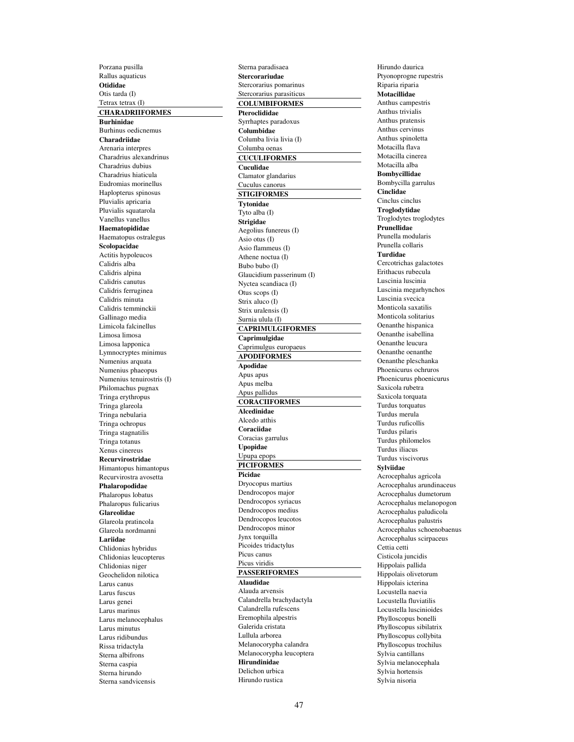Porzana pusilla Rallus aquaticus **Otididae** Otis tarda (I) Tetrax tetrax (I) **CHARADRIIFORMES Burhinidae** Burhinus oedicnemus **Charadriidae** Arenaria interpres Charadrius alexandrinus Charadrius dubius Charadrius hiaticula Eudromias morinellus Haplopterus spinosus Pluvialis apricaria Pluvialis squatarola Vanellus vanellus **Haematopididae** Haematopus ostralegus **Scolopacidae** Actitis hypoleucos Calidris alba Calidris alpina Calidris canutus Calidris ferruginea Calidris minuta Calidris temminckii Gallinago media Limicola falcinellus Limosa limosa Limosa lapponica Lymnocryptes minimus Numenius arquata Numenius phaeopus Numenius tenuirostris (I) Philomachus pugnax Tringa erythropus Tringa glareola Tringa nebularia Tringa ochropus Tringa stagnatilis Tringa totanus Xenus cinereus **Recurvirostridae** Himantopus himantopus Recurvirostra avosetta **Phalaropodidae** Phalaropus lobatus Phalaropus fulicarius **Glareolidae** Glareola pratincola Glareola nordmanni **Lariidae** Chlidonias hybridus Chlidonias leucopterus Chlidonias niger Geochelidon nilotica Larus canus Larus fuscus Larus genei Larus marinus Larus melanocephalus Larus minutus Larus ridibundus Rissa tridactyla Sterna albifrons Sterna caspia Sterna hirundo Sterna sandvicensis

Sterna paradisaea **Stercorariudae** Stercorarius pomarinus Stercorarius parasiticus **COLUMBIFORMES Pteroclididae** Syrrhaptes paradoxus **Columbidae** Columba livia livia (I) Columba oenas **CUCULIFORMES Cuculidae** Clamator glandarius Cuculus canorus **STIGIFORMES Tytonidae** Tyto alba (I) **Strigidae** Aegolius funereus (I) Asio otus (I) Asio flammeus (I) Athene noctua (I) Bubo bubo (I) Glaucidium passerinum (I) Nyctea scandiaca (I) Otus scops (I) Strix aluco (I) Strix uralensis (I) Surnia ulula (I) **CAPRIMULGIFORMES Caprimulgidae** Caprimulgus europaeus **APODIFORMES Apodidae** Apus apus Apus melba Apus pallidus **CORACIIFORMES Alcedinidae** Alcedo atthis **Coraciidae** Coracias garrulus **Upopidae** Upupa epops **PICIFORMES Picidae** Dryocopus martius Dendrocopos major Dendrocopos syriacus Dendrocopos medius Dendrocopos leucotos Dendrocopos minor Jynx torquilla Picoides tridactylus Picus canus Picus viridis **PASSERIFORMES Alaudidae** Alauda arvensis Calandrella brachydactyla Calandrella rufescens Eremophila alpestris Galerida cristata Lullula arborea Melanocorypha calandra Melanocorypha leucoptera **Hirundinidae** Delichon urbica Hirundo rustica

Hirundo daurica Ptyonoprogne rupestris Riparia riparia **Motacillidae** Anthus campestris Anthus trivialis Anthus pratensis Anthus cervinus Anthus spinoletta Motacilla flava Motacilla cinerea Motacilla alba **Bombycillidae** Bombycilla garrulus **Cinclidae** Cinclus cinclus **Troglodytidae** Troglodytes troglodytes **Prunellidae** Prunella modularis Prunella collaris **Turdidae** Cercotrichas galactotes Erithacus rubecula Luscinia luscinia Luscinia megarhynchos Luscinia svecica Monticola saxatilis Monticola solitarius Oenanthe hispanica Oenanthe isabellina Oenanthe leucura Oenanthe oenanthe Oenanthe pleschanka Phoenicurus ochruros Phoenicurus phoenicurus Saxicola rubetra Saxicola torquata Turdus torquatus Turdus merula Turdus ruficollis Turdus pilaris Turdus philomelos Turdus iliacus Turdus viscivorus **Sylviidae** Acrocephalus agricola Acrocephalus arundinaceus Acrocephalus dumetorum Acrocephalus melanopogon Acrocephalus paludicola Acrocephalus palustris Acrocephalus schoenobaenus Acrocephalus scirpaceus Cettia cetti Cisticola juncidis Hippolais pallida Hippolais olivetorum Hippolais icterina Locustella naevia Locustella fluviatilis Locustella luscinioides Phylloscopus bonelli Phylloscopus sibilatrix Phylloscopus collybita Phylloscopus trochilus Sylvia cantillans Sylvia melanocephala Sylvia hortensis Sylvia nisoria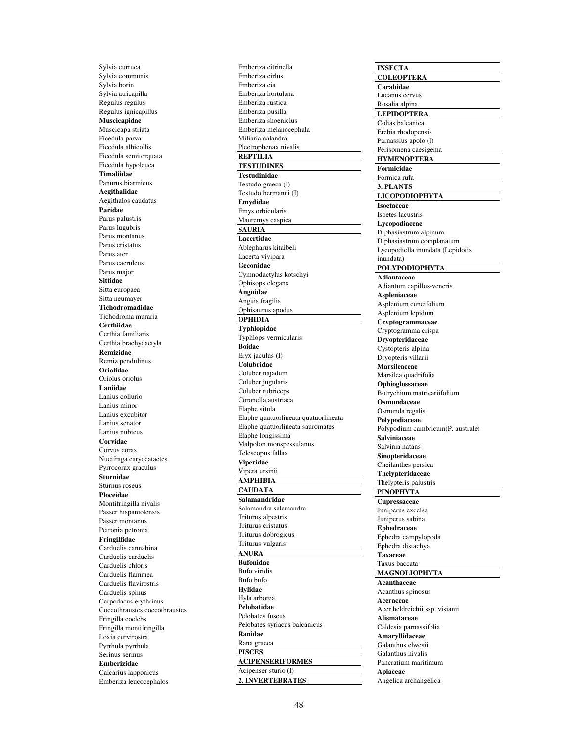Sylvia curruca Sylvia communis Sylvia borin Sylvia atricapilla Regulus regulus Regulus ignicapillus **Muscicapidae** Muscicapa striata Ficedula parva Ficedula albicollis Ficedula semitorquata Ficedula hypoleuca **Timaliidae** Panurus biarmicus **Aegithalidae** Aegithalos caudatus **Paridae** Parus palustris Parus lugubris Parus montanus Parus cristatus Parus ater Parus caeruleus Parus major **Sittidae** Sitta europaea Sitta neumayer **Tichodromadidae** Tichodroma muraria **Certhiidae** Certhia familiaris Certhia brachydactyla **Remizidae** Remiz pendulinus **Oriolidae** Oriolus oriolus **Laniidae** Lanius collurio Lanius minor Lanius excubitor Lanius senator Lanius nubicus **Corvidae** Corvus corax Nucifraga caryocatactes Pyrrocorax graculus **Sturnidae** Sturnus roseus **Ploceidae** Montifringilla nivalis Passer hispaniolensis Passer montanus Petronia petronia **Fringillidae** Carduelis cannabina Carduelis carduelis Carduelis chloris Carduelis flammea Carduelis flavirostris Carduelis spinus Carpodacus erythrinus Coccothraustes coccothraustes Fringilla coelebs Fringilla montifringilla Loxia curvirostra Pyrrhula pyrrhula Serinus serinus **Emberizidae** Calcarius lapponicus Emberiza leucocephalos

Emberiza citrinella Emberiza cirlus Emberiza cia Emberiza hortulana Emberiza rustica Emberiza pusilla Emberiza shoeniclus Emberiza melanocephala Miliaria calandra Plectrophenax nivalis **REPTILIA TESTUDINES Testudinidae** Testudo graeca (I) Testudo hermanni (I) **Emydidae** Emys orbicularis Mauremys caspica **SAURIA Lacertidae** Ablepharus kitaibeli Lacerta vivipara **Geconidae**  Cymnodactylus kotschyi Ophisops elegans **Anguidae** Anguis fragilis Ophisaurus apodus **OPHIDIA Typhlopidae** Typhlops vermicularis **Boidae** Eryx jaculus (I) **Colubridae** Coluber najadum Coluber jugularis Coluber rubriceps Coronella austriaca Elaphe situla Elaphe quatuorlineata quatuorlineata Elaphe quatuorlineata sauromates Elaphe longissima Malpolon monspessulanus Telescopus fallax **Viperidae** Vipera ursinii **AMPHIBIA CAUDATA Salamandridae** Salamandra salamandra Triturus alpestris Triturus cristatus Triturus dobrogicus Triturus vulgaris **ANURA Bufonidae** Bufo viridis Bufo bufo **Hylidae** Hyla arborea **Pelobatidae** Pelobates fuscus Pelobates syriacus balcanicus **Ranidae** Rana graeca **PISCES ACIPENSERIFORMES** Acipenser sturio (I) **2. INVERTEBRATES**

**INSECTA COLEOPTERA Carabidae** Lucanus cervus Rosalia alpina **LEPIDOPTERA** Colias balcanica Erebia rhodopensis Parnassius apolo (I) Perisomena caesigema **HYMENOPTERA Formicidae** Formica rufa **3. PLANTS LICOPODIOPHYTA Isoetaceae** Isoetes lacustris **Lycopodiaceae** Diphasiastrum alpinum Diphasiastrum complanatum Lycopodiella inundata (Lepidotis inundata) **POLYPODIOPHYTA Adiantaceae** Adiantum capillus-veneris **Aspleniaceae** Asplenium cuneifolium Asplenium lepidum **Cryptogrammaceae** Cryptogramma crispa **Dryopteridaceae** Cystopteris alpina Dryopteris villarii **Marsileaceae** Marsilea quadrifolia **Ophioglossaceae** Botrychium matricariifolium **Osmundaceae** Osmunda regalis **Polypodiaceae** Polypodium cambricum(P. australe) **Salviniaceae** Salvinia natans **Sinopteridaceae** Cheilanthes persica **Thelypteridaceae** Thelypteris palustris **PINOPHYTA Cupressaceae** Juniperus excelsa Juniperus sabina **Ephedraceae** Ephedra campylopoda Ephedra distachya **Taxaceae** Taxus baccata **MAGNOLIOPHYTA Acanthaceae** Acanthus spinosus **Aceraceae** Acer heldreichii ssp. visianii **Alismataceae** Caldesia parnassifolia **Amaryllidaceae** Galanthus elwesii Galanthus nivalis Pancratium maritimum **Apiaceae** Angelica archangelica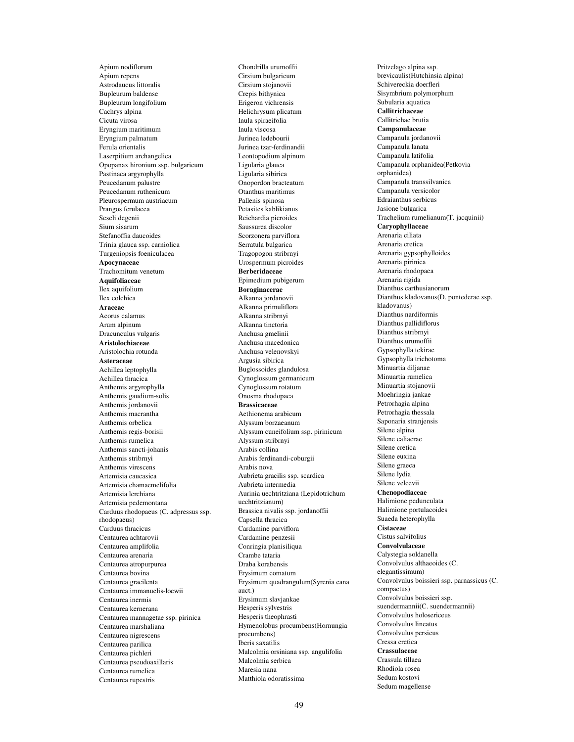Apium nodiflorum Apium repens Astrodaucus littoralis Bupleurum baldense Bupleurum longifolium Cachrys alpina Cicuta virosa Eryngium maritimum Eryngium palmatum Ferula orientalis Laserpitium archangelica Opopanax hironium ssp. bulgaricum Pastinaca argyrophylla Peucedanum palustre Peucedanum ruthenicum Pleurospermum austriacum Prangos ferulacea Seseli degenii Sium sisarum Stefanoffia daucoides Trinia glauca ssp. carniolica Turgeniopsis foeniculacea **Apocynaceae** Trachomitum venetum **Aquifoliaceae** Ilex aquifolium Ilex colchica **Araceae** Acorus calamus Arum alpinum Dracunculus vulgaris **Aristolochiaceae** Aristolochia rotunda **Asteraceae** Achillea leptophylla Achillea thracica Anthemis argyrophylla Anthemis gaudium-solis Anthemis jordanovii Anthemis macrantha Anthemis orbelica Anthemis regis-borisii Anthemis rumelica Anthemis sancti-johanis Anthemis stribrnyi Anthemis virescens Artemisia caucasica Artemisia chamaemelifolia Artemisia lerchiana Artemisia pedemontana Carduus rhodopaeus (C. adpressus ssp. rhodopaeus) Carduus thracicus Centaurea achtarovii Centaurea amplifolia Centaurea arenaria Centaurea atropurpurea Centaurea bovina Centaurea gracilenta Centaurea immanuelis-loewii Centaurea inermis Centaurea kernerana Centaurea mannagetae ssp. pirinica Centaurea marshaliana Centaurea nigrescens Centaurea parilica Centaurea pichleri Centaurea pseudoaxillaris Centaurea rumelica Centaurea rupestris

Chondrilla urumoffii Cirsium bulgaricum Cirsium stojanovii Crepis bithynica Erigeron vichrensis Helichrysum plicatum Inula spiraeifolia Inula viscosa Jurinea ledebourii Jurinea tzar-ferdinandii Leontopodium alpinum Ligularia glauca Ligularia sibirica Onopordon bracteatum Otanthus maritimus Pallenis spinosa Petasites kablikianus Reichardia picroides Saussurea discolor Scorzonera parviflora Serratula bulgarica Tragopogon stribrnyi Urospermum picroides **Berberidaceae** Epimedium pubigerum **Boraginacerae** Alkanna jordanovii Alkanna primuliflora Alkanna stribrnyi Alkanna tinctoria Anchusa gmelinii Anchusa macedonica Anchusa velenovskyi Argusia sibirica Buglossoides glandulosa Cynoglossum germanicum Cynoglossum rotatum Onosma rhodopaea **Brassicaceae** Aethionema arabicum Alyssum borzaeanum Alyssum cuneifolium ssp. pirinicum Alyssum stribrnyi Arabis collina Arabis ferdinandi-coburgii Arabis nova Aubrieta gracilis ssp. scardica Aubrieta intermedia Aurinia uechtritziana (Lepidotrichum uechtritzianum) Brassica nivalis ssp. jordanoffii Capsella thracica Cardamine parviflora Cardamine penzesii Conringia planisiliqua Crambe tataria Draba korabensis Erysimum comatum Erysimum quadrangulum(Syrenia cana auct.) Erysimum slavjankae Hesperis sylvestris Hesperis theophrasti Hymenolobus procumbens(Hornungia procumbens) Iberis saxatilis Malcolmia orsiniana ssp. angulifolia Malcolmia sеrbica Maresia nana Matthiola odoratissima

Pritzelago alpina ssp. brevicaulis(Hutchinsia alpina) Schivereckia doerfleri Sisymbrium polymorphum Subularia aquatica **Callitrichaceae** Callitrichae brutia **Campanulaceae** Campanula jordanovii Campanula lanata Campanula latifolia Campanula orphаnidea(Petkovia orphanidea) Campanula transsilvanica Campanula versicolor Edraianthus serbicus Jasione bulgarica Trachelium rumelianum(T. jacquinii) **Caryophyllaceae** Arenaria ciliata Arenaria cretica Arenaria gypsophylloides Arenaria pirinica Arenaria rhodopaea Arenaria rigida Dianthus carthusianorum Dianthus kladovanus(D. pontederae ssp. kladovanus) Dianthus nardiformis Dianthus pallidiflorus Dianthus stribrnyi Dianthus urumoffii Gypsophylla tekirae Gypsophylla trichotoma Minuartia diljanae Minuartia rumelica Minuartia stojanovii Moehringia jankae Petrorhagia alpina Petrorhagia thessala Saponaria stranjensis Silene alpina Silene caliacrae Silene cretica Silene euxina Silene graeca Silene lydia Silene velcevii **Chenopodiaceae** Halimione pedunculata Halimione portulacoides Suaeda heterophylla **Cistaceae** Cistus salvifolius **Convolvulaceae** Calystegia soldanella Convolvulus althaeoides (C. elegantissimum) Convolvulus boissieri ssp. parnassicus (C. compactus) Convolvulus boissieri ssp. suendermannii(C. suendermannii) Convolvulus holosericeus Convolvulus lineatus Convolvulus persicus Cressa cretica **Crassulaceae** Crassula tillaea Rhodiola rosea Sedum kostovi Sedum magellense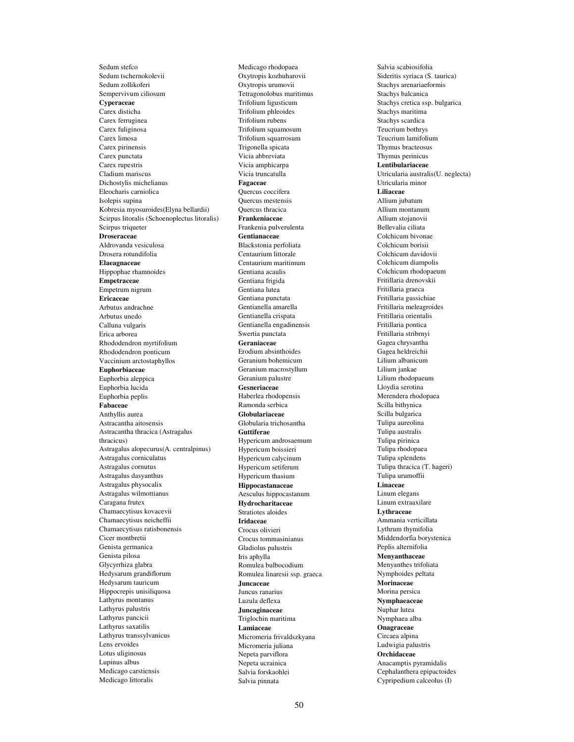Sedum stefco Sedum tschernokolevii Sedum zollikoferi Sempervivum ciliosum **Cyperaceae** Carex disticha Carex ferruginea Carex fuliginosa Carex limosa Carex pirinensis Carex punctata Carex rupestris Cladium mariscus Dichostylis michelianus Eleocharis carniolica Isolepis supina Kobresia myosuroides(Elyna bellardii) Scirpus litoralis (Schoenoplectus litoralis) Scirpus triqueter **Droseraceae** Aldrovanda vesiculosa Drosera rotundifolia **Elaeagnaceae** Hippophae rhamnoides **Empetraceae** Empetrum nigrum **Ericaceae** Arbutus andrachne Arbutus unedo Calluna vulgaris Erica arborea Rhododendron myrtifolium Rhododendron ponticum Vaccinium arctostaphyllos **Euphorbiaceae** Euphorbia aleppica Euphorbia lucida Euphorbia peplis **Fabaceae** Anthyllis aurea Astracantha aitosensis Astracantha thracica (Astragalus thracicus) Astragalus alopecurus(A. centralpinus) Astragalus corniculatus Astragalus cornutus Astragalus dasyanthus Astragalus physocalix Astragalus wilmottianus Caragana frutex Chamaecytisus kovacevii Chamaecytisus neicheffii Chamaecytisus ratisbonensis Cicer montbretii Genista germanica Genista pilosa Glycyrrhiza glabra Hedysarum grandiflorum Hedysarum tauricum Hippocrepis unisiliquosa Lathyrus montanus Lathyrus palustris Lathyrus pancicii Lathyrus saxatilis Lathyrus transsylvanicus Lens ervoides Lotus uliginosus Lupinus albus Medicago carstiensis Medicago littoralis

Medicago rhodopaea Oxytropis kozhuharovii Oxytropis urumovii Tetragonolobus maritimus Trifolium ligusticum Trifolium phleoides Trifolium rubens Trifolium squamosum Trifolium squarrosum Trigonella spicata Vicia abbreviata Vicia amphicarpa Vicia truncatulla **Fagaceae** Quercus coccifera Quercus mestensis Quercus thracica **Frankeniaceae** Frankenia pulverulenta **Gentianaceae** Blackstonia perfoliata Centaurium littorale Centaurium maritimum Gentiana acaulis Gentiana frigida Gentiana lutea Gentiana punctata Gentianella amarella Gentianella crispata Gentianella engadinensis Swertia punctata **Geraniaceae** Erodium absinthoides Geranium bohemicum Geranium macrostyllum Geranium palustre **Gesneriaceae** Haberlea rhodopensis Ramonda serbica **Globulariaceae** Globularia trichosantha **Guttiferae** Hypericum androsaemum Hypericum boissieri Hypericum calycinum Hypericum setiferum Hypericum thasium **Hippocastanaceae** Aesculus hippocastanum **Hydrocharitaceae** Stratiotes aloides **Iridaceae** Crocus olivieri Crocus tommasinianus Gladiolus palustris Iris aphylla Romulea bulbocodium Romulea linaresii ssp. graeca **Juncaceae** Juncus ranarius Luzula deflexa **Juncaginaceae** Triglochin maritima **Lamiaceae** Micromeria frivaldszkyana Micromeria juliana Nepeta parviflora Nepeta ucrainica Salvia forskaohlei Salvia pinnata

Salvia scabiosifolia Sideritis syriaca (S. taurica) Stachys arenariaeformis Stachys balcanica Stachys cretica ssp. bulgarica Stachys maritima Stachys scardica Teucrium bothrys Teucrium lamifolium Thymus bracteosus Thymus perinicus **Lentibulariaceae** Utricularia australis(U. neglecta) Utricularia minor **Liliaceae** Allium jubatum Allium montanum Allium stojanovii Bellevalia ciliata Colchicum bivonae Colchicum borisii Colchicum davidovii Colchicum diampolis Colchicum rhodopaeum Fritillaria drenovskii Fritillaria graeca Fritillaria gussichiae Fritillaria meleagroides Fritillaria orientalis Fritillaria pontica Fritillaria stribrnyi Gagea chrysantha Gagea heldreichii Lilium albanicum Lilium jankae Lilium rhodopaeum Lloydia serotina Merendera rhodopaea Scilla bithynica Scilla bulgarica Tulipa aureolina Tulipa australis Tulipa pirinica Tulipa rhodopaea Tulipa splendens Tulipa thracica (T. hageri) Tulipa urumoffii **Linaceae** Linum elegans Linum extraaxilare **Lythraceae** Ammania verticillata Lythrum thymifolia Middendorfia borystenica Peplis alternifolia **Menyanthaceae** Menyanthes trifoliata Nymphoides peltata **Morinaceae** Morina persica **Nymphaeaceae** Nuphar lutea Nymphaea alba **Onagraceae** Circaea alpina Ludwigia palustris **Orchidaceae** Anacamptis pyramidalis Cephalanthera epipactoides Cypripedium calceolus (I)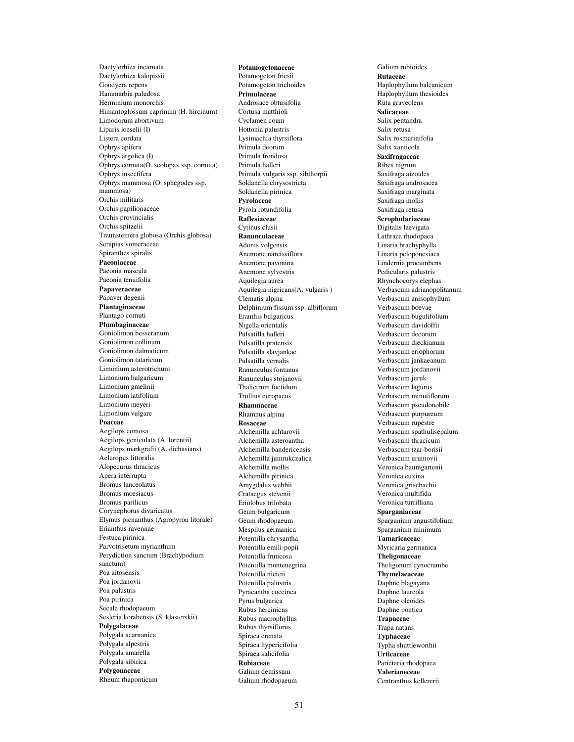Dactylorhiza incarnata Dactylorhiza kalopissii Goodyera repens Hammarbia paludosa Herminium monorchis Himantoglossum caprinum (H. hircinum) Limodorum abortivum Liparis loeselii (I) Listera cordata Ophrys apifera Ophrys argolica (I) Ophrys cornuta(O. scolopax ssp. cornuta) Ophrys insectifera Ophrys mammosa (O. sphegodes ssp. mammosa) Orchis militaris Orchis papilionaceae Orchis provincialis Orchis spitzelii Traunsteinera globosa (Orchis globosa) Serapias vomeraceae Spiranthes spiralis **Paeoniaceae** Paeonia mascula Paeonia tenuifolia **Papaveraceae** Papaver degenii **Plantaginaceae** Plantago cornuti **Plumbaginaceae** Goniolimon besseranum Goniolimon collinum Goniolimon dalmaticum Goniolimon tataricum Limonium asterotrichum Limonium bulgaricum Limonium gmelinii Limonium latifolium Limonium meyeri Limonium vulgare **Poaceae** Aegilops comosa Aegilops geniculata (A. lorentii) Aegilops markgrafii (A. dichasians) Aeluropus littoralis Alopecurus thracicus Apera interrupta Bromus lanceolatus Bromus moesiacus Bromus parilicus Corynephorus divaricatus Elymus picnanthus (Agropyron litorale) Erianthus ravennae Festuca pirinica Parvotrisetum myrianthum Perydiction sanctum (Brachypodium sanctum) Poa aitosensis Poa jordanovii Poa palustris Poa pirinica Secale rhodopaeum Sesleria korabensis (S. klasterskii) **Polygalaceae** Polygala acarnanica Polygala alpestris Polygala amarella Polygala sibirica **Polygonaceae** Rheum rhaponticum

**Potamogetonaceae** Potamogeton friesii Potamogeton trichoides **Primulaceae** Androsace obtusifolia Cortusa matthioli Cyclamen coum Hottonia palustris Lysimachia thyrsiflora Primula deorum Primula frondosa Primula halleri Primula vulgaris ssp. sibthorpii Soldanella chrysostricta Soldanella pirinica **Pyrolaceae** Pyrola rotundifolia **Raflesiaceae** Cytinus clusii **Ranunculaceae** Adonis volgensis Anemone narcissiflora Anemone pavonina Anemone sylvestris Aquilegia aurea Aquilegia nigricans(A. vulgaris ) Clematis alpina Delphinium fissum ssp. albiflorum Eranthis bulgaricus Nigella orientalis Pulsatilla halleri Pulsatilla pratensis Pulsatilla slavjankae Pulsatilla vernalis Ranunculus fontanus Ranunculus stojanovii Thalictrum foetidum Trollius europaeus **Rhamnaceae** Rhamnus alpina **Rosaceae** Alchemilla achtarovii Alchemilla asteroantha Alchemilla bandericensis Alchemilla jumrukczalica Alchemilla mollis Alchemilla pirinica Amygdalus webbii Crataegus stevenii Eriolobus trilobata Geum bulgaricum Geum rhodopaeum Mespilus germanica Potentilla chrysantha Potentilla emili-popii Potentilla fruticosa Potentilla montenegrina Potentilla nicicii Potentilla palustris Pyracantha coccinea Pyrus bulgarica Rubus hercinicus Rubus macrophyllus Rubus thyrsiflorus Spiraea crenata Spiraea hypericifolia Spiraea salicifolia **Rubiaceae** Galium demissum Galium rhodopaeum

Galium rubioides **Rutaceae** Haplophyllum balcanicum Haplophyllum thesioides Ruta graveolens **Salicaceae** Salix pentandra Salix retusa Salix rosmarinifolia Salix xanticola **Saxifragaceae** Ribes nigrum Saxifraga aizoides Saxifraga androsacea Saxifraga marginata Saxifraga mollis Saxifraga retusa **Scrophulariaceae** Digitalis laevigata Lathraea rhodopaea Linaria brachyphylla Linaria peloponesiaca Lindernia procumbens Pedicularis palustris Rhynchocorys elephas Verbascum adrianopolitanum Verbascum anisophyllum Verbascum boevae Verbascum bugulifolium Verbascum davidoffii Verbascum decorum Verbascum dieckianum Verbascum eriophorum Verbascum jankaeanum Verbascum jordanovii Verbascum juruk Verbascum lagurus Verbascum minutiflorum Verbascum pseudonobile Verbascum purpureum Verbascum rupestre Verbascum spathulisepalum Verbascum thracicum Verbascum tzar-borisii Verbascum urumovii Veronica baumgartenii Veronica euxina Veronica grisebachii Veronica multifida Veronica turrilliana **Sparganiaceae** Sparganium angustifolium Sparganium minimum **Tamaricaceae** Myricaria germanica **Theligonaceae** Theligonum cynocrambe **Thymelaeaceae** Daphne blagayana Daphne laureola Daphne oleoides Daphne pontica **Trapaceae** Trapa natans **Typhaceae** Typha shuttleworthii **Urticaceae** Parietaria rhodopaea **Valerianeceae** Centranthus kellererii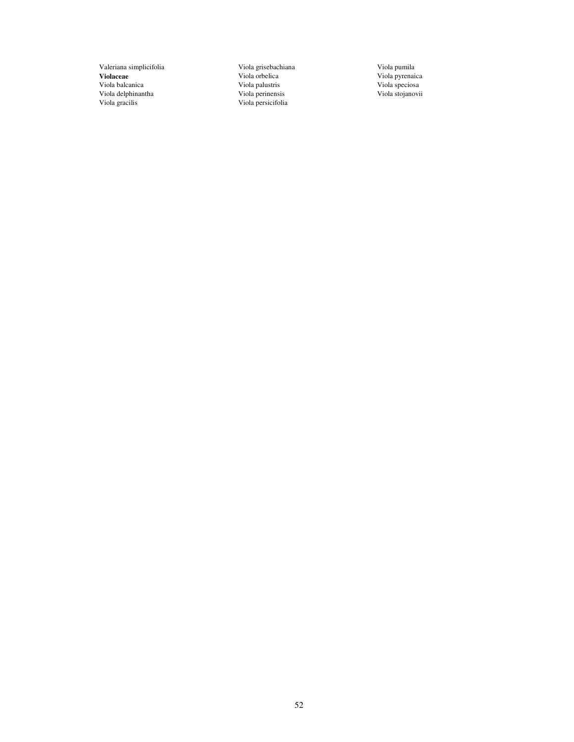Valeriana simplicifolia **Violaceae** Viola balcanica Viola delphinantha Viola gracilis

Viola grisebachiana Viola orbelica Viola palustris Viola perinensis Viola persicifolia

Viola pumila Viola pyrenaica Viola speciosa Viola stojanovii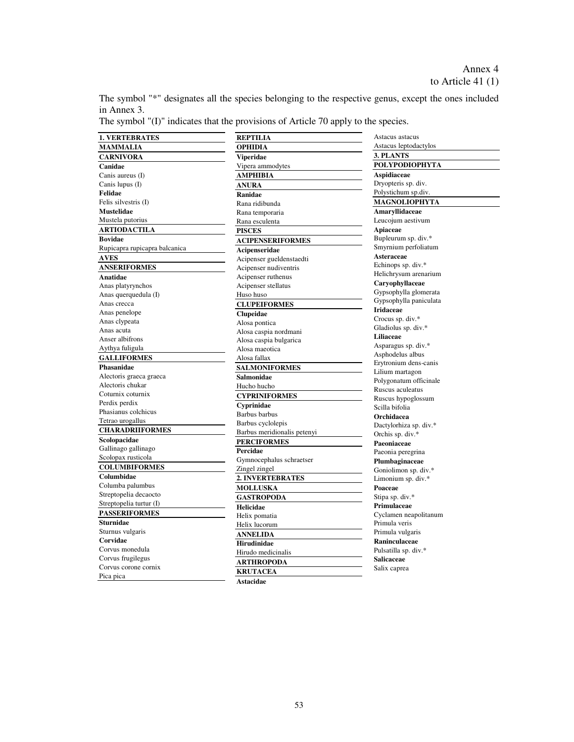The symbol "\*" designates all the species belonging to the respective genus, except the ones included in Annex 3.

The symbol "(I)" indicates that the provisions of Article 70 apply to the species.

| <b>1. VERTEBRATES</b>         | <b>REPTILIA</b>             | Astacus astacus                            |
|-------------------------------|-----------------------------|--------------------------------------------|
| <b>MAMMALIA</b>               | <b>OPHIDIA</b>              | Astacus leptodactylos                      |
| <b>CARNIVORA</b>              | <b>Viperidae</b>            | 3. PLANTS                                  |
| Canidae                       | Vipera ammodytes            | <b>POLYPODIOPHYTA</b>                      |
| Canis aureus (I)              | <b>AMPHIBIA</b>             | Aspidiaceae                                |
| Canis lupus (I)               | <b>ANURA</b>                | Dryopteris sp. div.                        |
| Felidae                       | Ranidae                     | Polystichum sp.div.                        |
| Felis silvestris (I)          | Rana ridibunda              | <b>MAGNOLIOPHYTA</b>                       |
| <b>Mustelidae</b>             | Rana temporaria             | Amaryllidaceae                             |
| Mustela putorius              | Rana esculenta              | Leucojum aestivum                          |
| <b>ARTIODACTILA</b>           | <b>PISCES</b>               | Apiaceae                                   |
| <b>Bovidae</b>                | <b>ACIPENSERIFORMES</b>     | Bupleurum sp. div.*                        |
| Rupicapra rupicapra balcanica | Acipenseridae               | Smyrnium perfoliatum                       |
| <b>AVES</b>                   | Acipenser gueldenstaedti    | Asteraceae                                 |
| <b>ANSERIFORMES</b>           | Acipenser nudiventris       | Echinops sp. div.*                         |
| Anatidae                      | Acipenser ruthenus          | Helichrysum arenarium                      |
| Anas platyrynchos             | Acipenser stellatus         | Caryophyllaceae                            |
| Anas querquedula (I)          | Huso huso                   | Gypsophylla glomerata                      |
| Anas crecca                   | <b>CLUPEIFORMES</b>         | Gypsophylla paniculata                     |
| Anas penelope                 | Clupeidae                   | <b>Iridaceae</b>                           |
| Anas clypeata                 | Alosa pontica               | Crocus sp. div.*                           |
| Anas acuta                    | Alosa caspia nordmani       | Gladiolus sp. div.*                        |
| Anser albifrons               | Alosa caspia bulgarica      | Liliaceae                                  |
| Aythya fuligula               | Alosa maeotica              | Asparagus sp. div.*                        |
| <b>GALLIFORMES</b>            | Alosa fallax                | Asphodelus albus                           |
| Phasanidae                    | <b>SALMONIFORMES</b>        | Erytronium dens-canis                      |
| Alectoris graeca graeca       | <b>Salmonidae</b>           | Lilium martagon                            |
| Alectoris chukar              | Hucho hucho                 | Polygonatum officinale                     |
| Coturnix coturnix             | <b>CYPRINIFORMES</b>        | Ruscus aculeatus                           |
| Perdix perdix                 | Cyprinidae                  | Ruscus hypoglossum<br>Scilla bifolia       |
| Phasianus colchicus           | Barbus barbus               | Orchidacea                                 |
| Tetrao urogallus              | Barbus cyclolepis           |                                            |
| <b>CHARADRIIFORMES</b>        | Barbus meridionalis petenyi | Dactylorhiza sp. div.*<br>Orchis sp. div.* |
| Scolopacidae                  | <b>PERCIFORMES</b>          | Paeoniaceae                                |
| Gallinago gallinago           | Percidae                    | Paeonia peregrina                          |
| Scolopax rusticola            | Gymnocephalus schraetser    | Plumbaginaceae                             |
| <b>COLUMBIFORMES</b>          | Zingel zingel               | Goniolimon sp. div.*                       |
| Columbidae                    | <b>2. INVERTEBRATES</b>     | Limonium sp. div.*                         |
| Columba palumbus              | <b>MOLLUSKA</b>             | Poaceae                                    |
| Streptopelia decaocto         | <b>GASTROPODA</b>           | Stipa sp. div.*                            |
| Streptopelia turtur (I)       | Helicidae                   | Primulaceae                                |
| <b>PASSERIFORMES</b>          | Helix pomatia               | Cyclamen neapolitanum                      |
| <b>Sturnidae</b>              | Helix lucorum               | Primula veris                              |
| Sturnus vulgaris              | <b>ANNELIDA</b>             | Primula vulgaris                           |
| Corvidae                      | <b>Hirudinidae</b>          | Raninculaceae                              |
| Corvus monedula               | Hirudo medicinalis          | Pulsatilla sp. div.*                       |
| Corvus frugilegus             | <b>ARTHROPODA</b>           | Salicaceae                                 |
| Corvus corone cornix          |                             | Salix caprea                               |
| Pica pica                     | <b>KRUTACEA</b>             |                                            |
|                               | <b>Astacidae</b>            |                                            |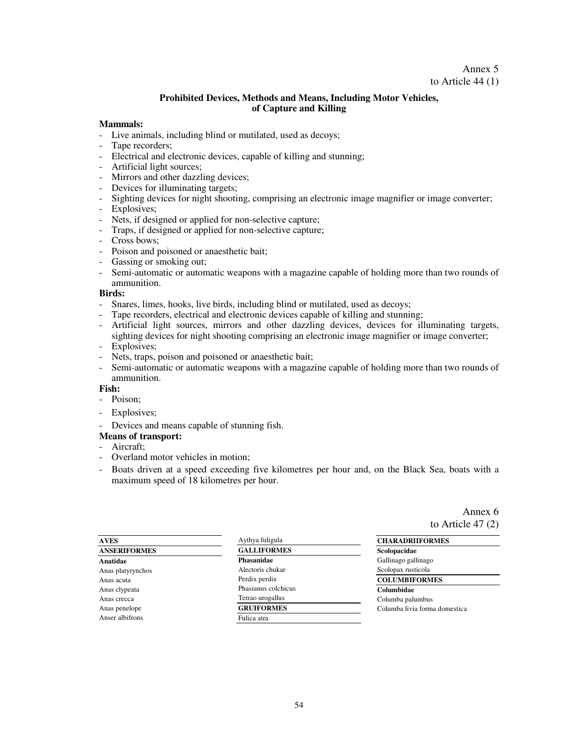### Annex 5 to Article 44 (1)

### **Prohibited Devices, Methods and Means, Including Motor Vehicles, of Capture and Killing**

#### **Mammals:**

- Live animals, including blind or mutilated, used as decoys;
- Tape recorders;
- Electrical and electronic devices, capable of killing and stunning;
- Artificial light sources;
- Mirrors and other dazzling devices;
- Devices for illuminating targets;
- Sighting devices for night shooting, comprising an electronic image magnifier or image converter;
- Explosives;
- Nets, if designed or applied for non-selective capture;
- Traps, if designed or applied for non-selective capture;
- Cross bows;
- Poison and poisoned or anaesthetic bait;
- Gassing or smoking out;
- Semi-automatic or automatic weapons with a magazine capable of holding more than two rounds of ammunition.

#### **Birds:**

- Snares, limes, hooks, live birds, including blind or mutilated, used as decoys;
- Tape recorders, electrical and electronic devices capable of killing and stunning;
- Artificial light sources, mirrors and other dazzling devices, devices for illuminating targets, sighting devices for night shooting comprising an electronic image magnifier or image converter;
- Explosives;
- Nets, traps, poison and poisoned or anaesthetic bait;
- Semi-automatic or automatic weapons with a magazine capable of holding more than two rounds of ammunition.

### **Fish:**

- Poison;
- Explosives;
- Devices and means capable of stunning fish.

#### **Means of transport:**

- Aircraft;
- Overland motor vehicles in motion;
- Boats driven at a speed exceeding five kilometres per hour and, on the Black Sea, boats with a maximum speed of 18 kilometres per hour.

Annex 6 to Article 47 (2)

| <b>AVES</b>         | Aythya fuligula     | <b>CHARADRIIFORMES</b>        |  |  |  |  |
|---------------------|---------------------|-------------------------------|--|--|--|--|
| <b>ANSERIFORMES</b> | <b>GALLIFORMES</b>  | Scolopacidae                  |  |  |  |  |
| Anatidae            | Phasanidae          | Gallinago gallinago           |  |  |  |  |
| Anas platyrynchos   | Alectoris chukar    | Scolopax rusticola            |  |  |  |  |
| Anas acuta          | Perdix perdix       | <b>COLUMBIFORMES</b>          |  |  |  |  |
| Anas clypeata       | Phasianus colchicus | Columbidae                    |  |  |  |  |
| Anas crecca         | Tetrao urogallus    | Columba palumbus              |  |  |  |  |
| Anas penelope       | <b>GRUIFORMES</b>   | Columba livia forma domestica |  |  |  |  |
| Anser albifrons     | Fulica atra         |                               |  |  |  |  |